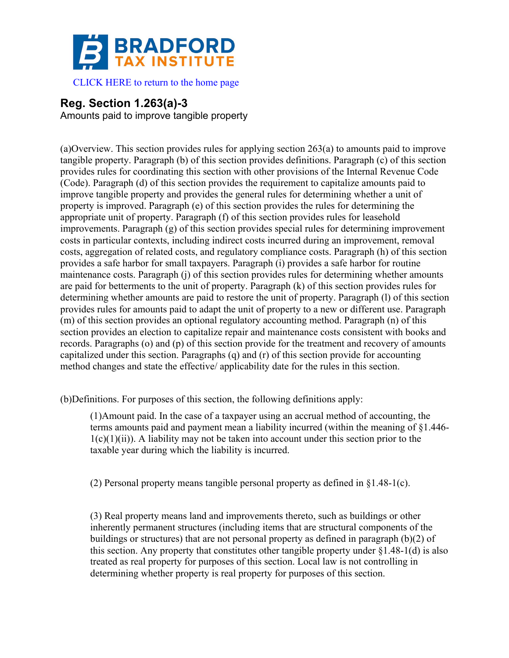

 [CLICK HERE to return to the home page](www.bradfordtaxinstitute.com) 

# **Reg. Section 1.263(a)-3**

Amounts paid to improve tangible property

(a)Overview. This section provides rules for applying section 263(a) to amounts paid to improve tangible property. Paragraph (b) of this section provides definitions. Paragraph (c) of this section provides rules for coordinating this section with other provisions of the Internal Revenue Code (Code). Paragraph (d) of this section provides the requirement to capitalize amounts paid to improve tangible property and provides the general rules for determining whether a unit of property is improved. Paragraph (e) of this section provides the rules for determining the appropriate unit of property. Paragraph (f) of this section provides rules for leasehold improvements. Paragraph (g) of this section provides special rules for determining improvement costs in particular contexts, including indirect costs incurred during an improvement, removal costs, aggregation of related costs, and regulatory compliance costs. Paragraph (h) of this section provides a safe harbor for small taxpayers. Paragraph (i) provides a safe harbor for routine maintenance costs. Paragraph (j) of this section provides rules for determining whether amounts are paid for betterments to the unit of property. Paragraph (k) of this section provides rules for determining whether amounts are paid to restore the unit of property. Paragraph (l) of this section provides rules for amounts paid to adapt the unit of property to a new or different use. Paragraph (m) of this section provides an optional regulatory accounting method. Paragraph (n) of this section provides an election to capitalize repair and maintenance costs consistent with books and records. Paragraphs (o) and (p) of this section provide for the treatment and recovery of amounts capitalized under this section. Paragraphs (q) and (r) of this section provide for accounting method changes and state the effective/ applicability date for the rules in this section.

(b)Definitions. For purposes of this section, the following definitions apply:

(1)Amount paid. In the case of a taxpayer using an accrual method of accounting, the terms amounts paid and payment mean a liability incurred (within the meaning of §1.446-  $1(c)(1)(ii)$ ). A liability may not be taken into account under this section prior to the taxable year during which the liability is incurred.

(2) Personal property means tangible personal property as defined in  $\S1.48-1(c)$ .

(3) Real property means land and improvements thereto, such as buildings or other inherently permanent structures (including items that are structural components of the buildings or structures) that are not personal property as defined in paragraph  $(b)(2)$  of this section. Any property that constitutes other tangible property under §1.48-1(d) is also treated as real property for purposes of this section. Local law is not controlling in determining whether property is real property for purposes of this section.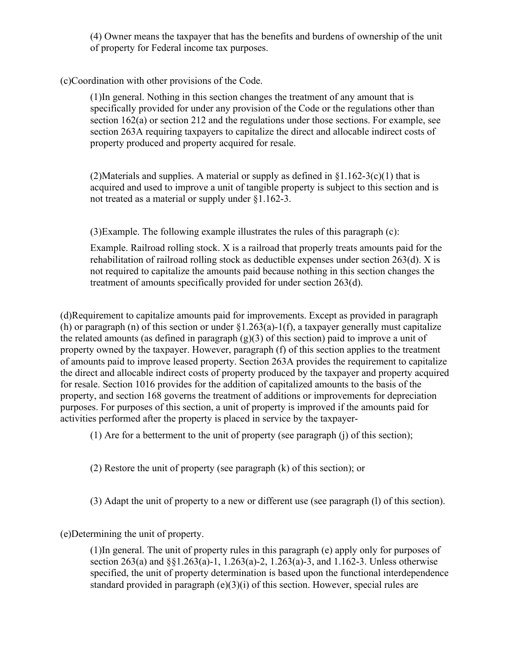(4) Owner means the taxpayer that has the benefits and burdens of ownership of the unit of property for Federal income tax purposes.

(c)Coordination with other provisions of the Code.

(1)In general. Nothing in this section changes the treatment of any amount that is specifically provided for under any provision of the Code or the regulations other than section 162(a) or section 212 and the regulations under those sections. For example, see section 263A requiring taxpayers to capitalize the direct and allocable indirect costs of property produced and property acquired for resale.

(2)Materials and supplies. A material or supply as defined in  $\S1.162-3(c)(1)$  that is acquired and used to improve a unit of tangible property is subject to this section and is not treated as a material or supply under §1.162-3.

(3)Example. The following example illustrates the rules of this paragraph (c):

Example. Railroad rolling stock. X is a railroad that properly treats amounts paid for the rehabilitation of railroad rolling stock as deductible expenses under section 263(d). X is not required to capitalize the amounts paid because nothing in this section changes the treatment of amounts specifically provided for under section 263(d).

(d)Requirement to capitalize amounts paid for improvements. Except as provided in paragraph (h) or paragraph (n) of this section or under  $\S1.263(a)$ -1(f), a taxpayer generally must capitalize the related amounts (as defined in paragraph  $(g)(3)$  of this section) paid to improve a unit of property owned by the taxpayer. However, paragraph (f) of this section applies to the treatment of amounts paid to improve leased property. Section 263A provides the requirement to capitalize the direct and allocable indirect costs of property produced by the taxpayer and property acquired for resale. Section 1016 provides for the addition of capitalized amounts to the basis of the property, and section 168 governs the treatment of additions or improvements for depreciation purposes. For purposes of this section, a unit of property is improved if the amounts paid for activities performed after the property is placed in service by the taxpayer-

(1) Are for a betterment to the unit of property (see paragraph (j) of this section);

(2) Restore the unit of property (see paragraph (k) of this section); or

(3) Adapt the unit of property to a new or different use (see paragraph (l) of this section).

(e)Determining the unit of property.

(1)In general. The unit of property rules in this paragraph (e) apply only for purposes of section 263(a) and §§1.263(a)-1, 1.263(a)-2, 1.263(a)-3, and 1.162-3. Unless otherwise specified, the unit of property determination is based upon the functional interdependence standard provided in paragraph (e)(3)(i) of this section. However, special rules are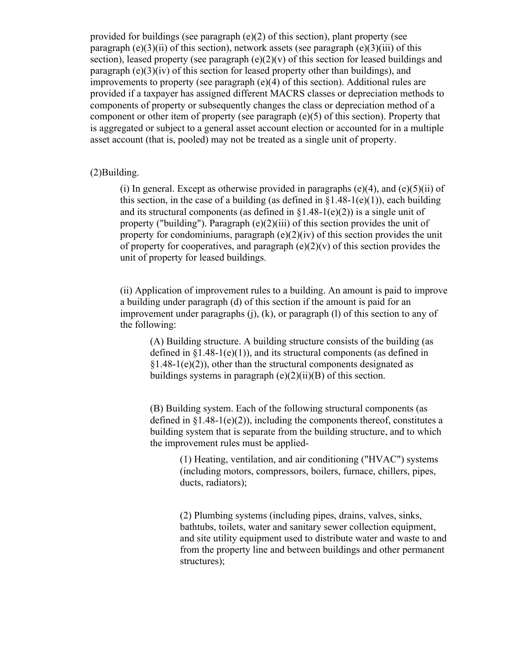provided for buildings (see paragraph (e)(2) of this section), plant property (see paragraph (e)(3)(ii) of this section), network assets (see paragraph (e)(3)(iii) of this section), leased property (see paragraph  $(e)(2)(v)$  of this section for leased buildings and paragraph  $(e)(3)(iv)$  of this section for leased property other than buildings), and improvements to property (see paragraph (e)(4) of this section). Additional rules are provided if a taxpayer has assigned different MACRS classes or depreciation methods to components of property or subsequently changes the class or depreciation method of a component or other item of property (see paragraph (e)(5) of this section). Property that is aggregated or subject to a general asset account election or accounted for in a multiple asset account (that is, pooled) may not be treated as a single unit of property.

## (2)Building.

(i) In general. Except as otherwise provided in paragraphs (e)(4), and (e)(5)(ii) of this section, in the case of a building (as defined in  $\S 1.48-1(e)(1)$ ), each building and its structural components (as defined in  $\S1.48-1(e)(2)$ ) is a single unit of property ("building"). Paragraph  $(e)(2)(iii)$  of this section provides the unit of property for condominiums, paragraph  $(e)(2)(iv)$  of this section provides the unit of property for cooperatives, and paragraph  $(e)(2)(v)$  of this section provides the unit of property for leased buildings.

(ii) Application of improvement rules to a building. An amount is paid to improve a building under paragraph (d) of this section if the amount is paid for an improvement under paragraphs (j), (k), or paragraph (l) of this section to any of the following:

(A) Building structure. A building structure consists of the building (as defined in  $\S1.48-1(e)(1)$ , and its structural components (as defined in  $§1.48-1(e)(2)$ , other than the structural components designated as buildings systems in paragraph  $(e)(2)(ii)(B)$  of this section.

(B) Building system. Each of the following structural components (as defined in  $\S1.48-1(e)(2)$ , including the components thereof, constitutes a building system that is separate from the building structure, and to which the improvement rules must be applied-

> (1) Heating, ventilation, and air conditioning ("HVAC") systems (including motors, compressors, boilers, furnace, chillers, pipes, ducts, radiators);

(2) Plumbing systems (including pipes, drains, valves, sinks, bathtubs, toilets, water and sanitary sewer collection equipment, and site utility equipment used to distribute water and waste to and from the property line and between buildings and other permanent structures);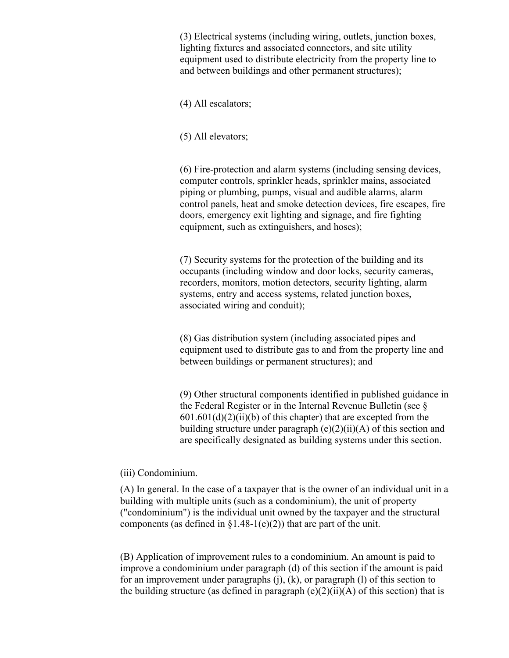(3) Electrical systems (including wiring, outlets, junction boxes, lighting fixtures and associated connectors, and site utility equipment used to distribute electricity from the property line to and between buildings and other permanent structures);

(4) All escalators;

(5) All elevators;

(6) Fire-protection and alarm systems (including sensing devices, computer controls, sprinkler heads, sprinkler mains, associated piping or plumbing, pumps, visual and audible alarms, alarm control panels, heat and smoke detection devices, fire escapes, fire doors, emergency exit lighting and signage, and fire fighting equipment, such as extinguishers, and hoses);

(7) Security systems for the protection of the building and its occupants (including window and door locks, security cameras, recorders, monitors, motion detectors, security lighting, alarm systems, entry and access systems, related junction boxes, associated wiring and conduit);

(8) Gas distribution system (including associated pipes and equipment used to distribute gas to and from the property line and between buildings or permanent structures); and

(9) Other structural components identified in published guidance in the Federal Register or in the Internal Revenue Bulletin (see §  $601.601(d)(2)(ii)(b)$  of this chapter) that are excepted from the building structure under paragraph  $(e)(2)(ii)(A)$  of this section and are specifically designated as building systems under this section.

### (iii) Condominium.

(A) In general. In the case of a taxpayer that is the owner of an individual unit in a building with multiple units (such as a condominium), the unit of property ("condominium") is the individual unit owned by the taxpayer and the structural components (as defined in  $\S1.48-1(e)(2)$ ) that are part of the unit.

(B) Application of improvement rules to a condominium. An amount is paid to improve a condominium under paragraph (d) of this section if the amount is paid for an improvement under paragraphs  $(i)$ ,  $(k)$ , or paragraph  $(l)$  of this section to the building structure (as defined in paragraph  $(e)(2)(ii)(A)$  of this section) that is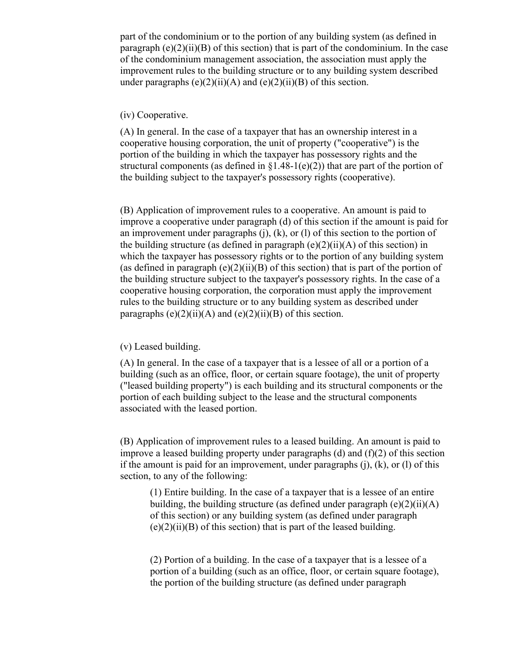part of the condominium or to the portion of any building system (as defined in paragraph  $(e)(2)(ii)(B)$  of this section) that is part of the condominium. In the case of the condominium management association, the association must apply the improvement rules to the building structure or to any building system described under paragraphs  $(e)(2)(ii)(A)$  and  $(e)(2)(ii)(B)$  of this section.

# (iv) Cooperative.

(A) In general. In the case of a taxpayer that has an ownership interest in a cooperative housing corporation, the unit of property ("cooperative") is the portion of the building in which the taxpayer has possessory rights and the structural components (as defined in  $\S1.48-1(e)(2)$ ) that are part of the portion of the building subject to the taxpayer's possessory rights (cooperative).

(B) Application of improvement rules to a cooperative. An amount is paid to improve a cooperative under paragraph (d) of this section if the amount is paid for an improvement under paragraphs (j), (k), or (l) of this section to the portion of the building structure (as defined in paragraph  $(e)(2)(ii)(A)$  of this section) in which the taxpayer has possessory rights or to the portion of any building system (as defined in paragraph  $(e)(2)(ii)(B)$  of this section) that is part of the portion of the building structure subject to the taxpayer's possessory rights. In the case of a cooperative housing corporation, the corporation must apply the improvement rules to the building structure or to any building system as described under paragraphs  $(e)(2)(ii)(A)$  and  $(e)(2)(ii)(B)$  of this section.

#### (v) Leased building.

(A) In general. In the case of a taxpayer that is a lessee of all or a portion of a building (such as an office, floor, or certain square footage), the unit of property ("leased building property") is each building and its structural components or the portion of each building subject to the lease and the structural components associated with the leased portion.

(B) Application of improvement rules to a leased building. An amount is paid to improve a leased building property under paragraphs (d) and  $(f)(2)$  of this section if the amount is paid for an improvement, under paragraphs  $(i)$ ,  $(k)$ , or  $(l)$  of this section, to any of the following:

(1) Entire building. In the case of a taxpayer that is a lessee of an entire building, the building structure (as defined under paragraph  $(e)(2)(ii)(A)$ of this section) or any building system (as defined under paragraph  $(e)(2)(ii)(B)$  of this section) that is part of the leased building.

(2) Portion of a building. In the case of a taxpayer that is a lessee of a portion of a building (such as an office, floor, or certain square footage), the portion of the building structure (as defined under paragraph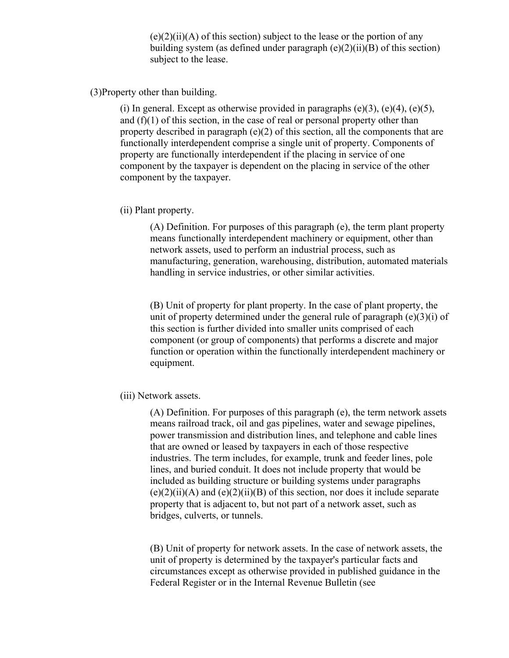$(e)(2)(ii)(A)$  of this section) subject to the lease or the portion of any building system (as defined under paragraph  $(e)(2)(ii)(B)$  of this section) subject to the lease.

(3)Property other than building.

(i) In general. Except as otherwise provided in paragraphs  $(e)(3)$ ,  $(e)(4)$ ,  $(e)(5)$ , and (f)(1) of this section, in the case of real or personal property other than property described in paragraph  $(e)(2)$  of this section, all the components that are functionally interdependent comprise a single unit of property. Components of property are functionally interdependent if the placing in service of one component by the taxpayer is dependent on the placing in service of the other component by the taxpayer.

(ii) Plant property.

(A) Definition. For purposes of this paragraph (e), the term plant property means functionally interdependent machinery or equipment, other than network assets, used to perform an industrial process, such as manufacturing, generation, warehousing, distribution, automated materials handling in service industries, or other similar activities.

(B) Unit of property for plant property. In the case of plant property, the unit of property determined under the general rule of paragraph  $(e)(3)(i)$  of this section is further divided into smaller units comprised of each component (or group of components) that performs a discrete and major function or operation within the functionally interdependent machinery or equipment.

(iii) Network assets.

(A) Definition. For purposes of this paragraph (e), the term network assets means railroad track, oil and gas pipelines, water and sewage pipelines, power transmission and distribution lines, and telephone and cable lines that are owned or leased by taxpayers in each of those respective industries. The term includes, for example, trunk and feeder lines, pole lines, and buried conduit. It does not include property that would be included as building structure or building systems under paragraphs  $(e)(2)(ii)(A)$  and  $(e)(2)(ii)(B)$  of this section, nor does it include separate property that is adjacent to, but not part of a network asset, such as bridges, culverts, or tunnels.

(B) Unit of property for network assets. In the case of network assets, the unit of property is determined by the taxpayer's particular facts and circumstances except as otherwise provided in published guidance in the Federal Register or in the Internal Revenue Bulletin (see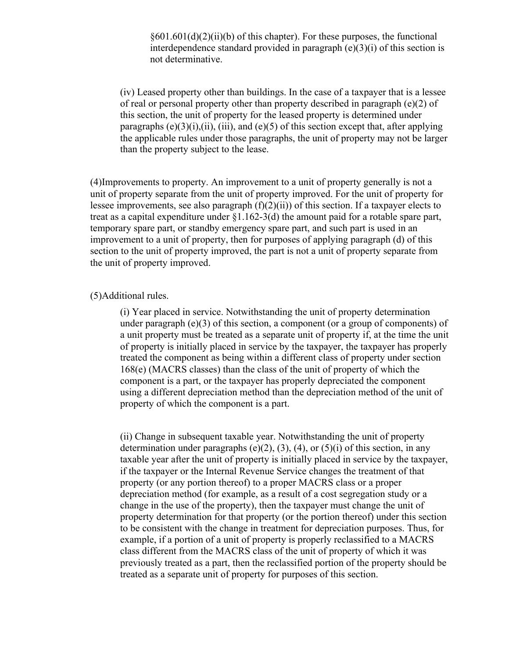$§601.601(d)(2)(ii)(b)$  of this chapter). For these purposes, the functional interdependence standard provided in paragraph (e)(3)(i) of this section is not determinative.

(iv) Leased property other than buildings. In the case of a taxpayer that is a lessee of real or personal property other than property described in paragraph (e)(2) of this section, the unit of property for the leased property is determined under paragraphs  $(e)(3)(i)$ ,  $(iii)$ ,  $(iii)$ , and  $(e)(5)$  of this section except that, after applying the applicable rules under those paragraphs, the unit of property may not be larger than the property subject to the lease.

(4)Improvements to property. An improvement to a unit of property generally is not a unit of property separate from the unit of property improved. For the unit of property for lessee improvements, see also paragraph  $(f)(2)(ii)$  of this section. If a taxpayer elects to treat as a capital expenditure under §1.162-3(d) the amount paid for a rotable spare part, temporary spare part, or standby emergency spare part, and such part is used in an improvement to a unit of property, then for purposes of applying paragraph (d) of this section to the unit of property improved, the part is not a unit of property separate from the unit of property improved.

#### (5)Additional rules.

(i) Year placed in service. Notwithstanding the unit of property determination under paragraph  $(e)(3)$  of this section, a component (or a group of components) of a unit property must be treated as a separate unit of property if, at the time the unit of property is initially placed in service by the taxpayer, the taxpayer has properly treated the component as being within a different class of property under section 168(e) (MACRS classes) than the class of the unit of property of which the component is a part, or the taxpayer has properly depreciated the component using a different depreciation method than the depreciation method of the unit of property of which the component is a part.

(ii) Change in subsequent taxable year. Notwithstanding the unit of property determination under paragraphs (e)(2), (3), (4), or (5)(i) of this section, in any taxable year after the unit of property is initially placed in service by the taxpayer, if the taxpayer or the Internal Revenue Service changes the treatment of that property (or any portion thereof) to a proper MACRS class or a proper depreciation method (for example, as a result of a cost segregation study or a change in the use of the property), then the taxpayer must change the unit of property determination for that property (or the portion thereof) under this section to be consistent with the change in treatment for depreciation purposes. Thus, for example, if a portion of a unit of property is properly reclassified to a MACRS class different from the MACRS class of the unit of property of which it was previously treated as a part, then the reclassified portion of the property should be treated as a separate unit of property for purposes of this section.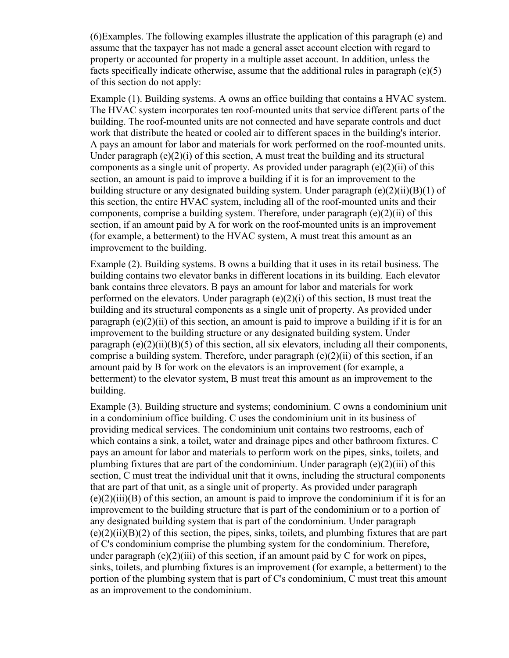(6)Examples. The following examples illustrate the application of this paragraph (e) and assume that the taxpayer has not made a general asset account election with regard to property or accounted for property in a multiple asset account. In addition, unless the facts specifically indicate otherwise, assume that the additional rules in paragraph (e)(5) of this section do not apply:

Example (1). Building systems. A owns an office building that contains a HVAC system. The HVAC system incorporates ten roof-mounted units that service different parts of the building. The roof-mounted units are not connected and have separate controls and duct work that distribute the heated or cooled air to different spaces in the building's interior. A pays an amount for labor and materials for work performed on the roof-mounted units. Under paragraph  $(e)(2)(i)$  of this section, A must treat the building and its structural components as a single unit of property. As provided under paragraph (e)(2)(ii) of this section, an amount is paid to improve a building if it is for an improvement to the building structure or any designated building system. Under paragraph  $(e)(2)(ii)(B)(1)$  of this section, the entire HVAC system, including all of the roof-mounted units and their components, comprise a building system. Therefore, under paragraph (e)(2)(ii) of this section, if an amount paid by A for work on the roof-mounted units is an improvement (for example, a betterment) to the HVAC system, A must treat this amount as an improvement to the building.

Example (2). Building systems. B owns a building that it uses in its retail business. The building contains two elevator banks in different locations in its building. Each elevator bank contains three elevators. B pays an amount for labor and materials for work performed on the elevators. Under paragraph (e)(2)(i) of this section, B must treat the building and its structural components as a single unit of property. As provided under paragraph  $(e)(2)(ii)$  of this section, an amount is paid to improve a building if it is for an improvement to the building structure or any designated building system. Under paragraph (e)(2)(ii)(B)(5) of this section, all six elevators, including all their components, comprise a building system. Therefore, under paragraph  $(e)(2)(ii)$  of this section, if an amount paid by B for work on the elevators is an improvement (for example, a betterment) to the elevator system, B must treat this amount as an improvement to the building.

Example (3). Building structure and systems; condominium. C owns a condominium unit in a condominium office building. C uses the condominium unit in its business of providing medical services. The condominium unit contains two restrooms, each of which contains a sink, a toilet, water and drainage pipes and other bathroom fixtures. C pays an amount for labor and materials to perform work on the pipes, sinks, toilets, and plumbing fixtures that are part of the condominium. Under paragraph (e)(2)(iii) of this section, C must treat the individual unit that it owns, including the structural components that are part of that unit, as a single unit of property. As provided under paragraph  $(e)(2)(iii)(B)$  of this section, an amount is paid to improve the condominium if it is for an improvement to the building structure that is part of the condominium or to a portion of any designated building system that is part of the condominium. Under paragraph  $(e)(2)(ii)(B)(2)$  of this section, the pipes, sinks, toilets, and plumbing fixtures that are part of C's condominium comprise the plumbing system for the condominium. Therefore, under paragraph (e)(2)(iii) of this section, if an amount paid by C for work on pipes, sinks, toilets, and plumbing fixtures is an improvement (for example, a betterment) to the portion of the plumbing system that is part of C's condominium, C must treat this amount as an improvement to the condominium.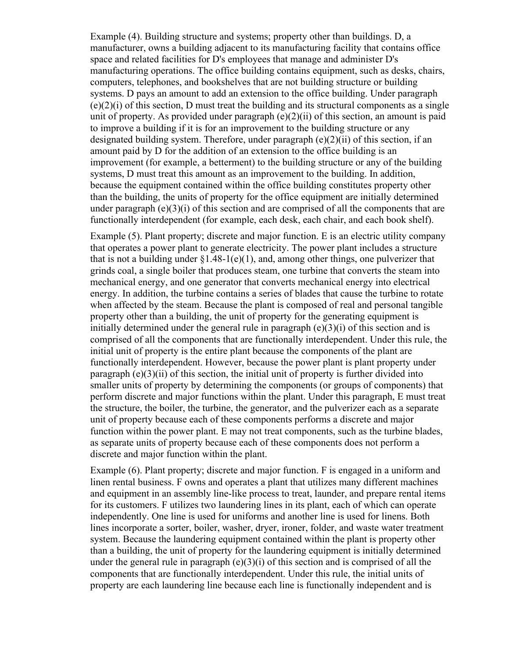Example (4). Building structure and systems; property other than buildings. D, a manufacturer, owns a building adjacent to its manufacturing facility that contains office space and related facilities for D's employees that manage and administer D's manufacturing operations. The office building contains equipment, such as desks, chairs, computers, telephones, and bookshelves that are not building structure or building systems. D pays an amount to add an extension to the office building. Under paragraph  $(e)(2)(i)$  of this section, D must treat the building and its structural components as a single unit of property. As provided under paragraph  $(e)(2)(ii)$  of this section, an amount is paid to improve a building if it is for an improvement to the building structure or any designated building system. Therefore, under paragraph (e)(2)(ii) of this section, if an amount paid by D for the addition of an extension to the office building is an improvement (for example, a betterment) to the building structure or any of the building systems, D must treat this amount as an improvement to the building. In addition, because the equipment contained within the office building constitutes property other than the building, the units of property for the office equipment are initially determined under paragraph  $(e)(3)(i)$  of this section and are comprised of all the components that are functionally interdependent (for example, each desk, each chair, and each book shelf).

Example (5). Plant property; discrete and major function. E is an electric utility company that operates a power plant to generate electricity. The power plant includes a structure that is not a building under  $\S1.48-1(e)(1)$ , and, among other things, one pulverizer that grinds coal, a single boiler that produces steam, one turbine that converts the steam into mechanical energy, and one generator that converts mechanical energy into electrical energy. In addition, the turbine contains a series of blades that cause the turbine to rotate when affected by the steam. Because the plant is composed of real and personal tangible property other than a building, the unit of property for the generating equipment is initially determined under the general rule in paragraph  $(e)(3)(i)$  of this section and is comprised of all the components that are functionally interdependent. Under this rule, the initial unit of property is the entire plant because the components of the plant are functionally interdependent. However, because the power plant is plant property under paragraph  $(e)(3)(ii)$  of this section, the initial unit of property is further divided into smaller units of property by determining the components (or groups of components) that perform discrete and major functions within the plant. Under this paragraph, E must treat the structure, the boiler, the turbine, the generator, and the pulverizer each as a separate unit of property because each of these components performs a discrete and major function within the power plant. E may not treat components, such as the turbine blades, as separate units of property because each of these components does not perform a discrete and major function within the plant.

Example (6). Plant property; discrete and major function. F is engaged in a uniform and linen rental business. F owns and operates a plant that utilizes many different machines and equipment in an assembly line-like process to treat, launder, and prepare rental items for its customers. F utilizes two laundering lines in its plant, each of which can operate independently. One line is used for uniforms and another line is used for linens. Both lines incorporate a sorter, boiler, washer, dryer, ironer, folder, and waste water treatment system. Because the laundering equipment contained within the plant is property other than a building, the unit of property for the laundering equipment is initially determined under the general rule in paragraph  $(e)(3)(i)$  of this section and is comprised of all the components that are functionally interdependent. Under this rule, the initial units of property are each laundering line because each line is functionally independent and is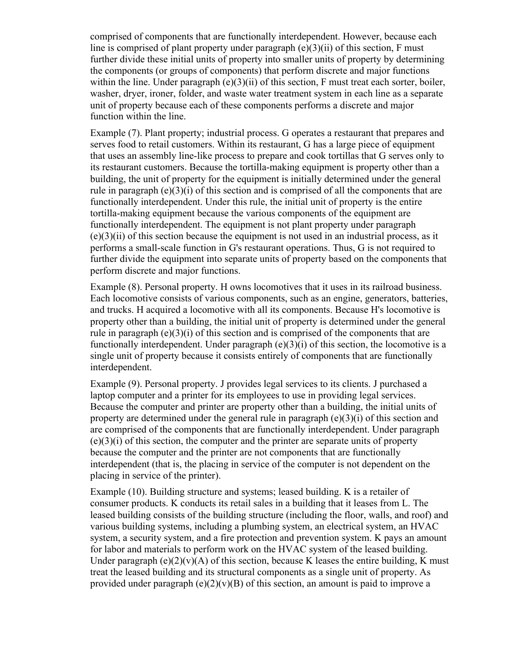comprised of components that are functionally interdependent. However, because each line is comprised of plant property under paragraph (e)(3)(ii) of this section, F must further divide these initial units of property into smaller units of property by determining the components (or groups of components) that perform discrete and major functions within the line. Under paragraph  $(e)(3)(ii)$  of this section, F must treat each sorter, boiler, washer, dryer, ironer, folder, and waste water treatment system in each line as a separate unit of property because each of these components performs a discrete and major function within the line.

Example (7). Plant property; industrial process. G operates a restaurant that prepares and serves food to retail customers. Within its restaurant, G has a large piece of equipment that uses an assembly line-like process to prepare and cook tortillas that G serves only to its restaurant customers. Because the tortilla-making equipment is property other than a building, the unit of property for the equipment is initially determined under the general rule in paragraph  $(e)(3)(i)$  of this section and is comprised of all the components that are functionally interdependent. Under this rule, the initial unit of property is the entire tortilla-making equipment because the various components of the equipment are functionally interdependent. The equipment is not plant property under paragraph  $(e)(3)(ii)$  of this section because the equipment is not used in an industrial process, as it performs a small-scale function in G's restaurant operations. Thus, G is not required to further divide the equipment into separate units of property based on the components that perform discrete and major functions.

Example (8). Personal property. H owns locomotives that it uses in its railroad business. Each locomotive consists of various components, such as an engine, generators, batteries, and trucks. H acquired a locomotive with all its components. Because H's locomotive is property other than a building, the initial unit of property is determined under the general rule in paragraph (e)(3)(i) of this section and is comprised of the components that are functionally interdependent. Under paragraph  $(e)(3)(i)$  of this section, the locomotive is a single unit of property because it consists entirely of components that are functionally interdependent.

Example (9). Personal property. J provides legal services to its clients. J purchased a laptop computer and a printer for its employees to use in providing legal services. Because the computer and printer are property other than a building, the initial units of property are determined under the general rule in paragraph (e)(3)(i) of this section and are comprised of the components that are functionally interdependent. Under paragraph (e)(3)(i) of this section, the computer and the printer are separate units of property because the computer and the printer are not components that are functionally interdependent (that is, the placing in service of the computer is not dependent on the placing in service of the printer).

Example (10). Building structure and systems; leased building. K is a retailer of consumer products. K conducts its retail sales in a building that it leases from L. The leased building consists of the building structure (including the floor, walls, and roof) and various building systems, including a plumbing system, an electrical system, an HVAC system, a security system, and a fire protection and prevention system. K pays an amount for labor and materials to perform work on the HVAC system of the leased building. Under paragraph (e)(2)(v)(A) of this section, because K leases the entire building, K must treat the leased building and its structural components as a single unit of property. As provided under paragraph  $(e)(2)(v)(B)$  of this section, an amount is paid to improve a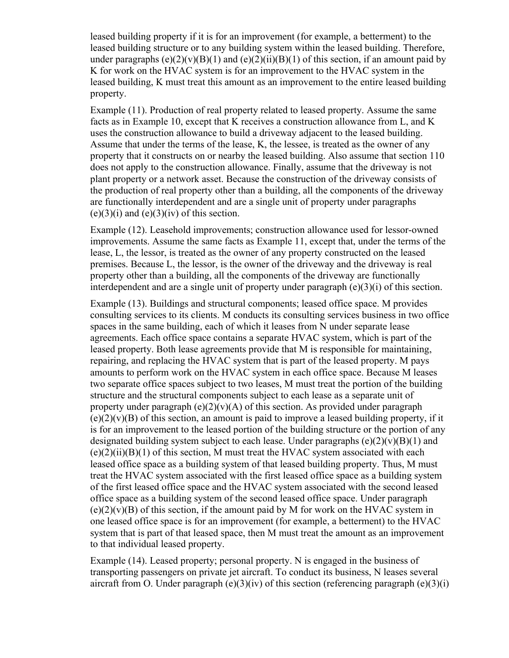leased building property if it is for an improvement (for example, a betterment) to the leased building structure or to any building system within the leased building. Therefore, under paragraphs  $(e)(2)(v)(B)(1)$  and  $(e)(2)(ii)(B)(1)$  of this section, if an amount paid by K for work on the HVAC system is for an improvement to the HVAC system in the leased building, K must treat this amount as an improvement to the entire leased building property.

Example (11). Production of real property related to leased property. Assume the same facts as in Example 10, except that K receives a construction allowance from L, and K uses the construction allowance to build a driveway adjacent to the leased building. Assume that under the terms of the lease, K, the lessee, is treated as the owner of any property that it constructs on or nearby the leased building. Also assume that section 110 does not apply to the construction allowance. Finally, assume that the driveway is not plant property or a network asset. Because the construction of the driveway consists of the production of real property other than a building, all the components of the driveway are functionally interdependent and are a single unit of property under paragraphs  $(e)(3)(i)$  and  $(e)(3)(iv)$  of this section.

Example (12). Leasehold improvements; construction allowance used for lessor-owned improvements. Assume the same facts as Example 11, except that, under the terms of the lease, L, the lessor, is treated as the owner of any property constructed on the leased premises. Because L, the lessor, is the owner of the driveway and the driveway is real property other than a building, all the components of the driveway are functionally interdependent and are a single unit of property under paragraph (e)(3)(i) of this section.

Example (13). Buildings and structural components; leased office space. M provides consulting services to its clients. M conducts its consulting services business in two office spaces in the same building, each of which it leases from N under separate lease agreements. Each office space contains a separate HVAC system, which is part of the leased property. Both lease agreements provide that M is responsible for maintaining, repairing, and replacing the HVAC system that is part of the leased property. M pays amounts to perform work on the HVAC system in each office space. Because M leases two separate office spaces subject to two leases, M must treat the portion of the building structure and the structural components subject to each lease as a separate unit of property under paragraph  $(e)(2)(v)(A)$  of this section. As provided under paragraph  $(e)(2)(y)(B)$  of this section, an amount is paid to improve a leased building property, if it is for an improvement to the leased portion of the building structure or the portion of any designated building system subject to each lease. Under paragraphs  $(e)(2)(v)(B)(1)$  and  $(e)(2)(ii)(B)(1)$  of this section, M must treat the HVAC system associated with each leased office space as a building system of that leased building property. Thus, M must treat the HVAC system associated with the first leased office space as a building system of the first leased office space and the HVAC system associated with the second leased office space as a building system of the second leased office space. Under paragraph  $(e)(2)(v)(B)$  of this section, if the amount paid by M for work on the HVAC system in one leased office space is for an improvement (for example, a betterment) to the HVAC system that is part of that leased space, then M must treat the amount as an improvement to that individual leased property.

Example (14). Leased property; personal property. N is engaged in the business of transporting passengers on private jet aircraft. To conduct its business, N leases several aircraft from O. Under paragraph  $(e)(3)(iv)$  of this section (referencing paragraph  $(e)(3)(i)$ )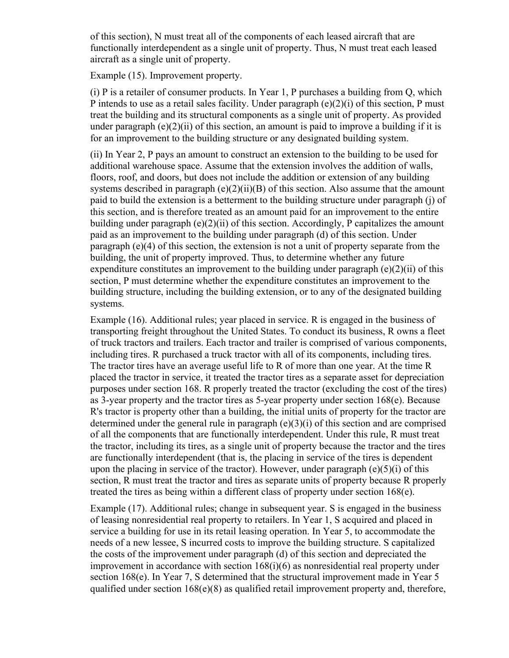of this section), N must treat all of the components of each leased aircraft that are functionally interdependent as a single unit of property. Thus, N must treat each leased aircraft as a single unit of property.

Example (15). Improvement property.

(i) P is a retailer of consumer products. In Year 1, P purchases a building from Q, which P intends to use as a retail sales facility. Under paragraph (e)(2)(i) of this section, P must treat the building and its structural components as a single unit of property. As provided under paragraph  $(e)(2)(ii)$  of this section, an amount is paid to improve a building if it is for an improvement to the building structure or any designated building system.

(ii) In Year 2, P pays an amount to construct an extension to the building to be used for additional warehouse space. Assume that the extension involves the addition of walls, floors, roof, and doors, but does not include the addition or extension of any building systems described in paragraph  $(e)(2)(ii)(B)$  of this section. Also assume that the amount paid to build the extension is a betterment to the building structure under paragraph (j) of this section, and is therefore treated as an amount paid for an improvement to the entire building under paragraph (e)(2)(ii) of this section. Accordingly, P capitalizes the amount paid as an improvement to the building under paragraph (d) of this section. Under paragraph (e)(4) of this section, the extension is not a unit of property separate from the building, the unit of property improved. Thus, to determine whether any future expenditure constitutes an improvement to the building under paragraph  $(e)(2)(ii)$  of this section, P must determine whether the expenditure constitutes an improvement to the building structure, including the building extension, or to any of the designated building systems.

Example (16). Additional rules; year placed in service. R is engaged in the business of transporting freight throughout the United States. To conduct its business, R owns a fleet of truck tractors and trailers. Each tractor and trailer is comprised of various components, including tires. R purchased a truck tractor with all of its components, including tires. The tractor tires have an average useful life to R of more than one year. At the time R placed the tractor in service, it treated the tractor tires as a separate asset for depreciation purposes under section 168. R properly treated the tractor (excluding the cost of the tires) as 3-year property and the tractor tires as 5-year property under section 168(e). Because R's tractor is property other than a building, the initial units of property for the tractor are determined under the general rule in paragraph  $(e)(3)(i)$  of this section and are comprised of all the components that are functionally interdependent. Under this rule, R must treat the tractor, including its tires, as a single unit of property because the tractor and the tires are functionally interdependent (that is, the placing in service of the tires is dependent upon the placing in service of the tractor). However, under paragraph  $(e)(5)(i)$  of this section, R must treat the tractor and tires as separate units of property because R properly treated the tires as being within a different class of property under section 168(e).

Example (17). Additional rules; change in subsequent year. S is engaged in the business of leasing nonresidential real property to retailers. In Year 1, S acquired and placed in service a building for use in its retail leasing operation. In Year 5, to accommodate the needs of a new lessee, S incurred costs to improve the building structure. S capitalized the costs of the improvement under paragraph (d) of this section and depreciated the improvement in accordance with section 168(i)(6) as nonresidential real property under section 168(e). In Year 7, S determined that the structural improvement made in Year 5 qualified under section  $168(e)(8)$  as qualified retail improvement property and, therefore,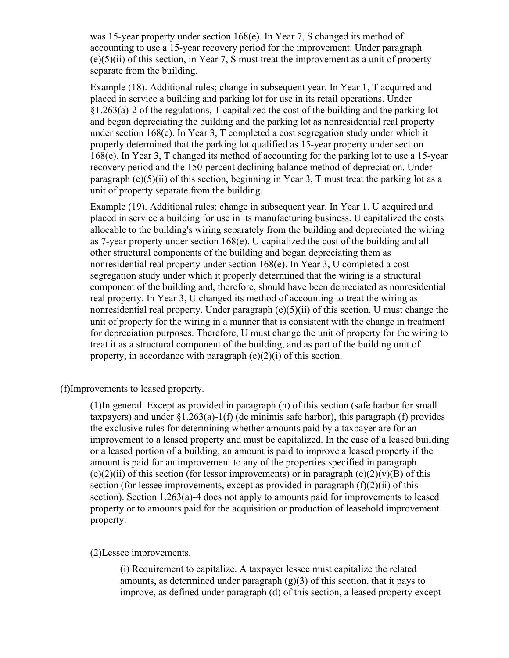was 15-year property under section 168(e). In Year 7, S changed its method of accounting to use a 15-year recovery period for the improvement. Under paragraph  $(e)(5)(ii)$  of this section, in Year 7, S must treat the improvement as a unit of property separate from the building.

Example (18). Additional rules; change in subsequent year. In Year 1, T acquired and placed in service a building and parking lot for use in its retail operations. Under §1.263(a)-2 of the regulations, T capitalized the cost of the building and the parking lot and began depreciating the building and the parking lot as nonresidential real property under section 168(e). In Year 3, T completed a cost segregation study under which it properly determined that the parking lot qualified as 15-year property under section 168(e). In Year 3, T changed its method of accounting for the parking lot to use a 15-year recovery period and the 150-percent declining balance method of depreciation. Under paragraph (e)(5)(ii) of this section, beginning in Year 3, T must treat the parking lot as a unit of property separate from the building.

Example (19). Additional rules; change in subsequent year. In Year 1, U acquired and placed in service a building for use in its manufacturing business. U capitalized the costs allocable to the building's wiring separately from the building and depreciated the wiring as 7-year property under section 168(e). U capitalized the cost of the building and all other structural components of the building and began depreciating them as nonresidential real property under section 168(e). In Year 3, U completed a cost segregation study under which it properly determined that the wiring is a structural component of the building and, therefore, should have been depreciated as nonresidential real property. In Year 3, U changed its method of accounting to treat the wiring as nonresidential real property. Under paragraph  $(e)(5)(ii)$  of this section, U must change the unit of property for the wiring in a manner that is consistent with the change in treatment for depreciation purposes. Therefore, U must change the unit of property for the wiring to treat it as a structural component of the building, and as part of the building unit of property, in accordance with paragraph  $(e)(2)(i)$  of this section.

(f)Improvements to leased property.

(1)In general. Except as provided in paragraph (h) of this section (safe harbor for small taxpayers) and under  $\S1.263(a)-1(f)$  (de minimis safe harbor), this paragraph (f) provides the exclusive rules for determining whether amounts paid by a taxpayer are for an improvement to a leased property and must be capitalized. In the case of a leased building or a leased portion of a building, an amount is paid to improve a leased property if the amount is paid for an improvement to any of the properties specified in paragraph  $(e)(2)(ii)$  of this section (for lessor improvements) or in paragraph  $(e)(2)(v)(B)$  of this section (for lessee improvements, except as provided in paragraph  $(f)(2)(ii)$  of this section). Section 1.263(a)-4 does not apply to amounts paid for improvements to leased property or to amounts paid for the acquisition or production of leasehold improvement property.

(2)Lessee improvements.

(i) Requirement to capitalize. A taxpayer lessee must capitalize the related amounts, as determined under paragraph  $(g)(3)$  of this section, that it pays to improve, as defined under paragraph (d) of this section, a leased property except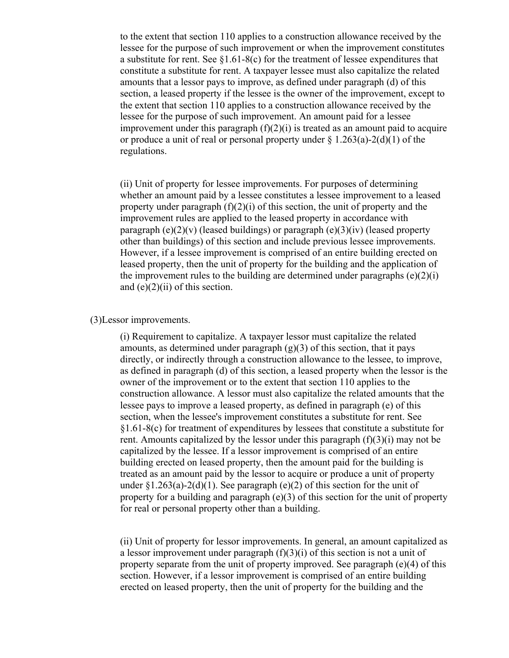to the extent that section 110 applies to a construction allowance received by the lessee for the purpose of such improvement or when the improvement constitutes a substitute for rent. See §1.61-8(c) for the treatment of lessee expenditures that constitute a substitute for rent. A taxpayer lessee must also capitalize the related amounts that a lessor pays to improve, as defined under paragraph (d) of this section, a leased property if the lessee is the owner of the improvement, except to the extent that section 110 applies to a construction allowance received by the lessee for the purpose of such improvement. An amount paid for a lessee improvement under this paragraph  $(f)(2)(i)$  is treated as an amount paid to acquire or produce a unit of real or personal property under  $\S 1.263(a) - 2(d)(1)$  of the regulations.

(ii) Unit of property for lessee improvements. For purposes of determining whether an amount paid by a lessee constitutes a lessee improvement to a leased property under paragraph  $(f)(2)(i)$  of this section, the unit of property and the improvement rules are applied to the leased property in accordance with paragraph  $(e)(2)(v)$  (leased buildings) or paragraph  $(e)(3)(iv)$  (leased property other than buildings) of this section and include previous lessee improvements. However, if a lessee improvement is comprised of an entire building erected on leased property, then the unit of property for the building and the application of the improvement rules to the building are determined under paragraphs  $(e)(2)(i)$ and  $(e)(2)(ii)$  of this section.

## (3)Lessor improvements.

(i) Requirement to capitalize. A taxpayer lessor must capitalize the related amounts, as determined under paragraph  $(g)(3)$  of this section, that it pays directly, or indirectly through a construction allowance to the lessee, to improve, as defined in paragraph (d) of this section, a leased property when the lessor is the owner of the improvement or to the extent that section 110 applies to the construction allowance. A lessor must also capitalize the related amounts that the lessee pays to improve a leased property, as defined in paragraph (e) of this section, when the lessee's improvement constitutes a substitute for rent. See §1.61-8(c) for treatment of expenditures by lessees that constitute a substitute for rent. Amounts capitalized by the lessor under this paragraph  $(f)(3)(i)$  may not be capitalized by the lessee. If a lessor improvement is comprised of an entire building erected on leased property, then the amount paid for the building is treated as an amount paid by the lessor to acquire or produce a unit of property under  $\S1.263(a)-2(d)(1)$ . See paragraph (e)(2) of this section for the unit of property for a building and paragraph  $(e)(3)$  of this section for the unit of property for real or personal property other than a building.

(ii) Unit of property for lessor improvements. In general, an amount capitalized as a lessor improvement under paragraph  $(f)(3)(i)$  of this section is not a unit of property separate from the unit of property improved. See paragraph  $(e)(4)$  of this section. However, if a lessor improvement is comprised of an entire building erected on leased property, then the unit of property for the building and the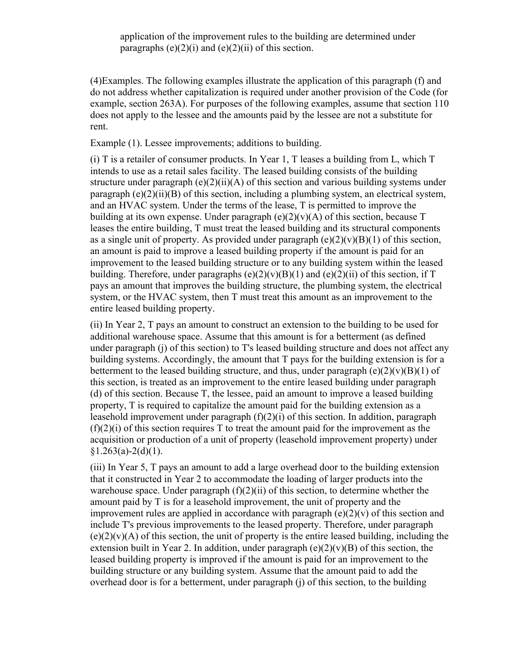(4)Examples. The following examples illustrate the application of this paragraph (f) and do not address whether capitalization is required under another provision of the Code (for example, section 263A). For purposes of the following examples, assume that section 110 does not apply to the lessee and the amounts paid by the lessee are not a substitute for rent.

Example (1). Lessee improvements; additions to building.

(i) T is a retailer of consumer products. In Year 1, T leases a building from L, which T intends to use as a retail sales facility. The leased building consists of the building structure under paragraph  $(e)(2)(ii)(A)$  of this section and various building systems under paragraph (e)(2)(ii)(B) of this section, including a plumbing system, an electrical system, and an HVAC system. Under the terms of the lease, T is permitted to improve the building at its own expense. Under paragraph  $(e)(2)(v)(A)$  of this section, because T leases the entire building, T must treat the leased building and its structural components as a single unit of property. As provided under paragraph  $(e)(2)(v)(B)(1)$  of this section, an amount is paid to improve a leased building property if the amount is paid for an improvement to the leased building structure or to any building system within the leased building. Therefore, under paragraphs  $(e)(2)(v)(B)(1)$  and  $(e)(2)(ii)$  of this section, if T pays an amount that improves the building structure, the plumbing system, the electrical system, or the HVAC system, then T must treat this amount as an improvement to the entire leased building property.

(ii) In Year 2, T pays an amount to construct an extension to the building to be used for additional warehouse space. Assume that this amount is for a betterment (as defined under paragraph (j) of this section) to T's leased building structure and does not affect any building systems. Accordingly, the amount that T pays for the building extension is for a betterment to the leased building structure, and thus, under paragraph  $(e)(2)(v)(B)(1)$  of this section, is treated as an improvement to the entire leased building under paragraph (d) of this section. Because T, the lessee, paid an amount to improve a leased building property, T is required to capitalize the amount paid for the building extension as a leasehold improvement under paragraph (f)(2)(i) of this section. In addition, paragraph  $(f)(2)(i)$  of this section requires T to treat the amount paid for the improvement as the acquisition or production of a unit of property (leasehold improvement property) under  $$1.263(a)-2(d)(1)$ .

(iii) In Year 5, T pays an amount to add a large overhead door to the building extension that it constructed in Year 2 to accommodate the loading of larger products into the warehouse space. Under paragraph  $(f)(2)(ii)$  of this section, to determine whether the amount paid by T is for a leasehold improvement, the unit of property and the improvement rules are applied in accordance with paragraph  $(e)(2)(v)$  of this section and include T's previous improvements to the leased property. Therefore, under paragraph  $(e)(2)(v)(A)$  of this section, the unit of property is the entire leased building, including the extension built in Year 2. In addition, under paragraph  $(e)(2)(v)(B)$  of this section, the leased building property is improved if the amount is paid for an improvement to the building structure or any building system. Assume that the amount paid to add the overhead door is for a betterment, under paragraph (j) of this section, to the building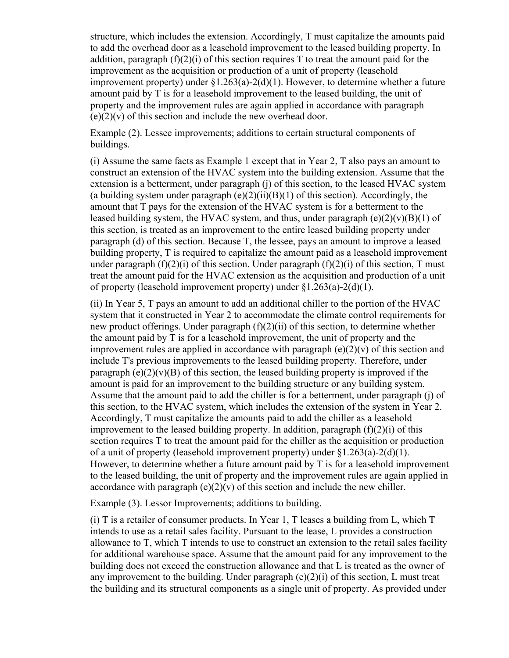structure, which includes the extension. Accordingly, T must capitalize the amounts paid to add the overhead door as a leasehold improvement to the leased building property. In addition, paragraph  $(f)(2)(i)$  of this section requires T to treat the amount paid for the improvement as the acquisition or production of a unit of property (leasehold improvement property) under  $\S1.263(a)-2(d)(1)$ . However, to determine whether a future amount paid by T is for a leasehold improvement to the leased building, the unit of property and the improvement rules are again applied in accordance with paragraph  $(e)(2)(v)$  of this section and include the new overhead door.

Example (2). Lessee improvements; additions to certain structural components of buildings.

(i) Assume the same facts as Example 1 except that in Year 2, T also pays an amount to construct an extension of the HVAC system into the building extension. Assume that the extension is a betterment, under paragraph (j) of this section, to the leased HVAC system (a building system under paragraph  $(e)(2)(ii)(B)(1)$  of this section). Accordingly, the amount that T pays for the extension of the HVAC system is for a betterment to the leased building system, the HVAC system, and thus, under paragraph  $(e)(2)(v)(B)(1)$  of this section, is treated as an improvement to the entire leased building property under paragraph (d) of this section. Because T, the lessee, pays an amount to improve a leased building property, T is required to capitalize the amount paid as a leasehold improvement under paragraph  $(f)(2)(i)$  of this section. Under paragraph  $(f)(2)(i)$  of this section, T must treat the amount paid for the HVAC extension as the acquisition and production of a unit of property (leasehold improvement property) under §1.263(a)-2(d)(1).

(ii) In Year 5, T pays an amount to add an additional chiller to the portion of the HVAC system that it constructed in Year 2 to accommodate the climate control requirements for new product offerings. Under paragraph (f)(2)(ii) of this section, to determine whether the amount paid by T is for a leasehold improvement, the unit of property and the improvement rules are applied in accordance with paragraph  $(e)(2)(v)$  of this section and include T's previous improvements to the leased building property. Therefore, under paragraph (e)(2)(v)(B) of this section, the leased building property is improved if the amount is paid for an improvement to the building structure or any building system. Assume that the amount paid to add the chiller is for a betterment, under paragraph (j) of this section, to the HVAC system, which includes the extension of the system in Year 2. Accordingly, T must capitalize the amounts paid to add the chiller as a leasehold improvement to the leased building property. In addition, paragraph  $(f)(2)(i)$  of this section requires T to treat the amount paid for the chiller as the acquisition or production of a unit of property (leasehold improvement property) under §1.263(a)-2(d)(1). However, to determine whether a future amount paid by T is for a leasehold improvement to the leased building, the unit of property and the improvement rules are again applied in accordance with paragraph  $(e)(2)(v)$  of this section and include the new chiller.

Example (3). Lessor Improvements; additions to building.

(i) T is a retailer of consumer products. In Year 1, T leases a building from L, which T intends to use as a retail sales facility. Pursuant to the lease, L provides a construction allowance to T, which T intends to use to construct an extension to the retail sales facility for additional warehouse space. Assume that the amount paid for any improvement to the building does not exceed the construction allowance and that L is treated as the owner of any improvement to the building. Under paragraph  $(e)(2)(i)$  of this section, L must treat the building and its structural components as a single unit of property. As provided under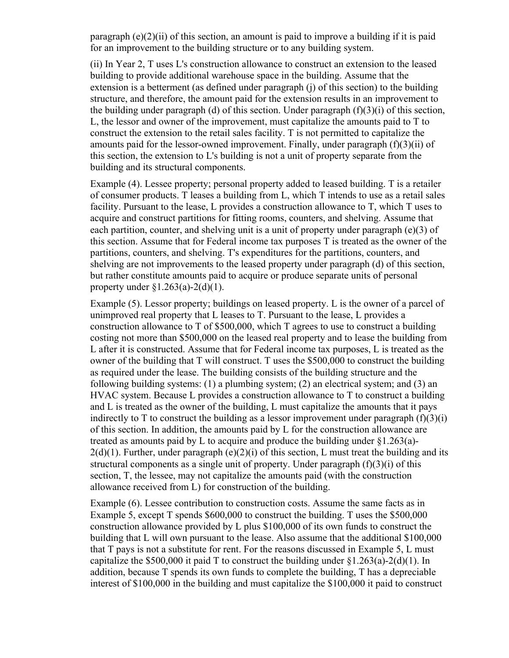paragraph  $(e)(2)(ii)$  of this section, an amount is paid to improve a building if it is paid for an improvement to the building structure or to any building system.

(ii) In Year 2, T uses L's construction allowance to construct an extension to the leased building to provide additional warehouse space in the building. Assume that the extension is a betterment (as defined under paragraph (j) of this section) to the building structure, and therefore, the amount paid for the extension results in an improvement to the building under paragraph (d) of this section. Under paragraph  $(f)(3)(i)$  of this section, L, the lessor and owner of the improvement, must capitalize the amounts paid to T to construct the extension to the retail sales facility. T is not permitted to capitalize the amounts paid for the lessor-owned improvement. Finally, under paragraph (f)(3)(ii) of this section, the extension to L's building is not a unit of property separate from the building and its structural components.

Example (4). Lessee property; personal property added to leased building. T is a retailer of consumer products. T leases a building from L, which T intends to use as a retail sales facility. Pursuant to the lease, L provides a construction allowance to T, which T uses to acquire and construct partitions for fitting rooms, counters, and shelving. Assume that each partition, counter, and shelving unit is a unit of property under paragraph (e)(3) of this section. Assume that for Federal income tax purposes T is treated as the owner of the partitions, counters, and shelving. T's expenditures for the partitions, counters, and shelving are not improvements to the leased property under paragraph (d) of this section, but rather constitute amounts paid to acquire or produce separate units of personal property under  $\S1.263(a) - 2(d)(1)$ .

Example (5). Lessor property; buildings on leased property. L is the owner of a parcel of unimproved real property that L leases to T. Pursuant to the lease, L provides a construction allowance to T of \$500,000, which T agrees to use to construct a building costing not more than \$500,000 on the leased real property and to lease the building from L after it is constructed. Assume that for Federal income tax purposes, L is treated as the owner of the building that T will construct. T uses the \$500,000 to construct the building as required under the lease. The building consists of the building structure and the following building systems: (1) a plumbing system; (2) an electrical system; and (3) an HVAC system. Because L provides a construction allowance to T to construct a building and L is treated as the owner of the building, L must capitalize the amounts that it pays indirectly to T to construct the building as a lessor improvement under paragraph  $(f)(3)(i)$ of this section. In addition, the amounts paid by L for the construction allowance are treated as amounts paid by L to acquire and produce the building under §1.263(a)-  $2(d)(1)$ . Further, under paragraph (e)(2)(i) of this section, L must treat the building and its structural components as a single unit of property. Under paragraph (f)(3)(i) of this section, T, the lessee, may not capitalize the amounts paid (with the construction allowance received from L) for construction of the building.

Example (6). Lessee contribution to construction costs. Assume the same facts as in Example 5, except T spends \$600,000 to construct the building. T uses the \$500,000 construction allowance provided by L plus \$100,000 of its own funds to construct the building that L will own pursuant to the lease. Also assume that the additional \$100,000 that T pays is not a substitute for rent. For the reasons discussed in Example 5, L must capitalize the \$500,000 it paid T to construct the building under  $\{1.263(a)-2(d)(1)\}\;$  In addition, because T spends its own funds to complete the building, T has a depreciable interest of \$100,000 in the building and must capitalize the \$100,000 it paid to construct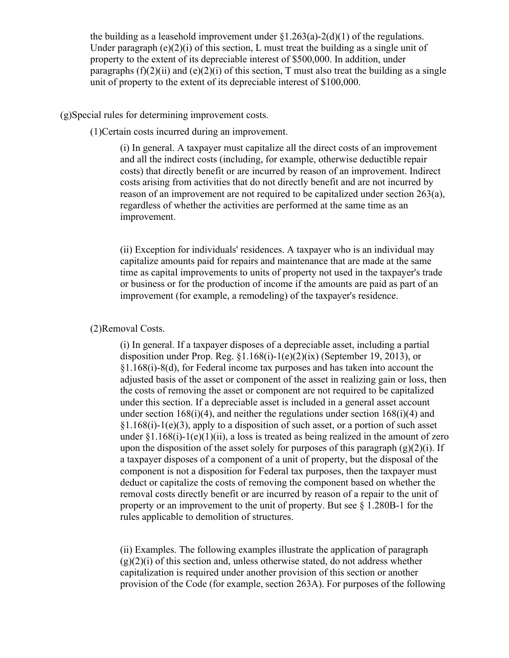the building as a leasehold improvement under  $\S1.263(a) - 2(d)(1)$  of the regulations. Under paragraph (e)(2)(i) of this section, L must treat the building as a single unit of property to the extent of its depreciable interest of \$500,000. In addition, under paragraphs  $(f)(2)(ii)$  and  $(e)(2)(i)$  of this section, T must also treat the building as a single unit of property to the extent of its depreciable interest of \$100,000.

(g)Special rules for determining improvement costs.

(1)Certain costs incurred during an improvement.

(i) In general. A taxpayer must capitalize all the direct costs of an improvement and all the indirect costs (including, for example, otherwise deductible repair costs) that directly benefit or are incurred by reason of an improvement. Indirect costs arising from activities that do not directly benefit and are not incurred by reason of an improvement are not required to be capitalized under section 263(a), regardless of whether the activities are performed at the same time as an improvement.

(ii) Exception for individuals' residences. A taxpayer who is an individual may capitalize amounts paid for repairs and maintenance that are made at the same time as capital improvements to units of property not used in the taxpayer's trade or business or for the production of income if the amounts are paid as part of an improvement (for example, a remodeling) of the taxpayer's residence.

#### (2)Removal Costs.

(i) In general. If a taxpayer disposes of a depreciable asset, including a partial disposition under Prop. Reg. §1.168(i)-1(e)(2)(ix) (September 19, 2013), or §1.168(i)-8(d), for Federal income tax purposes and has taken into account the adjusted basis of the asset or component of the asset in realizing gain or loss, then the costs of removing the asset or component are not required to be capitalized under this section. If a depreciable asset is included in a general asset account under section 168(i)(4), and neither the regulations under section 168(i)(4) and  $§1.168(i)-1(e)(3)$ , apply to a disposition of such asset, or a portion of such asset under  $\S1.168(i)$ -1(e)(1)(ii), a loss is treated as being realized in the amount of zero upon the disposition of the asset solely for purposes of this paragraph  $(g)(2)(i)$ . If a taxpayer disposes of a component of a unit of property, but the disposal of the component is not a disposition for Federal tax purposes, then the taxpayer must deduct or capitalize the costs of removing the component based on whether the removal costs directly benefit or are incurred by reason of a repair to the unit of property or an improvement to the unit of property. But see § 1.280B-1 for the rules applicable to demolition of structures.

(ii) Examples. The following examples illustrate the application of paragraph  $(g)(2)(i)$  of this section and, unless otherwise stated, do not address whether capitalization is required under another provision of this section or another provision of the Code (for example, section 263A). For purposes of the following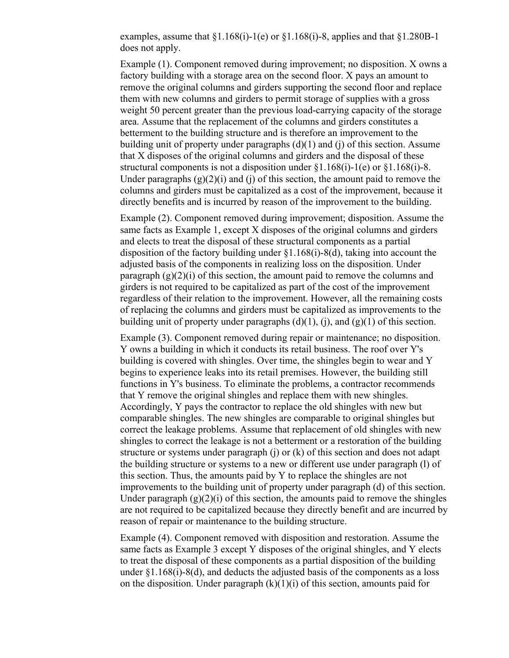examples, assume that  $\S1.168(i)$ -1(e) or  $\S1.168(i)$ -8, applies and that  $\S1.280B-1$ does not apply.

Example (1). Component removed during improvement; no disposition. X owns a factory building with a storage area on the second floor. X pays an amount to remove the original columns and girders supporting the second floor and replace them with new columns and girders to permit storage of supplies with a gross weight 50 percent greater than the previous load-carrying capacity of the storage area. Assume that the replacement of the columns and girders constitutes a betterment to the building structure and is therefore an improvement to the building unit of property under paragraphs  $(d)(1)$  and  $(i)$  of this section. Assume that X disposes of the original columns and girders and the disposal of these structural components is not a disposition under  $\S1.168(i)$ -1(e) or  $\S1.168(i)$ -8. Under paragraphs  $(g)(2)(i)$  and  $(i)$  of this section, the amount paid to remove the columns and girders must be capitalized as a cost of the improvement, because it directly benefits and is incurred by reason of the improvement to the building.

Example (2). Component removed during improvement; disposition. Assume the same facts as Example 1, except X disposes of the original columns and girders and elects to treat the disposal of these structural components as a partial disposition of the factory building under §1.168(i)-8(d), taking into account the adjusted basis of the components in realizing loss on the disposition. Under paragraph  $(g)(2)(i)$  of this section, the amount paid to remove the columns and girders is not required to be capitalized as part of the cost of the improvement regardless of their relation to the improvement. However, all the remaining costs of replacing the columns and girders must be capitalized as improvements to the building unit of property under paragraphs  $(d)(1)$ ,  $(i)$ , and  $(g)(1)$  of this section.

Example (3). Component removed during repair or maintenance; no disposition. Y owns a building in which it conducts its retail business. The roof over Y's building is covered with shingles. Over time, the shingles begin to wear and Y begins to experience leaks into its retail premises. However, the building still functions in Y's business. To eliminate the problems, a contractor recommends that Y remove the original shingles and replace them with new shingles. Accordingly, Y pays the contractor to replace the old shingles with new but comparable shingles. The new shingles are comparable to original shingles but correct the leakage problems. Assume that replacement of old shingles with new shingles to correct the leakage is not a betterment or a restoration of the building structure or systems under paragraph (j) or (k) of this section and does not adapt the building structure or systems to a new or different use under paragraph (l) of this section. Thus, the amounts paid by Y to replace the shingles are not improvements to the building unit of property under paragraph (d) of this section. Under paragraph  $(g)(2)(i)$  of this section, the amounts paid to remove the shingles are not required to be capitalized because they directly benefit and are incurred by reason of repair or maintenance to the building structure.

Example (4). Component removed with disposition and restoration. Assume the same facts as Example 3 except Y disposes of the original shingles, and Y elects to treat the disposal of these components as a partial disposition of the building under  $\S1.168(i)$ - $\S0$ , and deducts the adjusted basis of the components as a loss on the disposition. Under paragraph  $(k)(1)(i)$  of this section, amounts paid for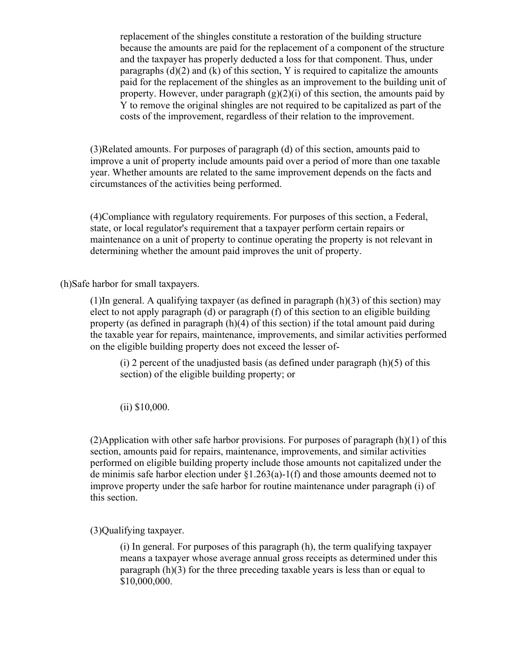replacement of the shingles constitute a restoration of the building structure because the amounts are paid for the replacement of a component of the structure and the taxpayer has properly deducted a loss for that component. Thus, under paragraphs  $(d)(2)$  and  $(k)$  of this section, Y is required to capitalize the amounts paid for the replacement of the shingles as an improvement to the building unit of property. However, under paragraph  $(g)(2)(i)$  of this section, the amounts paid by Y to remove the original shingles are not required to be capitalized as part of the costs of the improvement, regardless of their relation to the improvement.

(3)Related amounts. For purposes of paragraph (d) of this section, amounts paid to improve a unit of property include amounts paid over a period of more than one taxable year. Whether amounts are related to the same improvement depends on the facts and circumstances of the activities being performed.

(4)Compliance with regulatory requirements. For purposes of this section, a Federal, state, or local regulator's requirement that a taxpayer perform certain repairs or maintenance on a unit of property to continue operating the property is not relevant in determining whether the amount paid improves the unit of property.

(h)Safe harbor for small taxpayers.

(1)In general. A qualifying taxpayer (as defined in paragraph  $(h)(3)$  of this section) may elect to not apply paragraph (d) or paragraph (f) of this section to an eligible building property (as defined in paragraph (h)(4) of this section) if the total amount paid during the taxable year for repairs, maintenance, improvements, and similar activities performed on the eligible building property does not exceed the lesser of-

(i) 2 percent of the unadjusted basis (as defined under paragraph  $(h)(5)$  of this section) of the eligible building property; or

(ii) \$10,000.

(2)Application with other safe harbor provisions. For purposes of paragraph (h)(1) of this section, amounts paid for repairs, maintenance, improvements, and similar activities performed on eligible building property include those amounts not capitalized under the de minimis safe harbor election under §1.263(a)-1(f) and those amounts deemed not to improve property under the safe harbor for routine maintenance under paragraph (i) of this section.

(3)Qualifying taxpayer.

(i) In general. For purposes of this paragraph (h), the term qualifying taxpayer means a taxpayer whose average annual gross receipts as determined under this paragraph (h)(3) for the three preceding taxable years is less than or equal to \$10,000,000.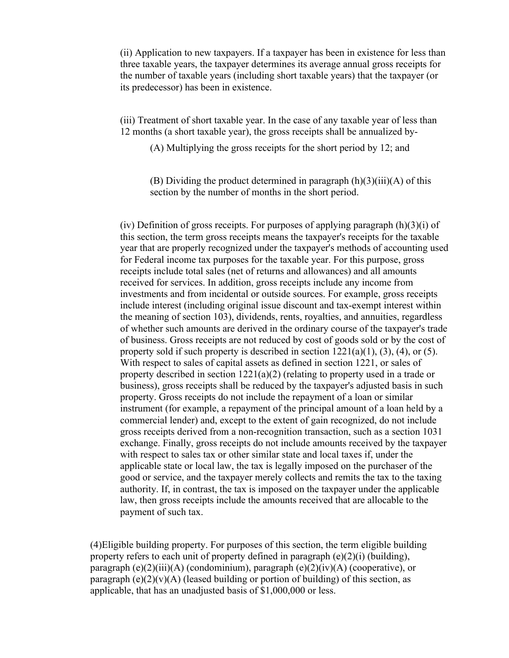(ii) Application to new taxpayers. If a taxpayer has been in existence for less than three taxable years, the taxpayer determines its average annual gross receipts for the number of taxable years (including short taxable years) that the taxpayer (or its predecessor) has been in existence.

(iii) Treatment of short taxable year. In the case of any taxable year of less than 12 months (a short taxable year), the gross receipts shall be annualized by-

(A) Multiplying the gross receipts for the short period by 12; and

(B) Dividing the product determined in paragraph  $(h)(3)(iii)(A)$  of this section by the number of months in the short period.

(iv) Definition of gross receipts. For purposes of applying paragraph  $(h)(3)(i)$  of this section, the term gross receipts means the taxpayer's receipts for the taxable year that are properly recognized under the taxpayer's methods of accounting used for Federal income tax purposes for the taxable year. For this purpose, gross receipts include total sales (net of returns and allowances) and all amounts received for services. In addition, gross receipts include any income from investments and from incidental or outside sources. For example, gross receipts include interest (including original issue discount and tax-exempt interest within the meaning of section 103), dividends, rents, royalties, and annuities, regardless of whether such amounts are derived in the ordinary course of the taxpayer's trade of business. Gross receipts are not reduced by cost of goods sold or by the cost of property sold if such property is described in section  $1221(a)(1)$ ,  $(3)$ ,  $(4)$ , or  $(5)$ . With respect to sales of capital assets as defined in section 1221, or sales of property described in section  $1221(a)(2)$  (relating to property used in a trade or business), gross receipts shall be reduced by the taxpayer's adjusted basis in such property. Gross receipts do not include the repayment of a loan or similar instrument (for example, a repayment of the principal amount of a loan held by a commercial lender) and, except to the extent of gain recognized, do not include gross receipts derived from a non-recognition transaction, such as a section 1031 exchange. Finally, gross receipts do not include amounts received by the taxpayer with respect to sales tax or other similar state and local taxes if, under the applicable state or local law, the tax is legally imposed on the purchaser of the good or service, and the taxpayer merely collects and remits the tax to the taxing authority. If, in contrast, the tax is imposed on the taxpayer under the applicable law, then gross receipts include the amounts received that are allocable to the payment of such tax.

(4)Eligible building property. For purposes of this section, the term eligible building property refers to each unit of property defined in paragraph (e)(2)(i) (building), paragraph (e)(2)(iii)(A) (condominium), paragraph (e)(2)(iv)(A) (cooperative), or paragraph (e) $(2)(v)(A)$  (leased building or portion of building) of this section, as applicable, that has an unadjusted basis of \$1,000,000 or less.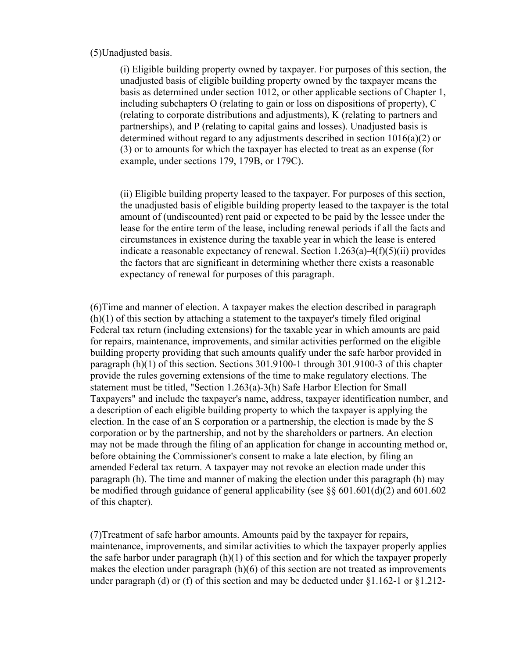## (5)Unadjusted basis.

(i) Eligible building property owned by taxpayer. For purposes of this section, the unadjusted basis of eligible building property owned by the taxpayer means the basis as determined under section 1012, or other applicable sections of Chapter 1, including subchapters O (relating to gain or loss on dispositions of property), C (relating to corporate distributions and adjustments), K (relating to partners and partnerships), and P (relating to capital gains and losses). Unadjusted basis is determined without regard to any adjustments described in section 1016(a)(2) or (3) or to amounts for which the taxpayer has elected to treat as an expense (for example, under sections 179, 179B, or 179C).

(ii) Eligible building property leased to the taxpayer. For purposes of this section, the unadjusted basis of eligible building property leased to the taxpayer is the total amount of (undiscounted) rent paid or expected to be paid by the lessee under the lease for the entire term of the lease, including renewal periods if all the facts and circumstances in existence during the taxable year in which the lease is entered indicate a reasonable expectancy of renewal. Section 1.263(a)-4(f)(5)(ii) provides the factors that are significant in determining whether there exists a reasonable expectancy of renewal for purposes of this paragraph.

(6)Time and manner of election. A taxpayer makes the election described in paragraph (h)(1) of this section by attaching a statement to the taxpayer's timely filed original Federal tax return (including extensions) for the taxable year in which amounts are paid for repairs, maintenance, improvements, and similar activities performed on the eligible building property providing that such amounts qualify under the safe harbor provided in paragraph (h)(1) of this section. Sections 301.9100-1 through 301.9100-3 of this chapter provide the rules governing extensions of the time to make regulatory elections. The statement must be titled, "Section 1.263(a)-3(h) Safe Harbor Election for Small Taxpayers" and include the taxpayer's name, address, taxpayer identification number, and a description of each eligible building property to which the taxpayer is applying the election. In the case of an S corporation or a partnership, the election is made by the S corporation or by the partnership, and not by the shareholders or partners. An election may not be made through the filing of an application for change in accounting method or, before obtaining the Commissioner's consent to make a late election, by filing an amended Federal tax return. A taxpayer may not revoke an election made under this paragraph (h). The time and manner of making the election under this paragraph (h) may be modified through guidance of general applicability (see  $\S\S 601.601(d)(2)$  and 601.602 of this chapter).

(7)Treatment of safe harbor amounts. Amounts paid by the taxpayer for repairs, maintenance, improvements, and similar activities to which the taxpayer properly applies the safe harbor under paragraph (h)(1) of this section and for which the taxpayer properly makes the election under paragraph (h)(6) of this section are not treated as improvements under paragraph (d) or (f) of this section and may be deducted under §1.162-1 or §1.212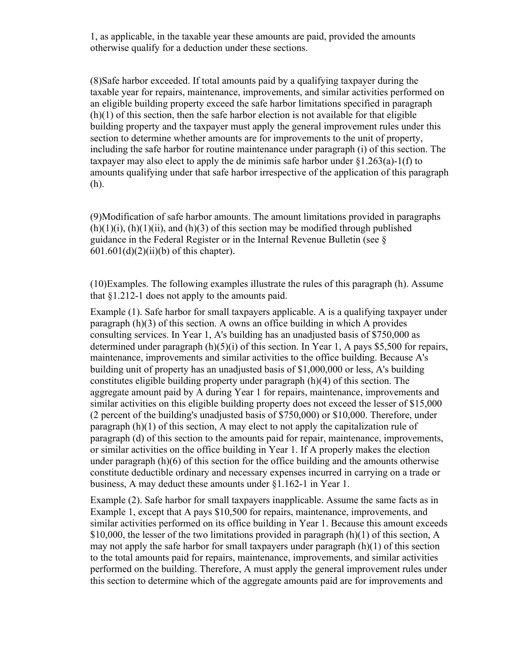1, as applicable, in the taxable year these amounts are paid, provided the amounts otherwise qualify for a deduction under these sections.

(8)Safe harbor exceeded. If total amounts paid by a qualifying taxpayer during the taxable year for repairs, maintenance, improvements, and similar activities performed on an eligible building property exceed the safe harbor limitations specified in paragraph (h)(1) of this section, then the safe harbor election is not available for that eligible building property and the taxpayer must apply the general improvement rules under this section to determine whether amounts are for improvements to the unit of property, including the safe harbor for routine maintenance under paragraph (i) of this section. The taxpayer may also elect to apply the de minimis safe harbor under  $\S 1.263(a)$ -1(f) to amounts qualifying under that safe harbor irrespective of the application of this paragraph (h).

(9)Modification of safe harbor amounts. The amount limitations provided in paragraphs  $(h)(1)(i)$ ,  $(h)(1)(ii)$ , and  $(h)(3)$  of this section may be modified through published guidance in the Federal Register or in the Internal Revenue Bulletin (see §  $601.601(d)(2)(ii)(b)$  of this chapter).

(10)Examples. The following examples illustrate the rules of this paragraph (h). Assume that §1.212-1 does not apply to the amounts paid.

Example (1). Safe harbor for small taxpayers applicable. A is a qualifying taxpayer under paragraph (h)(3) of this section. A owns an office building in which A provides consulting services. In Year 1, A's building has an unadjusted basis of \$750,000 as determined under paragraph  $(h)(5)(i)$  of this section. In Year 1, A pays \$5,500 for repairs, maintenance, improvements and similar activities to the office building. Because A's building unit of property has an unadjusted basis of \$1,000,000 or less, A's building constitutes eligible building property under paragraph (h)(4) of this section. The aggregate amount paid by A during Year 1 for repairs, maintenance, improvements and similar activities on this eligible building property does not exceed the lesser of \$15,000 (2 percent of the building's unadjusted basis of \$750,000) or \$10,000. Therefore, under paragraph (h)(1) of this section, A may elect to not apply the capitalization rule of paragraph (d) of this section to the amounts paid for repair, maintenance, improvements, or similar activities on the office building in Year 1. If A properly makes the election under paragraph (h)(6) of this section for the office building and the amounts otherwise constitute deductible ordinary and necessary expenses incurred in carrying on a trade or business, A may deduct these amounts under §1.162-1 in Year 1.

Example (2). Safe harbor for small taxpayers inapplicable. Assume the same facts as in Example 1, except that A pays \$10,500 for repairs, maintenance, improvements, and similar activities performed on its office building in Year 1. Because this amount exceeds \$10,000, the lesser of the two limitations provided in paragraph (h)(1) of this section, A may not apply the safe harbor for small taxpayers under paragraph (h)(1) of this section to the total amounts paid for repairs, maintenance, improvements, and similar activities performed on the building. Therefore, A must apply the general improvement rules under this section to determine which of the aggregate amounts paid are for improvements and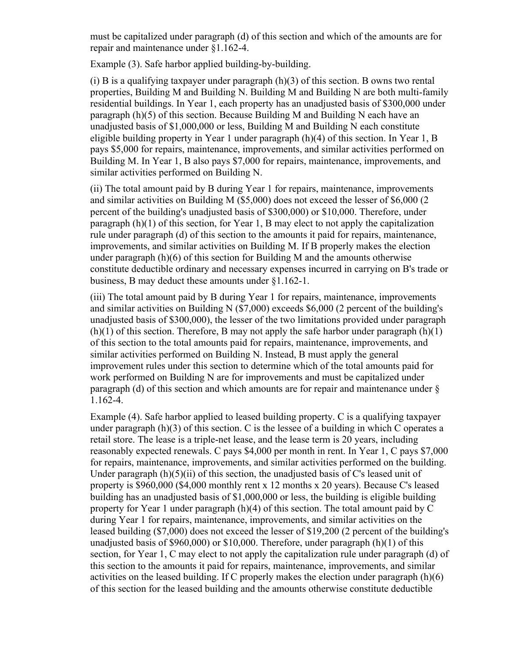must be capitalized under paragraph (d) of this section and which of the amounts are for repair and maintenance under §1.162-4.

Example (3). Safe harbor applied building-by-building.

(i) B is a qualifying taxpayer under paragraph  $(h)(3)$  of this section. B owns two rental properties, Building M and Building N. Building M and Building N are both multi-family residential buildings. In Year 1, each property has an unadjusted basis of \$300,000 under paragraph (h)(5) of this section. Because Building M and Building N each have an unadjusted basis of \$1,000,000 or less, Building M and Building N each constitute eligible building property in Year 1 under paragraph (h)(4) of this section. In Year 1, B pays \$5,000 for repairs, maintenance, improvements, and similar activities performed on Building M. In Year 1, B also pays \$7,000 for repairs, maintenance, improvements, and similar activities performed on Building N.

(ii) The total amount paid by B during Year 1 for repairs, maintenance, improvements and similar activities on Building M (\$5,000) does not exceed the lesser of \$6,000 (2 percent of the building's unadjusted basis of \$300,000) or \$10,000. Therefore, under paragraph (h)(1) of this section, for Year 1, B may elect to not apply the capitalization rule under paragraph (d) of this section to the amounts it paid for repairs, maintenance, improvements, and similar activities on Building M. If B properly makes the election under paragraph (h)(6) of this section for Building M and the amounts otherwise constitute deductible ordinary and necessary expenses incurred in carrying on B's trade or business, B may deduct these amounts under §1.162-1.

(iii) The total amount paid by B during Year 1 for repairs, maintenance, improvements and similar activities on Building N (\$7,000) exceeds \$6,000 (2 percent of the building's unadjusted basis of \$300,000), the lesser of the two limitations provided under paragraph  $(h)(1)$  of this section. Therefore, B may not apply the safe harbor under paragraph  $(h)(1)$ of this section to the total amounts paid for repairs, maintenance, improvements, and similar activities performed on Building N. Instead, B must apply the general improvement rules under this section to determine which of the total amounts paid for work performed on Building N are for improvements and must be capitalized under paragraph (d) of this section and which amounts are for repair and maintenance under § 1.162-4.

Example (4). Safe harbor applied to leased building property. C is a qualifying taxpayer under paragraph  $(h)(3)$  of this section. C is the lessee of a building in which C operates a retail store. The lease is a triple-net lease, and the lease term is 20 years, including reasonably expected renewals. C pays \$4,000 per month in rent. In Year 1, C pays \$7,000 for repairs, maintenance, improvements, and similar activities performed on the building. Under paragraph  $(h)(5)(ii)$  of this section, the unadjusted basis of C's leased unit of property is \$960,000 (\$4,000 monthly rent x 12 months x 20 years). Because C's leased building has an unadjusted basis of \$1,000,000 or less, the building is eligible building property for Year 1 under paragraph (h)(4) of this section. The total amount paid by C during Year 1 for repairs, maintenance, improvements, and similar activities on the leased building (\$7,000) does not exceed the lesser of \$19,200 (2 percent of the building's unadjusted basis of \$960,000) or \$10,000. Therefore, under paragraph (h)(1) of this section, for Year 1, C may elect to not apply the capitalization rule under paragraph (d) of this section to the amounts it paid for repairs, maintenance, improvements, and similar activities on the leased building. If C properly makes the election under paragraph (h)(6) of this section for the leased building and the amounts otherwise constitute deductible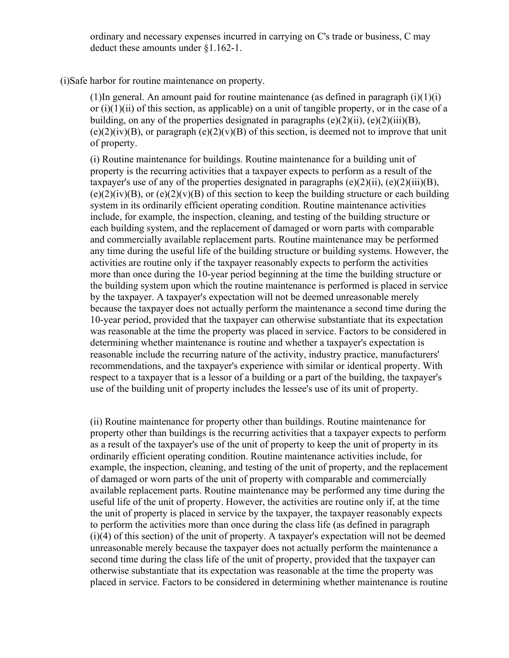ordinary and necessary expenses incurred in carrying on C's trade or business, C may deduct these amounts under §1.162-1.

(i)Safe harbor for routine maintenance on property.

(1)In general. An amount paid for routine maintenance (as defined in paragraph  $(i)(1)(i)$ or  $(i)(1)(ii)$  of this section, as applicable) on a unit of tangible property, or in the case of a building, on any of the properties designated in paragraphs  $(e)(2)(ii)$ ,  $(e)(2)(iii)(B)$ ,  $(e)(2)(iv)(B)$ , or paragraph  $(e)(2)(v)(B)$  of this section, is deemed not to improve that unit of property.

(i) Routine maintenance for buildings. Routine maintenance for a building unit of property is the recurring activities that a taxpayer expects to perform as a result of the taxpayer's use of any of the properties designated in paragraphs  $(e)(2)(ii)$ ,  $(e)(2)(iii)(B)$ ,  $(e)(2)(iv)(B)$ , or  $(e)(2)(v)(B)$  of this section to keep the building structure or each building system in its ordinarily efficient operating condition. Routine maintenance activities include, for example, the inspection, cleaning, and testing of the building structure or each building system, and the replacement of damaged or worn parts with comparable and commercially available replacement parts. Routine maintenance may be performed any time during the useful life of the building structure or building systems. However, the activities are routine only if the taxpayer reasonably expects to perform the activities more than once during the 10-year period beginning at the time the building structure or the building system upon which the routine maintenance is performed is placed in service by the taxpayer. A taxpayer's expectation will not be deemed unreasonable merely because the taxpayer does not actually perform the maintenance a second time during the 10-year period, provided that the taxpayer can otherwise substantiate that its expectation was reasonable at the time the property was placed in service. Factors to be considered in determining whether maintenance is routine and whether a taxpayer's expectation is reasonable include the recurring nature of the activity, industry practice, manufacturers' recommendations, and the taxpayer's experience with similar or identical property. With respect to a taxpayer that is a lessor of a building or a part of the building, the taxpayer's use of the building unit of property includes the lessee's use of its unit of property.

(ii) Routine maintenance for property other than buildings. Routine maintenance for property other than buildings is the recurring activities that a taxpayer expects to perform as a result of the taxpayer's use of the unit of property to keep the unit of property in its ordinarily efficient operating condition. Routine maintenance activities include, for example, the inspection, cleaning, and testing of the unit of property, and the replacement of damaged or worn parts of the unit of property with comparable and commercially available replacement parts. Routine maintenance may be performed any time during the useful life of the unit of property. However, the activities are routine only if, at the time the unit of property is placed in service by the taxpayer, the taxpayer reasonably expects to perform the activities more than once during the class life (as defined in paragraph (i)(4) of this section) of the unit of property. A taxpayer's expectation will not be deemed unreasonable merely because the taxpayer does not actually perform the maintenance a second time during the class life of the unit of property, provided that the taxpayer can otherwise substantiate that its expectation was reasonable at the time the property was placed in service. Factors to be considered in determining whether maintenance is routine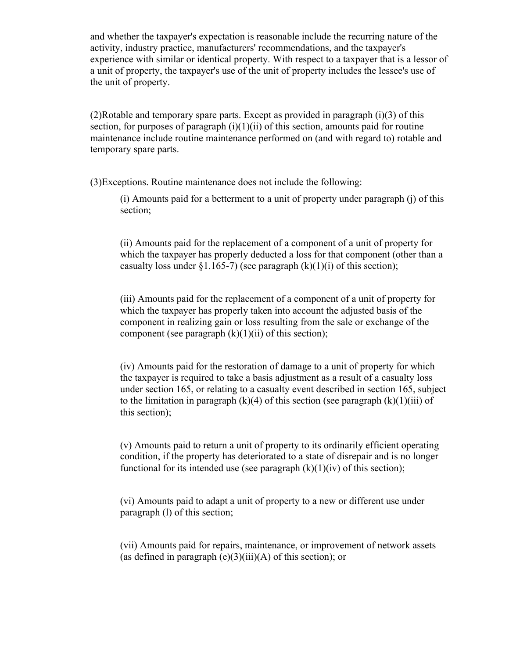and whether the taxpayer's expectation is reasonable include the recurring nature of the activity, industry practice, manufacturers' recommendations, and the taxpayer's experience with similar or identical property. With respect to a taxpayer that is a lessor of a unit of property, the taxpayer's use of the unit of property includes the lessee's use of the unit of property.

(2)Rotable and temporary spare parts. Except as provided in paragraph (i)(3) of this section, for purposes of paragraph  $(i)(1)(ii)$  of this section, amounts paid for routine maintenance include routine maintenance performed on (and with regard to) rotable and temporary spare parts.

(3)Exceptions. Routine maintenance does not include the following:

(i) Amounts paid for a betterment to a unit of property under paragraph (j) of this section;

(ii) Amounts paid for the replacement of a component of a unit of property for which the taxpayer has properly deducted a loss for that component (other than a casualty loss under §1.165-7) (see paragraph  $(k)(1)(i)$  of this section);

(iii) Amounts paid for the replacement of a component of a unit of property for which the taxpayer has properly taken into account the adjusted basis of the component in realizing gain or loss resulting from the sale or exchange of the component (see paragraph  $(k)(1)(ii)$  of this section);

(iv) Amounts paid for the restoration of damage to a unit of property for which the taxpayer is required to take a basis adjustment as a result of a casualty loss under section 165, or relating to a casualty event described in section 165, subject to the limitation in paragraph  $(k)(4)$  of this section (see paragraph  $(k)(1)(iii)$  of this section);

(v) Amounts paid to return a unit of property to its ordinarily efficient operating condition, if the property has deteriorated to a state of disrepair and is no longer functional for its intended use (see paragraph  $(k)(1)(iv)$  of this section);

(vi) Amounts paid to adapt a unit of property to a new or different use under paragraph (l) of this section;

(vii) Amounts paid for repairs, maintenance, or improvement of network assets (as defined in paragraph  $(e)(3)(iii)(A)$  of this section); or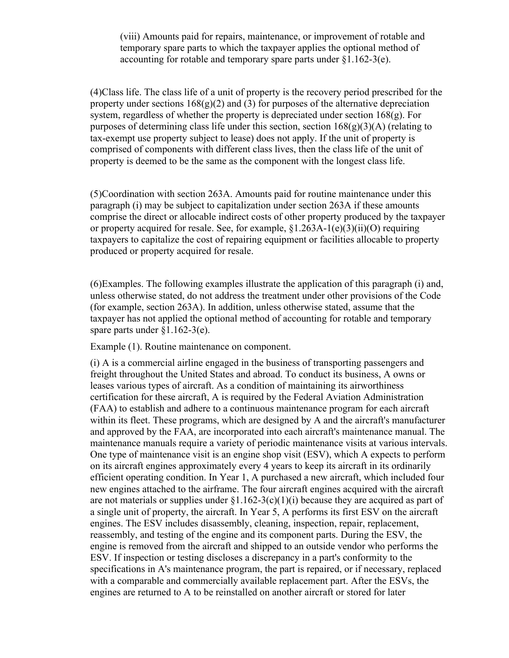(viii) Amounts paid for repairs, maintenance, or improvement of rotable and temporary spare parts to which the taxpayer applies the optional method of accounting for rotable and temporary spare parts under §1.162-3(e).

(4)Class life. The class life of a unit of property is the recovery period prescribed for the property under sections  $168(g)(2)$  and (3) for purposes of the alternative depreciation system, regardless of whether the property is depreciated under section 168(g). For purposes of determining class life under this section, section  $168(g)(3)(A)$  (relating to tax-exempt use property subject to lease) does not apply. If the unit of property is comprised of components with different class lives, then the class life of the unit of property is deemed to be the same as the component with the longest class life.

(5)Coordination with section 263A. Amounts paid for routine maintenance under this paragraph (i) may be subject to capitalization under section 263A if these amounts comprise the direct or allocable indirect costs of other property produced by the taxpayer or property acquired for resale. See, for example,  $$1.263A-1(e)(3)(ii)(O)$  requiring taxpayers to capitalize the cost of repairing equipment or facilities allocable to property produced or property acquired for resale.

(6)Examples. The following examples illustrate the application of this paragraph (i) and, unless otherwise stated, do not address the treatment under other provisions of the Code (for example, section 263A). In addition, unless otherwise stated, assume that the taxpayer has not applied the optional method of accounting for rotable and temporary spare parts under §1.162-3(e).

Example (1). Routine maintenance on component.

(i) A is a commercial airline engaged in the business of transporting passengers and freight throughout the United States and abroad. To conduct its business, A owns or leases various types of aircraft. As a condition of maintaining its airworthiness certification for these aircraft, A is required by the Federal Aviation Administration (FAA) to establish and adhere to a continuous maintenance program for each aircraft within its fleet. These programs, which are designed by A and the aircraft's manufacturer and approved by the FAA, are incorporated into each aircraft's maintenance manual. The maintenance manuals require a variety of periodic maintenance visits at various intervals. One type of maintenance visit is an engine shop visit (ESV), which A expects to perform on its aircraft engines approximately every 4 years to keep its aircraft in its ordinarily efficient operating condition. In Year 1, A purchased a new aircraft, which included four new engines attached to the airframe. The four aircraft engines acquired with the aircraft are not materials or supplies under  $\S1.162-3(c)(1)(i)$  because they are acquired as part of a single unit of property, the aircraft. In Year 5, A performs its first ESV on the aircraft engines. The ESV includes disassembly, cleaning, inspection, repair, replacement, reassembly, and testing of the engine and its component parts. During the ESV, the engine is removed from the aircraft and shipped to an outside vendor who performs the ESV. If inspection or testing discloses a discrepancy in a part's conformity to the specifications in A's maintenance program, the part is repaired, or if necessary, replaced with a comparable and commercially available replacement part. After the ESVs, the engines are returned to A to be reinstalled on another aircraft or stored for later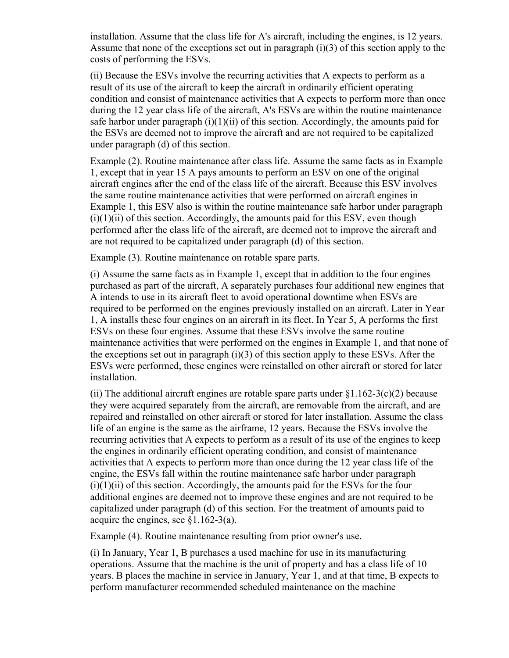installation. Assume that the class life for A's aircraft, including the engines, is 12 years. Assume that none of the exceptions set out in paragraph (i)(3) of this section apply to the costs of performing the ESVs.

(ii) Because the ESVs involve the recurring activities that A expects to perform as a result of its use of the aircraft to keep the aircraft in ordinarily efficient operating condition and consist of maintenance activities that A expects to perform more than once during the 12 year class life of the aircraft, A's ESVs are within the routine maintenance safe harbor under paragraph  $(i)(1)(ii)$  of this section. Accordingly, the amounts paid for the ESVs are deemed not to improve the aircraft and are not required to be capitalized under paragraph (d) of this section.

Example (2). Routine maintenance after class life. Assume the same facts as in Example 1, except that in year 15 A pays amounts to perform an ESV on one of the original aircraft engines after the end of the class life of the aircraft. Because this ESV involves the same routine maintenance activities that were performed on aircraft engines in Example 1, this ESV also is within the routine maintenance safe harbor under paragraph  $(i)(1)(ii)$  of this section. Accordingly, the amounts paid for this ESV, even though performed after the class life of the aircraft, are deemed not to improve the aircraft and are not required to be capitalized under paragraph (d) of this section.

Example (3). Routine maintenance on rotable spare parts.

(i) Assume the same facts as in Example 1, except that in addition to the four engines purchased as part of the aircraft, A separately purchases four additional new engines that A intends to use in its aircraft fleet to avoid operational downtime when ESVs are required to be performed on the engines previously installed on an aircraft. Later in Year 1, A installs these four engines on an aircraft in its fleet. In Year 5, A performs the first ESVs on these four engines. Assume that these ESVs involve the same routine maintenance activities that were performed on the engines in Example 1, and that none of the exceptions set out in paragraph  $(i)(3)$  of this section apply to these ESVs. After the ESVs were performed, these engines were reinstalled on other aircraft or stored for later installation.

(ii) The additional aircraft engines are rotable spare parts under  $\S1.162-3(c)(2)$  because they were acquired separately from the aircraft, are removable from the aircraft, and are repaired and reinstalled on other aircraft or stored for later installation. Assume the class life of an engine is the same as the airframe, 12 years. Because the ESVs involve the recurring activities that A expects to perform as a result of its use of the engines to keep the engines in ordinarily efficient operating condition, and consist of maintenance activities that A expects to perform more than once during the 12 year class life of the engine, the ESVs fall within the routine maintenance safe harbor under paragraph  $(i)(1)(ii)$  of this section. Accordingly, the amounts paid for the ESVs for the four additional engines are deemed not to improve these engines and are not required to be capitalized under paragraph (d) of this section. For the treatment of amounts paid to acquire the engines, see §1.162-3(a).

Example (4). Routine maintenance resulting from prior owner's use.

(i) In January, Year 1, B purchases a used machine for use in its manufacturing operations. Assume that the machine is the unit of property and has a class life of 10 years. B places the machine in service in January, Year 1, and at that time, B expects to perform manufacturer recommended scheduled maintenance on the machine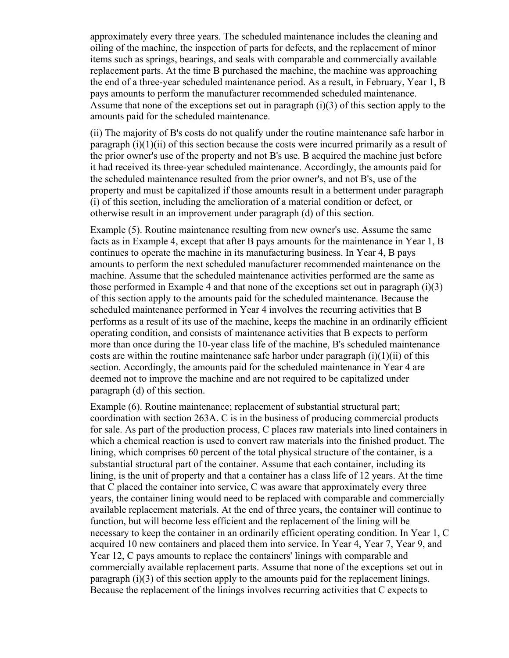approximately every three years. The scheduled maintenance includes the cleaning and oiling of the machine, the inspection of parts for defects, and the replacement of minor items such as springs, bearings, and seals with comparable and commercially available replacement parts. At the time B purchased the machine, the machine was approaching the end of a three-year scheduled maintenance period. As a result, in February, Year 1, B pays amounts to perform the manufacturer recommended scheduled maintenance. Assume that none of the exceptions set out in paragraph (i)(3) of this section apply to the amounts paid for the scheduled maintenance.

(ii) The majority of B's costs do not qualify under the routine maintenance safe harbor in paragraph  $(i)(1)(ii)$  of this section because the costs were incurred primarily as a result of the prior owner's use of the property and not B's use. B acquired the machine just before it had received its three-year scheduled maintenance. Accordingly, the amounts paid for the scheduled maintenance resulted from the prior owner's, and not B's, use of the property and must be capitalized if those amounts result in a betterment under paragraph (i) of this section, including the amelioration of a material condition or defect, or otherwise result in an improvement under paragraph (d) of this section.

Example (5). Routine maintenance resulting from new owner's use. Assume the same facts as in Example 4, except that after B pays amounts for the maintenance in Year 1, B continues to operate the machine in its manufacturing business. In Year 4, B pays amounts to perform the next scheduled manufacturer recommended maintenance on the machine. Assume that the scheduled maintenance activities performed are the same as those performed in Example 4 and that none of the exceptions set out in paragraph (i)(3) of this section apply to the amounts paid for the scheduled maintenance. Because the scheduled maintenance performed in Year 4 involves the recurring activities that B performs as a result of its use of the machine, keeps the machine in an ordinarily efficient operating condition, and consists of maintenance activities that B expects to perform more than once during the 10-year class life of the machine, B's scheduled maintenance costs are within the routine maintenance safe harbor under paragraph  $(i)(1)(ii)$  of this section. Accordingly, the amounts paid for the scheduled maintenance in Year 4 are deemed not to improve the machine and are not required to be capitalized under paragraph (d) of this section.

Example (6). Routine maintenance; replacement of substantial structural part; coordination with section 263A. C is in the business of producing commercial products for sale. As part of the production process, C places raw materials into lined containers in which a chemical reaction is used to convert raw materials into the finished product. The lining, which comprises 60 percent of the total physical structure of the container, is a substantial structural part of the container. Assume that each container, including its lining, is the unit of property and that a container has a class life of 12 years. At the time that C placed the container into service, C was aware that approximately every three years, the container lining would need to be replaced with comparable and commercially available replacement materials. At the end of three years, the container will continue to function, but will become less efficient and the replacement of the lining will be necessary to keep the container in an ordinarily efficient operating condition. In Year 1, C acquired 10 new containers and placed them into service. In Year 4, Year 7, Year 9, and Year 12, C pays amounts to replace the containers' linings with comparable and commercially available replacement parts. Assume that none of the exceptions set out in paragraph (i)(3) of this section apply to the amounts paid for the replacement linings. Because the replacement of the linings involves recurring activities that C expects to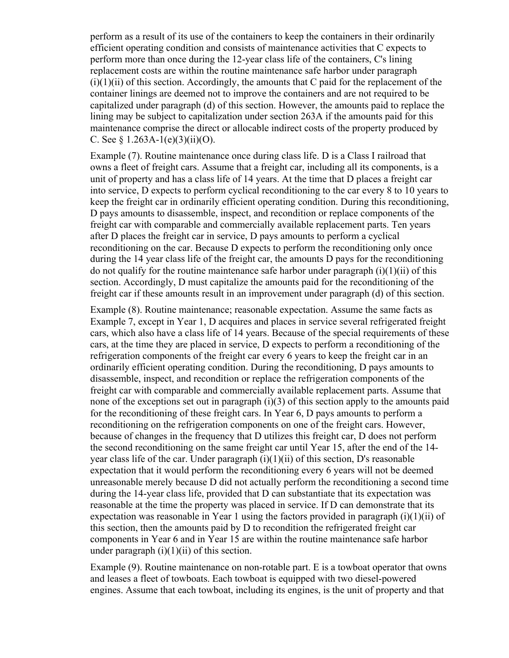perform as a result of its use of the containers to keep the containers in their ordinarily efficient operating condition and consists of maintenance activities that C expects to perform more than once during the 12-year class life of the containers, C's lining replacement costs are within the routine maintenance safe harbor under paragraph  $(i)(1)(ii)$  of this section. Accordingly, the amounts that C paid for the replacement of the container linings are deemed not to improve the containers and are not required to be capitalized under paragraph (d) of this section. However, the amounts paid to replace the lining may be subject to capitalization under section 263A if the amounts paid for this maintenance comprise the direct or allocable indirect costs of the property produced by C. See  $\frac{1.263A-1(e)(3)(ii)(O)}{1.263A-1(e)(3)(ii)(O)}$ .

Example (7). Routine maintenance once during class life. D is a Class I railroad that owns a fleet of freight cars. Assume that a freight car, including all its components, is a unit of property and has a class life of 14 years. At the time that D places a freight car into service, D expects to perform cyclical reconditioning to the car every 8 to 10 years to keep the freight car in ordinarily efficient operating condition. During this reconditioning, D pays amounts to disassemble, inspect, and recondition or replace components of the freight car with comparable and commercially available replacement parts. Ten years after D places the freight car in service, D pays amounts to perform a cyclical reconditioning on the car. Because D expects to perform the reconditioning only once during the 14 year class life of the freight car, the amounts D pays for the reconditioning do not qualify for the routine maintenance safe harbor under paragraph  $(i)(1)(ii)$  of this section. Accordingly, D must capitalize the amounts paid for the reconditioning of the freight car if these amounts result in an improvement under paragraph (d) of this section.

Example (8). Routine maintenance; reasonable expectation. Assume the same facts as Example 7, except in Year 1, D acquires and places in service several refrigerated freight cars, which also have a class life of 14 years. Because of the special requirements of these cars, at the time they are placed in service, D expects to perform a reconditioning of the refrigeration components of the freight car every 6 years to keep the freight car in an ordinarily efficient operating condition. During the reconditioning, D pays amounts to disassemble, inspect, and recondition or replace the refrigeration components of the freight car with comparable and commercially available replacement parts. Assume that none of the exceptions set out in paragraph (i)(3) of this section apply to the amounts paid for the reconditioning of these freight cars. In Year 6, D pays amounts to perform a reconditioning on the refrigeration components on one of the freight cars. However, because of changes in the frequency that D utilizes this freight car, D does not perform the second reconditioning on the same freight car until Year 15, after the end of the 14 year class life of the car. Under paragraph  $(i)(1)(ii)$  of this section, D's reasonable expectation that it would perform the reconditioning every 6 years will not be deemed unreasonable merely because D did not actually perform the reconditioning a second time during the 14-year class life, provided that D can substantiate that its expectation was reasonable at the time the property was placed in service. If D can demonstrate that its expectation was reasonable in Year 1 using the factors provided in paragraph  $(i)(1)(ii)$  of this section, then the amounts paid by D to recondition the refrigerated freight car components in Year 6 and in Year 15 are within the routine maintenance safe harbor under paragraph  $(i)(1)(ii)$  of this section.

Example (9). Routine maintenance on non-rotable part. E is a towboat operator that owns and leases a fleet of towboats. Each towboat is equipped with two diesel-powered engines. Assume that each towboat, including its engines, is the unit of property and that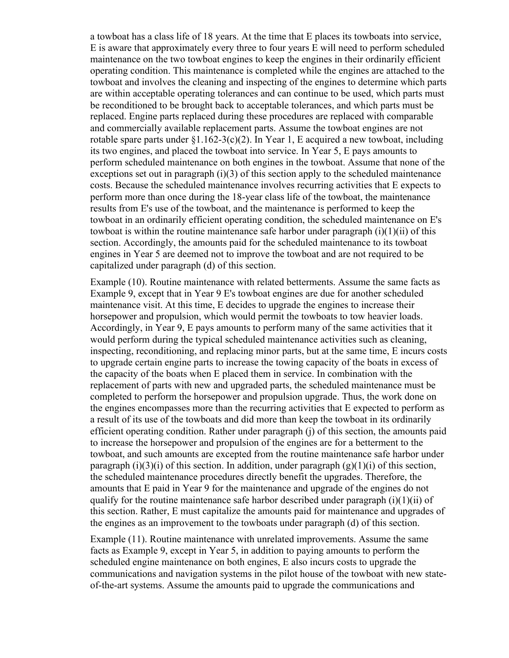a towboat has a class life of 18 years. At the time that E places its towboats into service, E is aware that approximately every three to four years E will need to perform scheduled maintenance on the two towboat engines to keep the engines in their ordinarily efficient operating condition. This maintenance is completed while the engines are attached to the towboat and involves the cleaning and inspecting of the engines to determine which parts are within acceptable operating tolerances and can continue to be used, which parts must be reconditioned to be brought back to acceptable tolerances, and which parts must be replaced. Engine parts replaced during these procedures are replaced with comparable and commercially available replacement parts. Assume the towboat engines are not rotable spare parts under  $\S1.162-3(c)(2)$ . In Year 1, E acquired a new towboat, including its two engines, and placed the towboat into service. In Year 5, E pays amounts to perform scheduled maintenance on both engines in the towboat. Assume that none of the exceptions set out in paragraph  $(i)(3)$  of this section apply to the scheduled maintenance costs. Because the scheduled maintenance involves recurring activities that E expects to perform more than once during the 18-year class life of the towboat, the maintenance results from E's use of the towboat, and the maintenance is performed to keep the towboat in an ordinarily efficient operating condition, the scheduled maintenance on E's towboat is within the routine maintenance safe harbor under paragraph  $(i)(1)(ii)$  of this section. Accordingly, the amounts paid for the scheduled maintenance to its towboat engines in Year 5 are deemed not to improve the towboat and are not required to be capitalized under paragraph (d) of this section.

Example (10). Routine maintenance with related betterments. Assume the same facts as Example 9, except that in Year 9 E's towboat engines are due for another scheduled maintenance visit. At this time, E decides to upgrade the engines to increase their horsepower and propulsion, which would permit the towboats to tow heavier loads. Accordingly, in Year 9, E pays amounts to perform many of the same activities that it would perform during the typical scheduled maintenance activities such as cleaning, inspecting, reconditioning, and replacing minor parts, but at the same time, E incurs costs to upgrade certain engine parts to increase the towing capacity of the boats in excess of the capacity of the boats when E placed them in service. In combination with the replacement of parts with new and upgraded parts, the scheduled maintenance must be completed to perform the horsepower and propulsion upgrade. Thus, the work done on the engines encompasses more than the recurring activities that E expected to perform as a result of its use of the towboats and did more than keep the towboat in its ordinarily efficient operating condition. Rather under paragraph (j) of this section, the amounts paid to increase the horsepower and propulsion of the engines are for a betterment to the towboat, and such amounts are excepted from the routine maintenance safe harbor under paragraph  $(i)(3)(i)$  of this section. In addition, under paragraph  $(g)(1)(i)$  of this section, the scheduled maintenance procedures directly benefit the upgrades. Therefore, the amounts that E paid in Year 9 for the maintenance and upgrade of the engines do not qualify for the routine maintenance safe harbor described under paragraph  $(i)(1)(ii)$  of this section. Rather, E must capitalize the amounts paid for maintenance and upgrades of the engines as an improvement to the towboats under paragraph (d) of this section.

Example (11). Routine maintenance with unrelated improvements. Assume the same facts as Example 9, except in Year 5, in addition to paying amounts to perform the scheduled engine maintenance on both engines, E also incurs costs to upgrade the communications and navigation systems in the pilot house of the towboat with new stateof-the-art systems. Assume the amounts paid to upgrade the communications and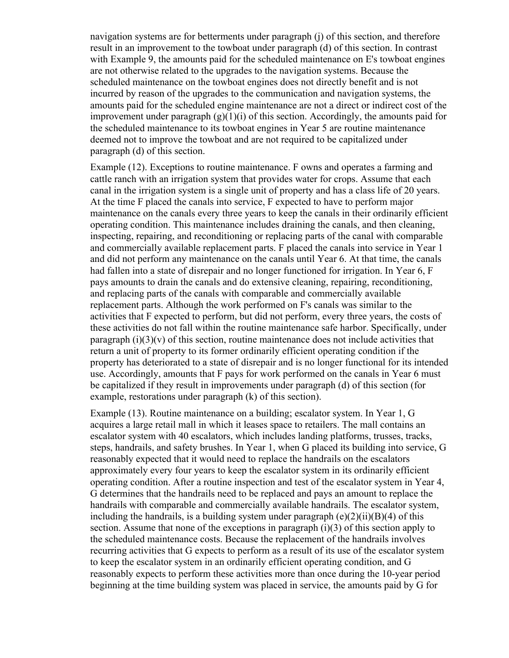navigation systems are for betterments under paragraph (j) of this section, and therefore result in an improvement to the towboat under paragraph (d) of this section. In contrast with Example 9, the amounts paid for the scheduled maintenance on E's towboat engines are not otherwise related to the upgrades to the navigation systems. Because the scheduled maintenance on the towboat engines does not directly benefit and is not incurred by reason of the upgrades to the communication and navigation systems, the amounts paid for the scheduled engine maintenance are not a direct or indirect cost of the improvement under paragraph  $(g)(1)(i)$  of this section. Accordingly, the amounts paid for the scheduled maintenance to its towboat engines in Year 5 are routine maintenance deemed not to improve the towboat and are not required to be capitalized under paragraph (d) of this section.

Example (12). Exceptions to routine maintenance. F owns and operates a farming and cattle ranch with an irrigation system that provides water for crops. Assume that each canal in the irrigation system is a single unit of property and has a class life of 20 years. At the time F placed the canals into service, F expected to have to perform major maintenance on the canals every three years to keep the canals in their ordinarily efficient operating condition. This maintenance includes draining the canals, and then cleaning, inspecting, repairing, and reconditioning or replacing parts of the canal with comparable and commercially available replacement parts. F placed the canals into service in Year 1 and did not perform any maintenance on the canals until Year 6. At that time, the canals had fallen into a state of disrepair and no longer functioned for irrigation. In Year 6, F pays amounts to drain the canals and do extensive cleaning, repairing, reconditioning, and replacing parts of the canals with comparable and commercially available replacement parts. Although the work performed on F's canals was similar to the activities that F expected to perform, but did not perform, every three years, the costs of these activities do not fall within the routine maintenance safe harbor. Specifically, under paragraph  $(i)(3)(v)$  of this section, routine maintenance does not include activities that return a unit of property to its former ordinarily efficient operating condition if the property has deteriorated to a state of disrepair and is no longer functional for its intended use. Accordingly, amounts that F pays for work performed on the canals in Year 6 must be capitalized if they result in improvements under paragraph (d) of this section (for example, restorations under paragraph (k) of this section).

Example (13). Routine maintenance on a building; escalator system. In Year 1, G acquires a large retail mall in which it leases space to retailers. The mall contains an escalator system with 40 escalators, which includes landing platforms, trusses, tracks, steps, handrails, and safety brushes. In Year 1, when G placed its building into service, G reasonably expected that it would need to replace the handrails on the escalators approximately every four years to keep the escalator system in its ordinarily efficient operating condition. After a routine inspection and test of the escalator system in Year 4, G determines that the handrails need to be replaced and pays an amount to replace the handrails with comparable and commercially available handrails. The escalator system, including the handrails, is a building system under paragraph  $(e)(2)(ii)(B)(4)$  of this section. Assume that none of the exceptions in paragraph  $(i)(3)$  of this section apply to the scheduled maintenance costs. Because the replacement of the handrails involves recurring activities that G expects to perform as a result of its use of the escalator system to keep the escalator system in an ordinarily efficient operating condition, and G reasonably expects to perform these activities more than once during the 10-year period beginning at the time building system was placed in service, the amounts paid by G for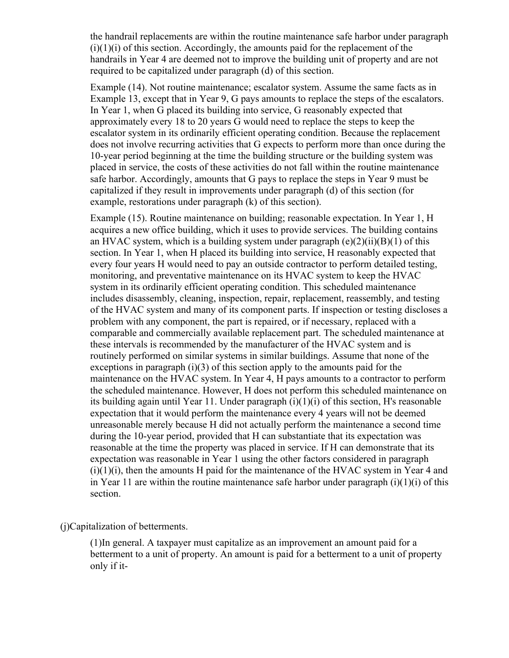the handrail replacements are within the routine maintenance safe harbor under paragraph  $(i)(1)(i)$  of this section. Accordingly, the amounts paid for the replacement of the handrails in Year 4 are deemed not to improve the building unit of property and are not required to be capitalized under paragraph (d) of this section.

Example (14). Not routine maintenance; escalator system. Assume the same facts as in Example 13, except that in Year 9, G pays amounts to replace the steps of the escalators. In Year 1, when G placed its building into service, G reasonably expected that approximately every 18 to 20 years G would need to replace the steps to keep the escalator system in its ordinarily efficient operating condition. Because the replacement does not involve recurring activities that G expects to perform more than once during the 10-year period beginning at the time the building structure or the building system was placed in service, the costs of these activities do not fall within the routine maintenance safe harbor. Accordingly, amounts that G pays to replace the steps in Year 9 must be capitalized if they result in improvements under paragraph (d) of this section (for example, restorations under paragraph (k) of this section).

Example (15). Routine maintenance on building; reasonable expectation. In Year 1, H acquires a new office building, which it uses to provide services. The building contains an HVAC system, which is a building system under paragraph  $(e)(2)(ii)(B)(1)$  of this section. In Year 1, when H placed its building into service, H reasonably expected that every four years H would need to pay an outside contractor to perform detailed testing, monitoring, and preventative maintenance on its HVAC system to keep the HVAC system in its ordinarily efficient operating condition. This scheduled maintenance includes disassembly, cleaning, inspection, repair, replacement, reassembly, and testing of the HVAC system and many of its component parts. If inspection or testing discloses a problem with any component, the part is repaired, or if necessary, replaced with a comparable and commercially available replacement part. The scheduled maintenance at these intervals is recommended by the manufacturer of the HVAC system and is routinely performed on similar systems in similar buildings. Assume that none of the exceptions in paragraph  $(i)(3)$  of this section apply to the amounts paid for the maintenance on the HVAC system. In Year 4, H pays amounts to a contractor to perform the scheduled maintenance. However, H does not perform this scheduled maintenance on its building again until Year 11. Under paragraph  $(i)(1)(i)$  of this section, H's reasonable expectation that it would perform the maintenance every 4 years will not be deemed unreasonable merely because H did not actually perform the maintenance a second time during the 10-year period, provided that H can substantiate that its expectation was reasonable at the time the property was placed in service. If H can demonstrate that its expectation was reasonable in Year 1 using the other factors considered in paragraph  $(i)(1)(i)$ , then the amounts H paid for the maintenance of the HVAC system in Year 4 and in Year 11 are within the routine maintenance safe harbor under paragraph  $(i)(1)(i)$  of this section.

(j)Capitalization of betterments.

(1)In general. A taxpayer must capitalize as an improvement an amount paid for a betterment to a unit of property. An amount is paid for a betterment to a unit of property only if it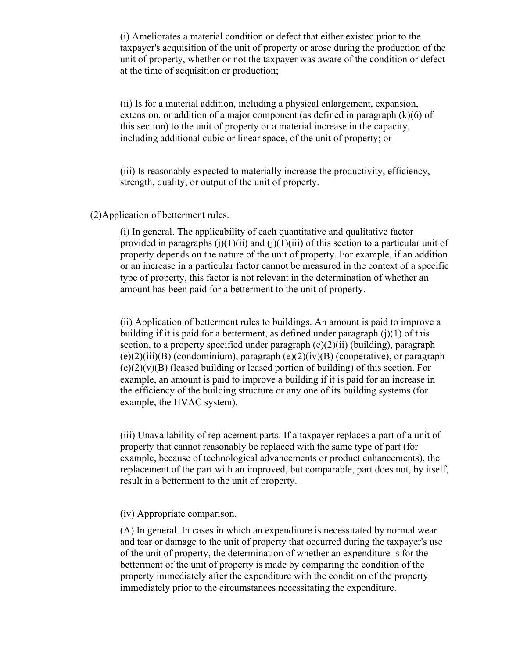(i) Ameliorates a material condition or defect that either existed prior to the taxpayer's acquisition of the unit of property or arose during the production of the unit of property, whether or not the taxpayer was aware of the condition or defect at the time of acquisition or production;

(ii) Is for a material addition, including a physical enlargement, expansion, extension, or addition of a major component (as defined in paragraph  $(k)(6)$  of this section) to the unit of property or a material increase in the capacity, including additional cubic or linear space, of the unit of property; or

(iii) Is reasonably expected to materially increase the productivity, efficiency, strength, quality, or output of the unit of property.

(2)Application of betterment rules.

(i) In general. The applicability of each quantitative and qualitative factor provided in paragraphs (j)(1)(ii) and (j)(1)(iii) of this section to a particular unit of property depends on the nature of the unit of property. For example, if an addition or an increase in a particular factor cannot be measured in the context of a specific type of property, this factor is not relevant in the determination of whether an amount has been paid for a betterment to the unit of property.

(ii) Application of betterment rules to buildings. An amount is paid to improve a building if it is paid for a betterment, as defined under paragraph  $(i)(1)$  of this section, to a property specified under paragraph  $(e)(2)(ii)$  (building), paragraph  $(e)(2)(iii)(B)$  (condominium), paragraph  $(e)(2)(iv)(B)$  (cooperative), or paragraph  $(e)(2)(v)(B)$  (leased building or leased portion of building) of this section. For example, an amount is paid to improve a building if it is paid for an increase in the efficiency of the building structure or any one of its building systems (for example, the HVAC system).

(iii) Unavailability of replacement parts. If a taxpayer replaces a part of a unit of property that cannot reasonably be replaced with the same type of part (for example, because of technological advancements or product enhancements), the replacement of the part with an improved, but comparable, part does not, by itself, result in a betterment to the unit of property.

(iv) Appropriate comparison.

(A) In general. In cases in which an expenditure is necessitated by normal wear and tear or damage to the unit of property that occurred during the taxpayer's use of the unit of property, the determination of whether an expenditure is for the betterment of the unit of property is made by comparing the condition of the property immediately after the expenditure with the condition of the property immediately prior to the circumstances necessitating the expenditure.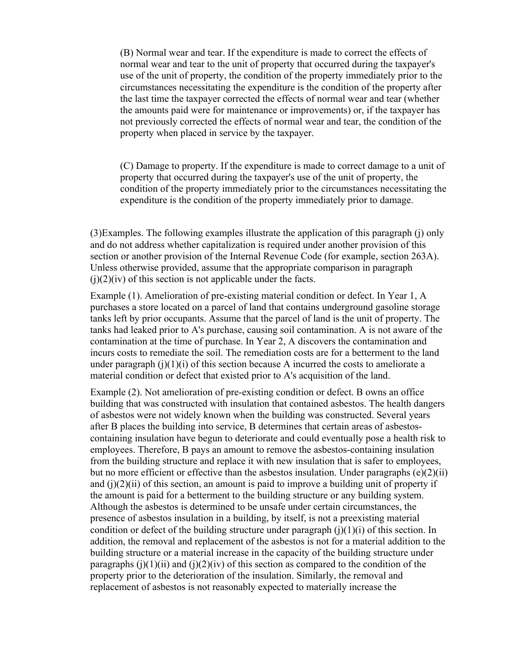(B) Normal wear and tear. If the expenditure is made to correct the effects of normal wear and tear to the unit of property that occurred during the taxpayer's use of the unit of property, the condition of the property immediately prior to the circumstances necessitating the expenditure is the condition of the property after the last time the taxpayer corrected the effects of normal wear and tear (whether the amounts paid were for maintenance or improvements) or, if the taxpayer has not previously corrected the effects of normal wear and tear, the condition of the property when placed in service by the taxpayer.

(C) Damage to property. If the expenditure is made to correct damage to a unit of property that occurred during the taxpayer's use of the unit of property, the condition of the property immediately prior to the circumstances necessitating the expenditure is the condition of the property immediately prior to damage.

(3)Examples. The following examples illustrate the application of this paragraph (j) only and do not address whether capitalization is required under another provision of this section or another provision of the Internal Revenue Code (for example, section 263A). Unless otherwise provided, assume that the appropriate comparison in paragraph  $(i)(2)(iv)$  of this section is not applicable under the facts.

Example (1). Amelioration of pre-existing material condition or defect. In Year 1, A purchases a store located on a parcel of land that contains underground gasoline storage tanks left by prior occupants. Assume that the parcel of land is the unit of property. The tanks had leaked prior to A's purchase, causing soil contamination. A is not aware of the contamination at the time of purchase. In Year 2, A discovers the contamination and incurs costs to remediate the soil. The remediation costs are for a betterment to the land under paragraph  $(j)(1)(i)$  of this section because A incurred the costs to ameliorate a material condition or defect that existed prior to A's acquisition of the land.

Example (2). Not amelioration of pre-existing condition or defect. B owns an office building that was constructed with insulation that contained asbestos. The health dangers of asbestos were not widely known when the building was constructed. Several years after B places the building into service, B determines that certain areas of asbestoscontaining insulation have begun to deteriorate and could eventually pose a health risk to employees. Therefore, B pays an amount to remove the asbestos-containing insulation from the building structure and replace it with new insulation that is safer to employees, but no more efficient or effective than the asbestos insulation. Under paragraphs  $(e)(2)(ii)$ and  $(i)(2)(ii)$  of this section, an amount is paid to improve a building unit of property if the amount is paid for a betterment to the building structure or any building system. Although the asbestos is determined to be unsafe under certain circumstances, the presence of asbestos insulation in a building, by itself, is not a preexisting material condition or defect of the building structure under paragraph  $(i)(1)(i)$  of this section. In addition, the removal and replacement of the asbestos is not for a material addition to the building structure or a material increase in the capacity of the building structure under paragraphs (j)(1)(ii) and (j)(2)(iv) of this section as compared to the condition of the property prior to the deterioration of the insulation. Similarly, the removal and replacement of asbestos is not reasonably expected to materially increase the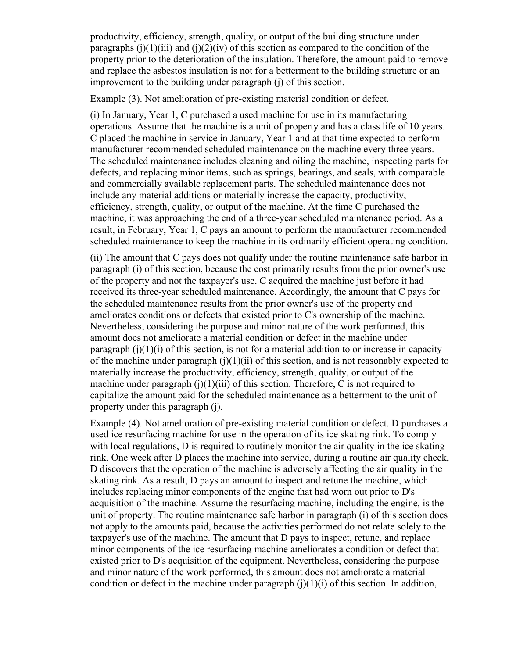productivity, efficiency, strength, quality, or output of the building structure under paragraphs (j)(1)(iii) and (j)(2)(iv) of this section as compared to the condition of the property prior to the deterioration of the insulation. Therefore, the amount paid to remove and replace the asbestos insulation is not for a betterment to the building structure or an improvement to the building under paragraph (j) of this section.

Example (3). Not amelioration of pre-existing material condition or defect.

(i) In January, Year 1, C purchased a used machine for use in its manufacturing operations. Assume that the machine is a unit of property and has a class life of 10 years. C placed the machine in service in January, Year 1 and at that time expected to perform manufacturer recommended scheduled maintenance on the machine every three years. The scheduled maintenance includes cleaning and oiling the machine, inspecting parts for defects, and replacing minor items, such as springs, bearings, and seals, with comparable and commercially available replacement parts. The scheduled maintenance does not include any material additions or materially increase the capacity, productivity, efficiency, strength, quality, or output of the machine. At the time C purchased the machine, it was approaching the end of a three-year scheduled maintenance period. As a result, in February, Year 1, C pays an amount to perform the manufacturer recommended scheduled maintenance to keep the machine in its ordinarily efficient operating condition.

(ii) The amount that C pays does not qualify under the routine maintenance safe harbor in paragraph (i) of this section, because the cost primarily results from the prior owner's use of the property and not the taxpayer's use. C acquired the machine just before it had received its three-year scheduled maintenance. Accordingly, the amount that C pays for the scheduled maintenance results from the prior owner's use of the property and ameliorates conditions or defects that existed prior to C's ownership of the machine. Nevertheless, considering the purpose and minor nature of the work performed, this amount does not ameliorate a material condition or defect in the machine under paragraph  $(i)(1)(i)$  of this section, is not for a material addition to or increase in capacity of the machine under paragraph  $(i)(1)(ii)$  of this section, and is not reasonably expected to materially increase the productivity, efficiency, strength, quality, or output of the machine under paragraph  $(i)(1)(iii)$  of this section. Therefore, C is not required to capitalize the amount paid for the scheduled maintenance as a betterment to the unit of property under this paragraph (j).

Example (4). Not amelioration of pre-existing material condition or defect. D purchases a used ice resurfacing machine for use in the operation of its ice skating rink. To comply with local regulations, D is required to routinely monitor the air quality in the ice skating rink. One week after D places the machine into service, during a routine air quality check, D discovers that the operation of the machine is adversely affecting the air quality in the skating rink. As a result, D pays an amount to inspect and retune the machine, which includes replacing minor components of the engine that had worn out prior to D's acquisition of the machine. Assume the resurfacing machine, including the engine, is the unit of property. The routine maintenance safe harbor in paragraph (i) of this section does not apply to the amounts paid, because the activities performed do not relate solely to the taxpayer's use of the machine. The amount that D pays to inspect, retune, and replace minor components of the ice resurfacing machine ameliorates a condition or defect that existed prior to D's acquisition of the equipment. Nevertheless, considering the purpose and minor nature of the work performed, this amount does not ameliorate a material condition or defect in the machine under paragraph  $(i)(1)(i)$  of this section. In addition,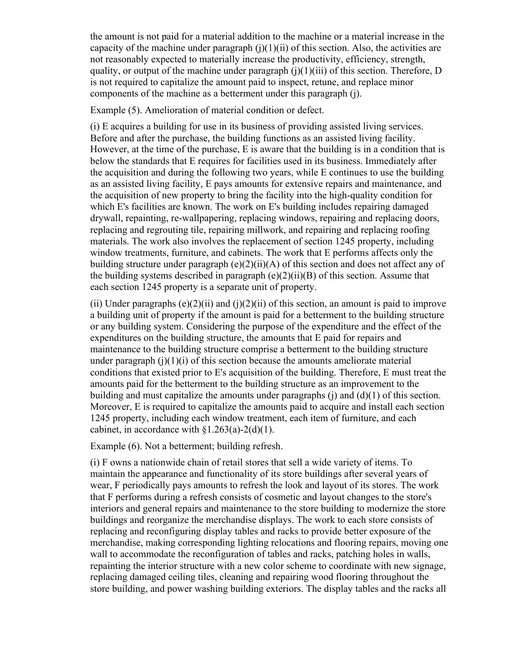the amount is not paid for a material addition to the machine or a material increase in the capacity of the machine under paragraph  $(i)(1)(ii)$  of this section. Also, the activities are not reasonably expected to materially increase the productivity, efficiency, strength, quality, or output of the machine under paragraph  $(j)(1)(iii)$  of this section. Therefore, D is not required to capitalize the amount paid to inspect, retune, and replace minor components of the machine as a betterment under this paragraph (j).

Example (5). Amelioration of material condition or defect.

(i) E acquires a building for use in its business of providing assisted living services. Before and after the purchase, the building functions as an assisted living facility. However, at the time of the purchase, E is aware that the building is in a condition that is below the standards that E requires for facilities used in its business. Immediately after the acquisition and during the following two years, while E continues to use the building as an assisted living facility, E pays amounts for extensive repairs and maintenance, and the acquisition of new property to bring the facility into the high-quality condition for which E's facilities are known. The work on E's building includes repairing damaged drywall, repainting, re-wallpapering, replacing windows, repairing and replacing doors, replacing and regrouting tile, repairing millwork, and repairing and replacing roofing materials. The work also involves the replacement of section 1245 property, including window treatments, furniture, and cabinets. The work that E performs affects only the building structure under paragraph  $(e)(2)(ii)(A)$  of this section and does not affect any of the building systems described in paragraph  $(e)(2)(ii)(B)$  of this section. Assume that each section 1245 property is a separate unit of property.

(ii) Under paragraphs  $(e)(2)(ii)$  and  $(i)(2)(ii)$  of this section, an amount is paid to improve a building unit of property if the amount is paid for a betterment to the building structure or any building system. Considering the purpose of the expenditure and the effect of the expenditures on the building structure, the amounts that E paid for repairs and maintenance to the building structure comprise a betterment to the building structure under paragraph  $(i)(1)(i)$  of this section because the amounts ameliorate material conditions that existed prior to E's acquisition of the building. Therefore, E must treat the amounts paid for the betterment to the building structure as an improvement to the building and must capitalize the amounts under paragraphs (j) and (d)(1) of this section. Moreover, E is required to capitalize the amounts paid to acquire and install each section 1245 property, including each window treatment, each item of furniture, and each cabinet, in accordance with  $\S1.263(a)-2(d)(1)$ .

Example (6). Not a betterment; building refresh.

(i) F owns a nationwide chain of retail stores that sell a wide variety of items. To maintain the appearance and functionality of its store buildings after several years of wear, F periodically pays amounts to refresh the look and layout of its stores. The work that F performs during a refresh consists of cosmetic and layout changes to the store's interiors and general repairs and maintenance to the store building to modernize the store buildings and reorganize the merchandise displays. The work to each store consists of replacing and reconfiguring display tables and racks to provide better exposure of the merchandise, making corresponding lighting relocations and flooring repairs, moving one wall to accommodate the reconfiguration of tables and racks, patching holes in walls, repainting the interior structure with a new color scheme to coordinate with new signage, replacing damaged ceiling tiles, cleaning and repairing wood flooring throughout the store building, and power washing building exteriors. The display tables and the racks all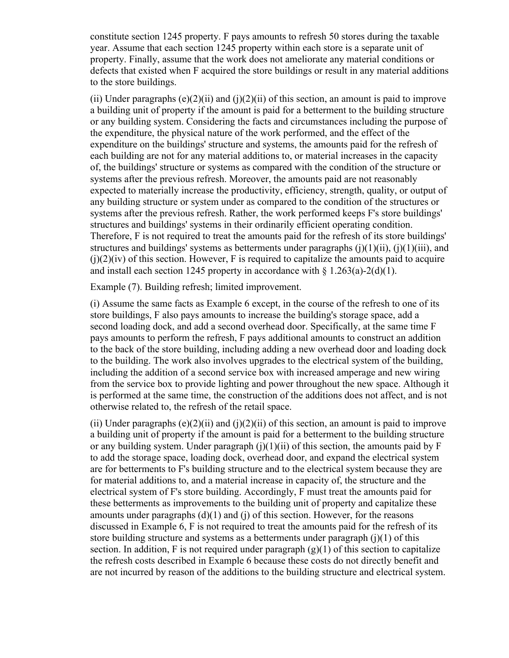constitute section 1245 property. F pays amounts to refresh 50 stores during the taxable year. Assume that each section 1245 property within each store is a separate unit of property. Finally, assume that the work does not ameliorate any material conditions or defects that existed when F acquired the store buildings or result in any material additions to the store buildings.

(ii) Under paragraphs  $(e)(2)(ii)$  and  $(i)(2)(ii)$  of this section, an amount is paid to improve a building unit of property if the amount is paid for a betterment to the building structure or any building system. Considering the facts and circumstances including the purpose of the expenditure, the physical nature of the work performed, and the effect of the expenditure on the buildings' structure and systems, the amounts paid for the refresh of each building are not for any material additions to, or material increases in the capacity of, the buildings' structure or systems as compared with the condition of the structure or systems after the previous refresh. Moreover, the amounts paid are not reasonably expected to materially increase the productivity, efficiency, strength, quality, or output of any building structure or system under as compared to the condition of the structures or systems after the previous refresh. Rather, the work performed keeps F's store buildings' structures and buildings' systems in their ordinarily efficient operating condition. Therefore, F is not required to treat the amounts paid for the refresh of its store buildings' structures and buildings' systems as betterments under paragraphs  $(i)(1)(ii)$ ,  $(i)(1)(iii)$ , and  $(i)(2)(iv)$  of this section. However, F is required to capitalize the amounts paid to acquire and install each section 1245 property in accordance with  $\S$  1.263(a)-2(d)(1).

Example (7). Building refresh; limited improvement.

(i) Assume the same facts as Example 6 except, in the course of the refresh to one of its store buildings, F also pays amounts to increase the building's storage space, add a second loading dock, and add a second overhead door. Specifically, at the same time F pays amounts to perform the refresh, F pays additional amounts to construct an addition to the back of the store building, including adding a new overhead door and loading dock to the building. The work also involves upgrades to the electrical system of the building, including the addition of a second service box with increased amperage and new wiring from the service box to provide lighting and power throughout the new space. Although it is performed at the same time, the construction of the additions does not affect, and is not otherwise related to, the refresh of the retail space.

(ii) Under paragraphs  $(e)(2)(ii)$  and  $(i)(2)(ii)$  of this section, an amount is paid to improve a building unit of property if the amount is paid for a betterment to the building structure or any building system. Under paragraph  $(j)(1)(ii)$  of this section, the amounts paid by F to add the storage space, loading dock, overhead door, and expand the electrical system are for betterments to F's building structure and to the electrical system because they are for material additions to, and a material increase in capacity of, the structure and the electrical system of F's store building. Accordingly, F must treat the amounts paid for these betterments as improvements to the building unit of property and capitalize these amounts under paragraphs  $(d)(1)$  and  $(i)$  of this section. However, for the reasons discussed in Example 6, F is not required to treat the amounts paid for the refresh of its store building structure and systems as a betterments under paragraph (j)(1) of this section. In addition, F is not required under paragraph  $(g)(1)$  of this section to capitalize the refresh costs described in Example 6 because these costs do not directly benefit and are not incurred by reason of the additions to the building structure and electrical system.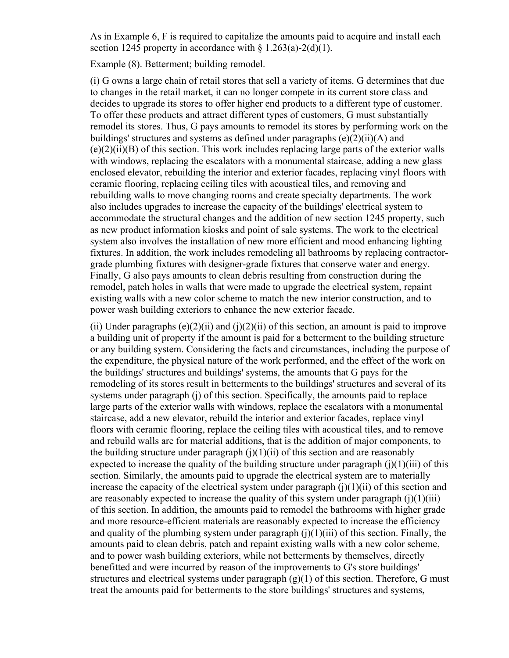As in Example 6, F is required to capitalize the amounts paid to acquire and install each section 1245 property in accordance with  $\S 1.263(a)-2(d)(1)$ .

Example (8). Betterment; building remodel.

(i) G owns a large chain of retail stores that sell a variety of items. G determines that due to changes in the retail market, it can no longer compete in its current store class and decides to upgrade its stores to offer higher end products to a different type of customer. To offer these products and attract different types of customers, G must substantially remodel its stores. Thus, G pays amounts to remodel its stores by performing work on the buildings' structures and systems as defined under paragraphs (e)(2)(ii)(A) and  $(e)(2)(ii)(B)$  of this section. This work includes replacing large parts of the exterior walls with windows, replacing the escalators with a monumental staircase, adding a new glass enclosed elevator, rebuilding the interior and exterior facades, replacing vinyl floors with ceramic flooring, replacing ceiling tiles with acoustical tiles, and removing and rebuilding walls to move changing rooms and create specialty departments. The work also includes upgrades to increase the capacity of the buildings' electrical system to accommodate the structural changes and the addition of new section 1245 property, such as new product information kiosks and point of sale systems. The work to the electrical system also involves the installation of new more efficient and mood enhancing lighting fixtures. In addition, the work includes remodeling all bathrooms by replacing contractorgrade plumbing fixtures with designer-grade fixtures that conserve water and energy. Finally, G also pays amounts to clean debris resulting from construction during the remodel, patch holes in walls that were made to upgrade the electrical system, repaint existing walls with a new color scheme to match the new interior construction, and to power wash building exteriors to enhance the new exterior facade.

(ii) Under paragraphs  $(e)(2)(ii)$  and  $(i)(2)(ii)$  of this section, an amount is paid to improve a building unit of property if the amount is paid for a betterment to the building structure or any building system. Considering the facts and circumstances, including the purpose of the expenditure, the physical nature of the work performed, and the effect of the work on the buildings' structures and buildings' systems, the amounts that G pays for the remodeling of its stores result in betterments to the buildings' structures and several of its systems under paragraph (j) of this section. Specifically, the amounts paid to replace large parts of the exterior walls with windows, replace the escalators with a monumental staircase, add a new elevator, rebuild the interior and exterior facades, replace vinyl floors with ceramic flooring, replace the ceiling tiles with acoustical tiles, and to remove and rebuild walls are for material additions, that is the addition of major components, to the building structure under paragraph  $(i)(1)(ii)$  of this section and are reasonably expected to increase the quality of the building structure under paragraph  $(i)(1)(iii)$  of this section. Similarly, the amounts paid to upgrade the electrical system are to materially increase the capacity of the electrical system under paragraph  $(i)(1)(ii)$  of this section and are reasonably expected to increase the quality of this system under paragraph  $(i)(1)(iii)$ of this section. In addition, the amounts paid to remodel the bathrooms with higher grade and more resource-efficient materials are reasonably expected to increase the efficiency and quality of the plumbing system under paragraph  $(i)(1)(iii)$  of this section. Finally, the amounts paid to clean debris, patch and repaint existing walls with a new color scheme, and to power wash building exteriors, while not betterments by themselves, directly benefitted and were incurred by reason of the improvements to G's store buildings' structures and electrical systems under paragraph  $(g)(1)$  of this section. Therefore, G must treat the amounts paid for betterments to the store buildings' structures and systems,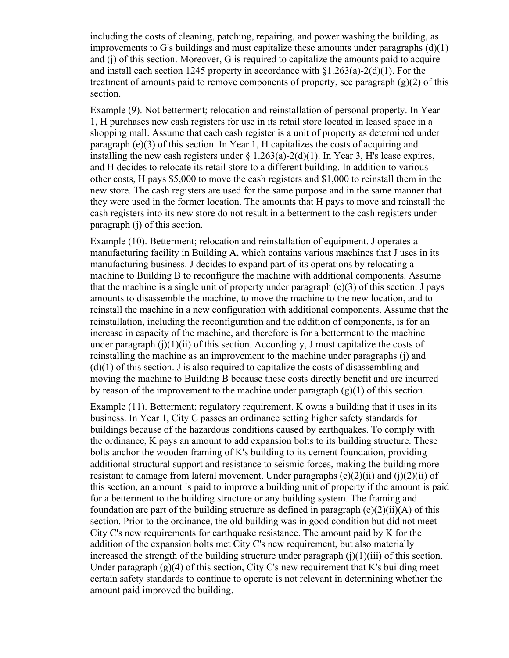including the costs of cleaning, patching, repairing, and power washing the building, as improvements to G's buildings and must capitalize these amounts under paragraphs (d)(1) and (j) of this section. Moreover, G is required to capitalize the amounts paid to acquire and install each section 1245 property in accordance with  $\S1.263(a)-2(d)(1)$ . For the treatment of amounts paid to remove components of property, see paragraph (g)(2) of this section.

Example (9). Not betterment; relocation and reinstallation of personal property. In Year 1, H purchases new cash registers for use in its retail store located in leased space in a shopping mall. Assume that each cash register is a unit of property as determined under paragraph (e)(3) of this section. In Year 1, H capitalizes the costs of acquiring and installing the new cash registers under  $\frac{1.263(a)-2(d)(1)}{1}$ . In Year 3, H's lease expires, and H decides to relocate its retail store to a different building. In addition to various other costs, H pays \$5,000 to move the cash registers and \$1,000 to reinstall them in the new store. The cash registers are used for the same purpose and in the same manner that they were used in the former location. The amounts that H pays to move and reinstall the cash registers into its new store do not result in a betterment to the cash registers under paragraph (j) of this section.

Example (10). Betterment; relocation and reinstallation of equipment. J operates a manufacturing facility in Building A, which contains various machines that J uses in its manufacturing business. J decides to expand part of its operations by relocating a machine to Building B to reconfigure the machine with additional components. Assume that the machine is a single unit of property under paragraph  $(e)(3)$  of this section. J pays amounts to disassemble the machine, to move the machine to the new location, and to reinstall the machine in a new configuration with additional components. Assume that the reinstallation, including the reconfiguration and the addition of components, is for an increase in capacity of the machine, and therefore is for a betterment to the machine under paragraph  $(i)(1)(ii)$  of this section. Accordingly, J must capitalize the costs of reinstalling the machine as an improvement to the machine under paragraphs (j) and  $(d)(1)$  of this section. J is also required to capitalize the costs of disassembling and moving the machine to Building B because these costs directly benefit and are incurred by reason of the improvement to the machine under paragraph  $(g)(1)$  of this section.

Example (11). Betterment; regulatory requirement. K owns a building that it uses in its business. In Year 1, City C passes an ordinance setting higher safety standards for buildings because of the hazardous conditions caused by earthquakes. To comply with the ordinance, K pays an amount to add expansion bolts to its building structure. These bolts anchor the wooden framing of K's building to its cement foundation, providing additional structural support and resistance to seismic forces, making the building more resistant to damage from lateral movement. Under paragraphs  $(e)(2)(ii)$  and  $(i)(2)(ii)$  of this section, an amount is paid to improve a building unit of property if the amount is paid for a betterment to the building structure or any building system. The framing and foundation are part of the building structure as defined in paragraph  $(e)(2)(ii)(A)$  of this section. Prior to the ordinance, the old building was in good condition but did not meet City C's new requirements for earthquake resistance. The amount paid by K for the addition of the expansion bolts met City C's new requirement, but also materially increased the strength of the building structure under paragraph  $(i)(1)(iii)$  of this section. Under paragraph  $(g)(4)$  of this section, City C's new requirement that K's building meet certain safety standards to continue to operate is not relevant in determining whether the amount paid improved the building.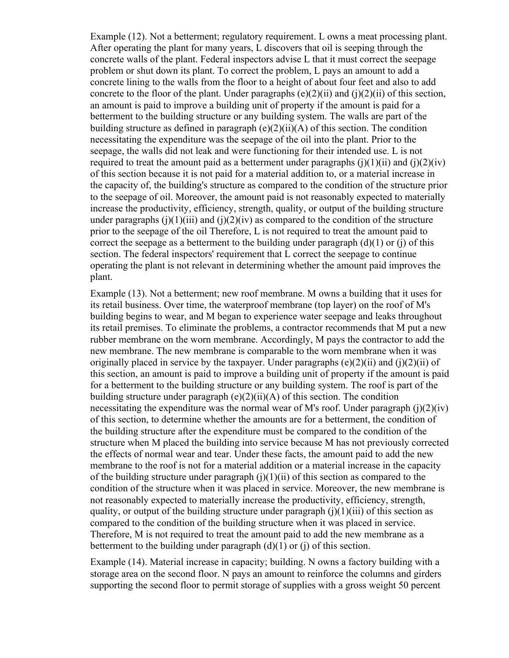Example (12). Not a betterment; regulatory requirement. L owns a meat processing plant. After operating the plant for many years, L discovers that oil is seeping through the concrete walls of the plant. Federal inspectors advise L that it must correct the seepage problem or shut down its plant. To correct the problem, L pays an amount to add a concrete lining to the walls from the floor to a height of about four feet and also to add concrete to the floor of the plant. Under paragraphs  $(e)(2)(ii)$  and  $(i)(2)(ii)$  of this section, an amount is paid to improve a building unit of property if the amount is paid for a betterment to the building structure or any building system. The walls are part of the building structure as defined in paragraph  $(e)(2)(ii)(A)$  of this section. The condition necessitating the expenditure was the seepage of the oil into the plant. Prior to the seepage, the walls did not leak and were functioning for their intended use. L is not required to treat the amount paid as a betterment under paragraphs  $(j)(1)(ii)$  and  $(j)(2)(iv)$ of this section because it is not paid for a material addition to, or a material increase in the capacity of, the building's structure as compared to the condition of the structure prior to the seepage of oil. Moreover, the amount paid is not reasonably expected to materially increase the productivity, efficiency, strength, quality, or output of the building structure under paragraphs (j)(1)(iii) and (j)(2)(iv) as compared to the condition of the structure prior to the seepage of the oil Therefore, L is not required to treat the amount paid to correct the seepage as a betterment to the building under paragraph  $(d)(1)$  or  $(i)$  of this section. The federal inspectors' requirement that L correct the seepage to continue operating the plant is not relevant in determining whether the amount paid improves the plant.

Example (13). Not a betterment; new roof membrane. M owns a building that it uses for its retail business. Over time, the waterproof membrane (top layer) on the roof of M's building begins to wear, and M began to experience water seepage and leaks throughout its retail premises. To eliminate the problems, a contractor recommends that M put a new rubber membrane on the worn membrane. Accordingly, M pays the contractor to add the new membrane. The new membrane is comparable to the worn membrane when it was originally placed in service by the taxpayer. Under paragraphs  $(e)(2)(ii)$  and  $(i)(2)(ii)$  of this section, an amount is paid to improve a building unit of property if the amount is paid for a betterment to the building structure or any building system. The roof is part of the building structure under paragraph  $(e)(2)(ii)(A)$  of this section. The condition necessitating the expenditure was the normal wear of M's roof. Under paragraph  $(i)(2)(iv)$ of this section, to determine whether the amounts are for a betterment, the condition of the building structure after the expenditure must be compared to the condition of the structure when M placed the building into service because M has not previously corrected the effects of normal wear and tear. Under these facts, the amount paid to add the new membrane to the roof is not for a material addition or a material increase in the capacity of the building structure under paragraph  $(j)(1)(ii)$  of this section as compared to the condition of the structure when it was placed in service. Moreover, the new membrane is not reasonably expected to materially increase the productivity, efficiency, strength, quality, or output of the building structure under paragraph  $(i)(1)(iii)$  of this section as compared to the condition of the building structure when it was placed in service. Therefore, M is not required to treat the amount paid to add the new membrane as a betterment to the building under paragraph  $(d)(1)$  or  $(i)$  of this section.

Example (14). Material increase in capacity; building. N owns a factory building with a storage area on the second floor. N pays an amount to reinforce the columns and girders supporting the second floor to permit storage of supplies with a gross weight 50 percent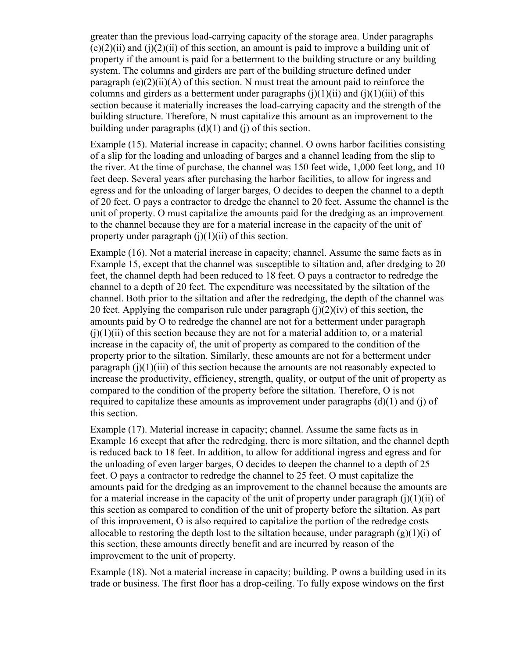greater than the previous load-carrying capacity of the storage area. Under paragraphs  $(e)(2)(ii)$  and  $(i)(2)(ii)$  of this section, an amount is paid to improve a building unit of property if the amount is paid for a betterment to the building structure or any building system. The columns and girders are part of the building structure defined under paragraph  $(e)(2)(ii)(A)$  of this section. N must treat the amount paid to reinforce the columns and girders as a betterment under paragraphs  $(i)(1)(ii)$  and  $(i)(1)(iii)$  of this section because it materially increases the load-carrying capacity and the strength of the building structure. Therefore, N must capitalize this amount as an improvement to the building under paragraphs  $(d)(1)$  and  $(i)$  of this section.

Example (15). Material increase in capacity; channel. O owns harbor facilities consisting of a slip for the loading and unloading of barges and a channel leading from the slip to the river. At the time of purchase, the channel was 150 feet wide, 1,000 feet long, and 10 feet deep. Several years after purchasing the harbor facilities, to allow for ingress and egress and for the unloading of larger barges, O decides to deepen the channel to a depth of 20 feet. O pays a contractor to dredge the channel to 20 feet. Assume the channel is the unit of property. O must capitalize the amounts paid for the dredging as an improvement to the channel because they are for a material increase in the capacity of the unit of property under paragraph  $(i)(1)(ii)$  of this section.

Example (16). Not a material increase in capacity; channel. Assume the same facts as in Example 15, except that the channel was susceptible to siltation and, after dredging to 20 feet, the channel depth had been reduced to 18 feet. O pays a contractor to redredge the channel to a depth of 20 feet. The expenditure was necessitated by the siltation of the channel. Both prior to the siltation and after the redredging, the depth of the channel was 20 feet. Applying the comparison rule under paragraph  $(j)(2)(iv)$  of this section, the amounts paid by O to redredge the channel are not for a betterment under paragraph  $(i)(1)(ii)$  of this section because they are not for a material addition to, or a material increase in the capacity of, the unit of property as compared to the condition of the property prior to the siltation. Similarly, these amounts are not for a betterment under paragraph  $(i)(1)(iii)$  of this section because the amounts are not reasonably expected to increase the productivity, efficiency, strength, quality, or output of the unit of property as compared to the condition of the property before the siltation. Therefore, O is not required to capitalize these amounts as improvement under paragraphs  $(d)(1)$  and  $(i)$  of this section.

Example (17). Material increase in capacity; channel. Assume the same facts as in Example 16 except that after the redredging, there is more siltation, and the channel depth is reduced back to 18 feet. In addition, to allow for additional ingress and egress and for the unloading of even larger barges, O decides to deepen the channel to a depth of 25 feet. O pays a contractor to redredge the channel to 25 feet. O must capitalize the amounts paid for the dredging as an improvement to the channel because the amounts are for a material increase in the capacity of the unit of property under paragraph  $(i)(1)(ii)$  of this section as compared to condition of the unit of property before the siltation. As part of this improvement, O is also required to capitalize the portion of the redredge costs allocable to restoring the depth lost to the siltation because, under paragraph  $(g)(1)(i)$  of this section, these amounts directly benefit and are incurred by reason of the improvement to the unit of property.

Example (18). Not a material increase in capacity; building. P owns a building used in its trade or business. The first floor has a drop-ceiling. To fully expose windows on the first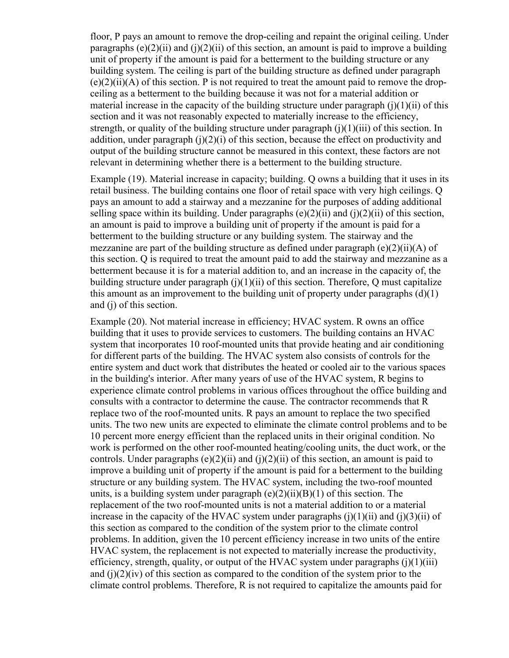floor, P pays an amount to remove the drop-ceiling and repaint the original ceiling. Under paragraphs  $(e)(2)(ii)$  and  $(i)(2)(ii)$  of this section, an amount is paid to improve a building unit of property if the amount is paid for a betterment to the building structure or any building system. The ceiling is part of the building structure as defined under paragraph  $(e)(2)(ii)$ (A) of this section. P is not required to treat the amount paid to remove the dropceiling as a betterment to the building because it was not for a material addition or material increase in the capacity of the building structure under paragraph  $(i)(1)(ii)$  of this section and it was not reasonably expected to materially increase to the efficiency, strength, or quality of the building structure under paragraph  $(j)(1)(iii)$  of this section. In addition, under paragraph  $(i)(2)(i)$  of this section, because the effect on productivity and output of the building structure cannot be measured in this context, these factors are not relevant in determining whether there is a betterment to the building structure.

Example (19). Material increase in capacity; building. Q owns a building that it uses in its retail business. The building contains one floor of retail space with very high ceilings. Q pays an amount to add a stairway and a mezzanine for the purposes of adding additional selling space within its building. Under paragraphs  $(e)(2)(ii)$  and  $(i)(2)(ii)$  of this section, an amount is paid to improve a building unit of property if the amount is paid for a betterment to the building structure or any building system. The stairway and the mezzanine are part of the building structure as defined under paragraph  $(e)(2)(ii)(A)$  of this section. Q is required to treat the amount paid to add the stairway and mezzanine as a betterment because it is for a material addition to, and an increase in the capacity of, the building structure under paragraph  $(j)(1)(ii)$  of this section. Therefore, Q must capitalize this amount as an improvement to the building unit of property under paragraphs  $(d)(1)$ and (j) of this section.

Example (20). Not material increase in efficiency; HVAC system. R owns an office building that it uses to provide services to customers. The building contains an HVAC system that incorporates 10 roof-mounted units that provide heating and air conditioning for different parts of the building. The HVAC system also consists of controls for the entire system and duct work that distributes the heated or cooled air to the various spaces in the building's interior. After many years of use of the HVAC system, R begins to experience climate control problems in various offices throughout the office building and consults with a contractor to determine the cause. The contractor recommends that R replace two of the roof-mounted units. R pays an amount to replace the two specified units. The two new units are expected to eliminate the climate control problems and to be 10 percent more energy efficient than the replaced units in their original condition. No work is performed on the other roof-mounted heating/cooling units, the duct work, or the controls. Under paragraphs (e)(2)(ii) and (j)(2)(ii) of this section, an amount is paid to improve a building unit of property if the amount is paid for a betterment to the building structure or any building system. The HVAC system, including the two-roof mounted units, is a building system under paragraph  $(e)(2)(ii)(B)(1)$  of this section. The replacement of the two roof-mounted units is not a material addition to or a material increase in the capacity of the HVAC system under paragraphs  $(i)(1)(ii)$  and  $(i)(3)(ii)$  of this section as compared to the condition of the system prior to the climate control problems. In addition, given the 10 percent efficiency increase in two units of the entire HVAC system, the replacement is not expected to materially increase the productivity, efficiency, strength, quality, or output of the HVAC system under paragraphs  $(i)(1)(iii)$ and  $(i)(2)(iv)$  of this section as compared to the condition of the system prior to the climate control problems. Therefore, R is not required to capitalize the amounts paid for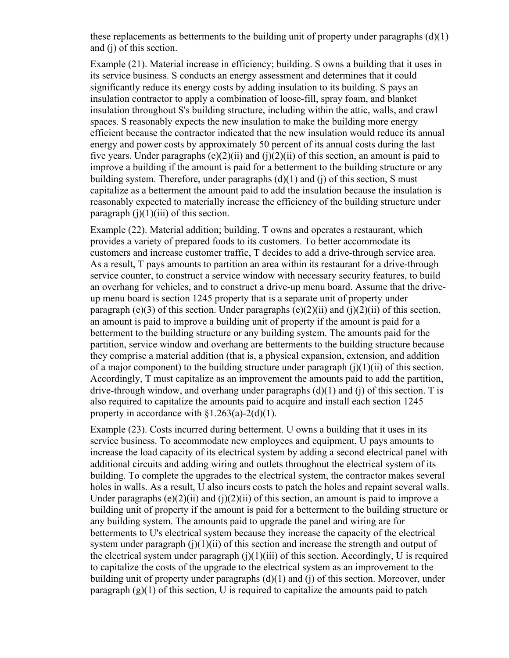these replacements as betterments to the building unit of property under paragraphs (d)(1) and (j) of this section.

Example (21). Material increase in efficiency; building. S owns a building that it uses in its service business. S conducts an energy assessment and determines that it could significantly reduce its energy costs by adding insulation to its building. S pays an insulation contractor to apply a combination of loose-fill, spray foam, and blanket insulation throughout S's building structure, including within the attic, walls, and crawl spaces. S reasonably expects the new insulation to make the building more energy efficient because the contractor indicated that the new insulation would reduce its annual energy and power costs by approximately 50 percent of its annual costs during the last five years. Under paragraphs  $(e)(2)(ii)$  and  $(i)(2)(ii)$  of this section, an amount is paid to improve a building if the amount is paid for a betterment to the building structure or any building system. Therefore, under paragraphs  $(d)(1)$  and  $(i)$  of this section, S must capitalize as a betterment the amount paid to add the insulation because the insulation is reasonably expected to materially increase the efficiency of the building structure under paragraph  $(i)(1)(iii)$  of this section.

Example (22). Material addition; building. T owns and operates a restaurant, which provides a variety of prepared foods to its customers. To better accommodate its customers and increase customer traffic, T decides to add a drive-through service area. As a result, T pays amounts to partition an area within its restaurant for a drive-through service counter, to construct a service window with necessary security features, to build an overhang for vehicles, and to construct a drive-up menu board. Assume that the driveup menu board is section 1245 property that is a separate unit of property under paragraph (e)(3) of this section. Under paragraphs (e)(2)(ii) and (j)(2)(ii) of this section, an amount is paid to improve a building unit of property if the amount is paid for a betterment to the building structure or any building system. The amounts paid for the partition, service window and overhang are betterments to the building structure because they comprise a material addition (that is, a physical expansion, extension, and addition of a major component) to the building structure under paragraph  $(i)(1)(ii)$  of this section. Accordingly, T must capitalize as an improvement the amounts paid to add the partition, drive-through window, and overhang under paragraphs  $(d)(1)$  and  $(i)$  of this section. T is also required to capitalize the amounts paid to acquire and install each section 1245 property in accordance with  $\{1.263(a)-2(d)(1)\}\$ .

Example (23). Costs incurred during betterment. U owns a building that it uses in its service business. To accommodate new employees and equipment, U pays amounts to increase the load capacity of its electrical system by adding a second electrical panel with additional circuits and adding wiring and outlets throughout the electrical system of its building. To complete the upgrades to the electrical system, the contractor makes several holes in walls. As a result, U also incurs costs to patch the holes and repaint several walls. Under paragraphs (e)(2)(ii) and (j)(2)(ii) of this section, an amount is paid to improve a building unit of property if the amount is paid for a betterment to the building structure or any building system. The amounts paid to upgrade the panel and wiring are for betterments to U's electrical system because they increase the capacity of the electrical system under paragraph  $(i)(1)(ii)$  of this section and increase the strength and output of the electrical system under paragraph  $(i)(1)(iii)$  of this section. Accordingly, U is required to capitalize the costs of the upgrade to the electrical system as an improvement to the building unit of property under paragraphs  $(d)(1)$  and  $(i)$  of this section. Moreover, under paragraph  $(g)(1)$  of this section, U is required to capitalize the amounts paid to patch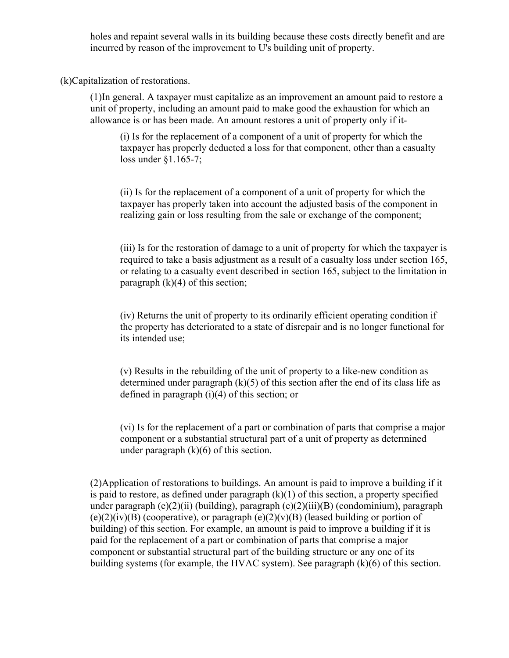holes and repaint several walls in its building because these costs directly benefit and are incurred by reason of the improvement to U's building unit of property.

(k)Capitalization of restorations.

(1)In general. A taxpayer must capitalize as an improvement an amount paid to restore a unit of property, including an amount paid to make good the exhaustion for which an allowance is or has been made. An amount restores a unit of property only if it-

(i) Is for the replacement of a component of a unit of property for which the taxpayer has properly deducted a loss for that component, other than a casualty loss under §1.165-7;

(ii) Is for the replacement of a component of a unit of property for which the taxpayer has properly taken into account the adjusted basis of the component in realizing gain or loss resulting from the sale or exchange of the component;

(iii) Is for the restoration of damage to a unit of property for which the taxpayer is required to take a basis adjustment as a result of a casualty loss under section 165, or relating to a casualty event described in section 165, subject to the limitation in paragraph  $(k)(4)$  of this section;

(iv) Returns the unit of property to its ordinarily efficient operating condition if the property has deteriorated to a state of disrepair and is no longer functional for its intended use;

(v) Results in the rebuilding of the unit of property to a like-new condition as determined under paragraph  $(k)(5)$  of this section after the end of its class life as defined in paragraph (i)(4) of this section; or

(vi) Is for the replacement of a part or combination of parts that comprise a major component or a substantial structural part of a unit of property as determined under paragraph  $(k)(6)$  of this section.

(2)Application of restorations to buildings. An amount is paid to improve a building if it is paid to restore, as defined under paragraph  $(k)(1)$  of this section, a property specified under paragraph  $(e)(2)(ii)$  (building), paragraph  $(e)(2)(iii)$  (condominium), paragraph  $(e)(2)(iv)(B)$  (cooperative), or paragraph  $(e)(2)(v)(B)$  (leased building or portion of building) of this section. For example, an amount is paid to improve a building if it is paid for the replacement of a part or combination of parts that comprise a major component or substantial structural part of the building structure or any one of its building systems (for example, the HVAC system). See paragraph (k)(6) of this section.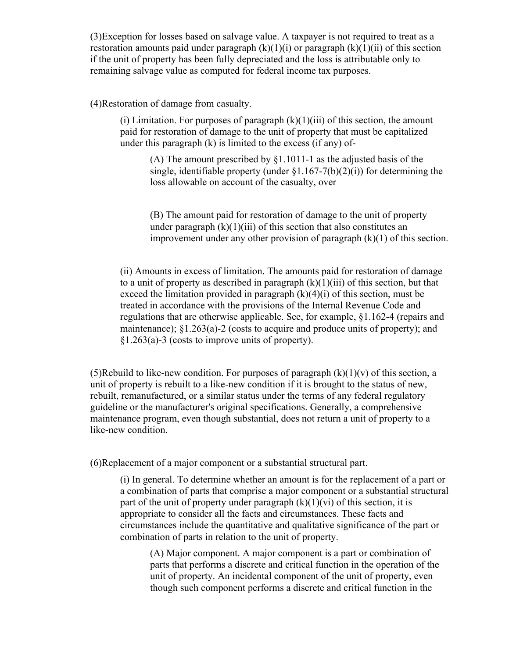(3)Exception for losses based on salvage value. A taxpayer is not required to treat as a restoration amounts paid under paragraph  $(k)(1)(i)$  or paragraph  $(k)(1)(ii)$  of this section if the unit of property has been fully depreciated and the loss is attributable only to remaining salvage value as computed for federal income tax purposes.

(4)Restoration of damage from casualty.

(i) Limitation. For purposes of paragraph  $(k)(1)(iii)$  of this section, the amount paid for restoration of damage to the unit of property that must be capitalized under this paragraph (k) is limited to the excess (if any) of-

(A) The amount prescribed by §1.1011-1 as the adjusted basis of the single, identifiable property (under  $\S1.167-7(b)(2)(i)$ ) for determining the loss allowable on account of the casualty, over

(B) The amount paid for restoration of damage to the unit of property under paragraph  $(k)(1)(iii)$  of this section that also constitutes an improvement under any other provision of paragraph  $(k)(1)$  of this section.

(ii) Amounts in excess of limitation. The amounts paid for restoration of damage to a unit of property as described in paragraph  $(k)(1)(iii)$  of this section, but that exceed the limitation provided in paragraph  $(k)(4)(i)$  of this section, must be treated in accordance with the provisions of the Internal Revenue Code and regulations that are otherwise applicable. See, for example, §1.162-4 (repairs and maintenance); §1.263(a)-2 (costs to acquire and produce units of property); and §1.263(a)-3 (costs to improve units of property).

(5)Rebuild to like-new condition. For purposes of paragraph  $(k)(1)(v)$  of this section, a unit of property is rebuilt to a like-new condition if it is brought to the status of new, rebuilt, remanufactured, or a similar status under the terms of any federal regulatory guideline or the manufacturer's original specifications. Generally, a comprehensive maintenance program, even though substantial, does not return a unit of property to a like-new condition.

(6)Replacement of a major component or a substantial structural part.

(i) In general. To determine whether an amount is for the replacement of a part or a combination of parts that comprise a major component or a substantial structural part of the unit of property under paragraph  $(k)(1)(vi)$  of this section, it is appropriate to consider all the facts and circumstances. These facts and circumstances include the quantitative and qualitative significance of the part or combination of parts in relation to the unit of property.

(A) Major component. A major component is a part or combination of parts that performs a discrete and critical function in the operation of the unit of property. An incidental component of the unit of property, even though such component performs a discrete and critical function in the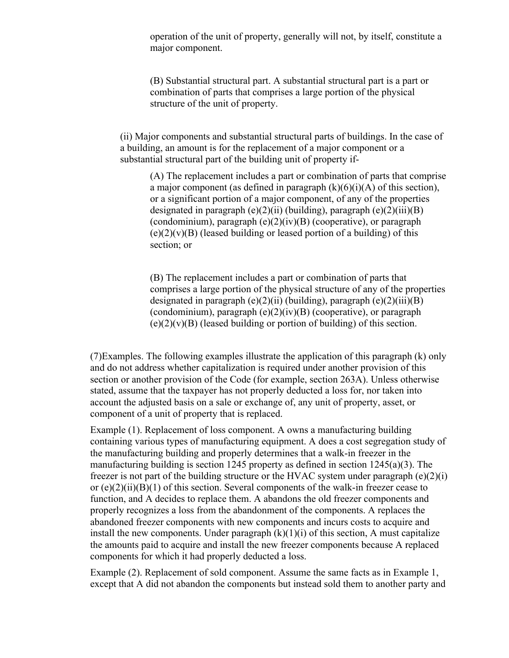operation of the unit of property, generally will not, by itself, constitute a major component.

(B) Substantial structural part. A substantial structural part is a part or combination of parts that comprises a large portion of the physical structure of the unit of property.

(ii) Major components and substantial structural parts of buildings. In the case of a building, an amount is for the replacement of a major component or a substantial structural part of the building unit of property if-

(A) The replacement includes a part or combination of parts that comprise a major component (as defined in paragraph  $(k)(6)(i)(A)$  of this section), or a significant portion of a major component, of any of the properties designated in paragraph  $(e)(2)(ii)$  (building), paragraph  $(e)(2)(iii)(B)$ (condominium), paragraph  $(e)(2)(iv)(B)$  (cooperative), or paragraph  $(e)(2)(v)(B)$  (leased building or leased portion of a building) of this section; or

(B) The replacement includes a part or combination of parts that comprises a large portion of the physical structure of any of the properties designated in paragraph  $(e)(2)(ii)$  (building), paragraph  $(e)(2)(iii)(B)$ (condominium), paragraph  $(e)(2)(iv)(B)$  (cooperative), or paragraph  $(e)(2)(v)(B)$  (leased building or portion of building) of this section.

(7)Examples. The following examples illustrate the application of this paragraph (k) only and do not address whether capitalization is required under another provision of this section or another provision of the Code (for example, section 263A). Unless otherwise stated, assume that the taxpayer has not properly deducted a loss for, nor taken into account the adjusted basis on a sale or exchange of, any unit of property, asset, or component of a unit of property that is replaced.

Example (1). Replacement of loss component. A owns a manufacturing building containing various types of manufacturing equipment. A does a cost segregation study of the manufacturing building and properly determines that a walk-in freezer in the manufacturing building is section 1245 property as defined in section 1245(a)(3). The freezer is not part of the building structure or the HVAC system under paragraph  $(e)(2)(i)$ or  $(e)(2)(ii)(B)(1)$  of this section. Several components of the walk-in freezer cease to function, and A decides to replace them. A abandons the old freezer components and properly recognizes a loss from the abandonment of the components. A replaces the abandoned freezer components with new components and incurs costs to acquire and install the new components. Under paragraph  $(k)(1)(i)$  of this section, A must capitalize the amounts paid to acquire and install the new freezer components because A replaced components for which it had properly deducted a loss.

Example (2). Replacement of sold component. Assume the same facts as in Example 1, except that A did not abandon the components but instead sold them to another party and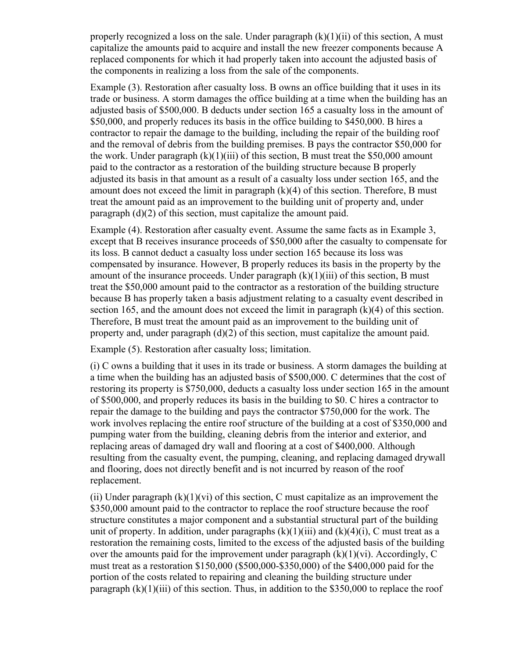properly recognized a loss on the sale. Under paragraph  $(k)(1)(ii)$  of this section, A must capitalize the amounts paid to acquire and install the new freezer components because A replaced components for which it had properly taken into account the adjusted basis of the components in realizing a loss from the sale of the components.

Example (3). Restoration after casualty loss. B owns an office building that it uses in its trade or business. A storm damages the office building at a time when the building has an adjusted basis of \$500,000. B deducts under section 165 a casualty loss in the amount of \$50,000, and properly reduces its basis in the office building to \$450,000. B hires a contractor to repair the damage to the building, including the repair of the building roof and the removal of debris from the building premises. B pays the contractor \$50,000 for the work. Under paragraph  $(k)(1)(iii)$  of this section, B must treat the \$50,000 amount paid to the contractor as a restoration of the building structure because B properly adjusted its basis in that amount as a result of a casualty loss under section 165, and the amount does not exceed the limit in paragraph (k)(4) of this section. Therefore, B must treat the amount paid as an improvement to the building unit of property and, under paragraph (d)(2) of this section, must capitalize the amount paid.

Example (4). Restoration after casualty event. Assume the same facts as in Example 3, except that B receives insurance proceeds of \$50,000 after the casualty to compensate for its loss. B cannot deduct a casualty loss under section 165 because its loss was compensated by insurance. However, B properly reduces its basis in the property by the amount of the insurance proceeds. Under paragraph  $(k)(1)(iii)$  of this section, B must treat the \$50,000 amount paid to the contractor as a restoration of the building structure because B has properly taken a basis adjustment relating to a casualty event described in section 165, and the amount does not exceed the limit in paragraph (k)(4) of this section. Therefore, B must treat the amount paid as an improvement to the building unit of property and, under paragraph  $(d)(2)$  of this section, must capitalize the amount paid.

Example (5). Restoration after casualty loss; limitation.

(i) C owns a building that it uses in its trade or business. A storm damages the building at a time when the building has an adjusted basis of \$500,000. C determines that the cost of restoring its property is \$750,000, deducts a casualty loss under section 165 in the amount of \$500,000, and properly reduces its basis in the building to \$0. C hires a contractor to repair the damage to the building and pays the contractor \$750,000 for the work. The work involves replacing the entire roof structure of the building at a cost of \$350,000 and pumping water from the building, cleaning debris from the interior and exterior, and replacing areas of damaged dry wall and flooring at a cost of \$400,000. Although resulting from the casualty event, the pumping, cleaning, and replacing damaged drywall and flooring, does not directly benefit and is not incurred by reason of the roof replacement.

(ii) Under paragraph  $(k)(1)(vi)$  of this section, C must capitalize as an improvement the \$350,000 amount paid to the contractor to replace the roof structure because the roof structure constitutes a major component and a substantial structural part of the building unit of property. In addition, under paragraphs  $(k)(1)(iii)$  and  $(k)(4)(i)$ , C must treat as a restoration the remaining costs, limited to the excess of the adjusted basis of the building over the amounts paid for the improvement under paragraph  $(k)(1)(vi)$ . Accordingly, C must treat as a restoration \$150,000 (\$500,000-\$350,000) of the \$400,000 paid for the portion of the costs related to repairing and cleaning the building structure under paragraph  $(k)(1)(iii)$  of this section. Thus, in addition to the \$350,000 to replace the roof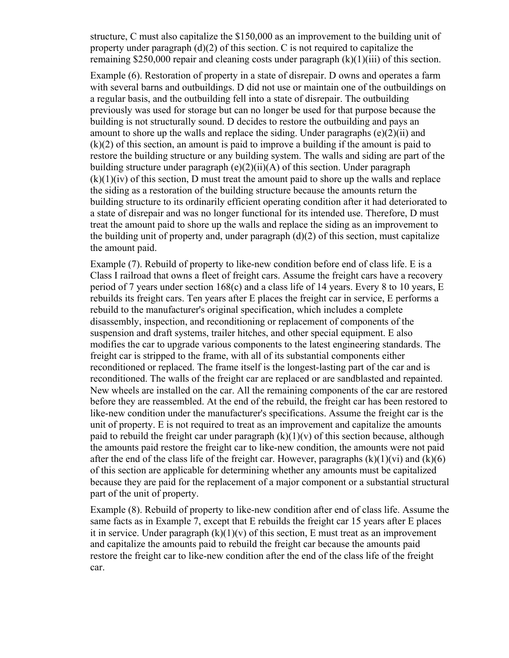structure, C must also capitalize the \$150,000 as an improvement to the building unit of property under paragraph  $(d)(2)$  of this section. C is not required to capitalize the remaining \$250,000 repair and cleaning costs under paragraph (k)(1)(iii) of this section.

Example (6). Restoration of property in a state of disrepair. D owns and operates a farm with several barns and outbuildings. D did not use or maintain one of the outbuildings on a regular basis, and the outbuilding fell into a state of disrepair. The outbuilding previously was used for storage but can no longer be used for that purpose because the building is not structurally sound. D decides to restore the outbuilding and pays an amount to shore up the walls and replace the siding. Under paragraphs  $(e)(2)(ii)$  and (k)(2) of this section, an amount is paid to improve a building if the amount is paid to restore the building structure or any building system. The walls and siding are part of the building structure under paragraph  $(e)(2)(ii)(A)$  of this section. Under paragraph  $(k)(1)(iv)$  of this section, D must treat the amount paid to shore up the walls and replace the siding as a restoration of the building structure because the amounts return the building structure to its ordinarily efficient operating condition after it had deteriorated to a state of disrepair and was no longer functional for its intended use. Therefore, D must treat the amount paid to shore up the walls and replace the siding as an improvement to the building unit of property and, under paragraph  $(d)(2)$  of this section, must capitalize the amount paid.

Example (7). Rebuild of property to like-new condition before end of class life. E is a Class I railroad that owns a fleet of freight cars. Assume the freight cars have a recovery period of 7 years under section 168(c) and a class life of 14 years. Every 8 to 10 years, E rebuilds its freight cars. Ten years after E places the freight car in service, E performs a rebuild to the manufacturer's original specification, which includes a complete disassembly, inspection, and reconditioning or replacement of components of the suspension and draft systems, trailer hitches, and other special equipment. E also modifies the car to upgrade various components to the latest engineering standards. The freight car is stripped to the frame, with all of its substantial components either reconditioned or replaced. The frame itself is the longest-lasting part of the car and is reconditioned. The walls of the freight car are replaced or are sandblasted and repainted. New wheels are installed on the car. All the remaining components of the car are restored before they are reassembled. At the end of the rebuild, the freight car has been restored to like-new condition under the manufacturer's specifications. Assume the freight car is the unit of property. E is not required to treat as an improvement and capitalize the amounts paid to rebuild the freight car under paragraph  $(k)(1)(v)$  of this section because, although the amounts paid restore the freight car to like-new condition, the amounts were not paid after the end of the class life of the freight car. However, paragraphs  $(k)(1)(vi)$  and  $(k)(6)$ of this section are applicable for determining whether any amounts must be capitalized because they are paid for the replacement of a major component or a substantial structural part of the unit of property.

Example (8). Rebuild of property to like-new condition after end of class life. Assume the same facts as in Example 7, except that E rebuilds the freight car 15 years after E places it in service. Under paragraph  $(k)(1)(v)$  of this section, E must treat as an improvement and capitalize the amounts paid to rebuild the freight car because the amounts paid restore the freight car to like-new condition after the end of the class life of the freight car.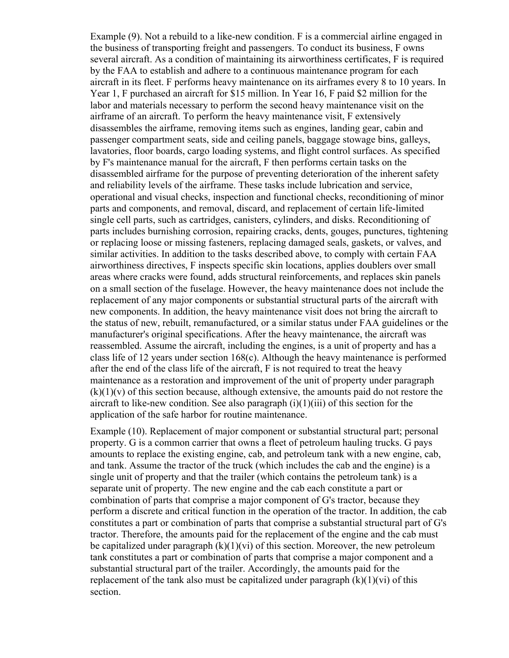Example (9). Not a rebuild to a like-new condition. F is a commercial airline engaged in the business of transporting freight and passengers. To conduct its business, F owns several aircraft. As a condition of maintaining its airworthiness certificates, F is required by the FAA to establish and adhere to a continuous maintenance program for each aircraft in its fleet. F performs heavy maintenance on its airframes every 8 to 10 years. In Year 1, F purchased an aircraft for \$15 million. In Year 16, F paid \$2 million for the labor and materials necessary to perform the second heavy maintenance visit on the airframe of an aircraft. To perform the heavy maintenance visit, F extensively disassembles the airframe, removing items such as engines, landing gear, cabin and passenger compartment seats, side and ceiling panels, baggage stowage bins, galleys, lavatories, floor boards, cargo loading systems, and flight control surfaces. As specified by F's maintenance manual for the aircraft, F then performs certain tasks on the disassembled airframe for the purpose of preventing deterioration of the inherent safety and reliability levels of the airframe. These tasks include lubrication and service, operational and visual checks, inspection and functional checks, reconditioning of minor parts and components, and removal, discard, and replacement of certain life-limited single cell parts, such as cartridges, canisters, cylinders, and disks. Reconditioning of parts includes burnishing corrosion, repairing cracks, dents, gouges, punctures, tightening or replacing loose or missing fasteners, replacing damaged seals, gaskets, or valves, and similar activities. In addition to the tasks described above, to comply with certain FAA airworthiness directives, F inspects specific skin locations, applies doublers over small areas where cracks were found, adds structural reinforcements, and replaces skin panels on a small section of the fuselage. However, the heavy maintenance does not include the replacement of any major components or substantial structural parts of the aircraft with new components. In addition, the heavy maintenance visit does not bring the aircraft to the status of new, rebuilt, remanufactured, or a similar status under FAA guidelines or the manufacturer's original specifications. After the heavy maintenance, the aircraft was reassembled. Assume the aircraft, including the engines, is a unit of property and has a class life of 12 years under section 168(c). Although the heavy maintenance is performed after the end of the class life of the aircraft, F is not required to treat the heavy maintenance as a restoration and improvement of the unit of property under paragraph  $(k)(1)(v)$  of this section because, although extensive, the amounts paid do not restore the aircraft to like-new condition. See also paragraph  $(i)(1)(iii)$  of this section for the application of the safe harbor for routine maintenance.

Example (10). Replacement of major component or substantial structural part; personal property. G is a common carrier that owns a fleet of petroleum hauling trucks. G pays amounts to replace the existing engine, cab, and petroleum tank with a new engine, cab, and tank. Assume the tractor of the truck (which includes the cab and the engine) is a single unit of property and that the trailer (which contains the petroleum tank) is a separate unit of property. The new engine and the cab each constitute a part or combination of parts that comprise a major component of G's tractor, because they perform a discrete and critical function in the operation of the tractor. In addition, the cab constitutes a part or combination of parts that comprise a substantial structural part of G's tractor. Therefore, the amounts paid for the replacement of the engine and the cab must be capitalized under paragraph  $(k)(1)(vi)$  of this section. Moreover, the new petroleum tank constitutes a part or combination of parts that comprise a major component and a substantial structural part of the trailer. Accordingly, the amounts paid for the replacement of the tank also must be capitalized under paragraph  $(k)(1)(vi)$  of this section.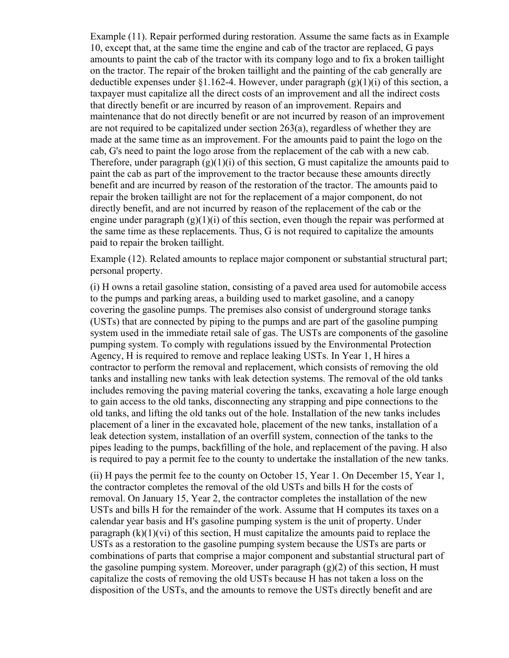Example (11). Repair performed during restoration. Assume the same facts as in Example 10, except that, at the same time the engine and cab of the tractor are replaced, G pays amounts to paint the cab of the tractor with its company logo and to fix a broken taillight on the tractor. The repair of the broken taillight and the painting of the cab generally are deductible expenses under §1.162-4. However, under paragraph  $(g)(1)(i)$  of this section, a taxpayer must capitalize all the direct costs of an improvement and all the indirect costs that directly benefit or are incurred by reason of an improvement. Repairs and maintenance that do not directly benefit or are not incurred by reason of an improvement are not required to be capitalized under section 263(a), regardless of whether they are made at the same time as an improvement. For the amounts paid to paint the logo on the cab, G's need to paint the logo arose from the replacement of the cab with a new cab. Therefore, under paragraph  $(g)(1)(i)$  of this section, G must capitalize the amounts paid to paint the cab as part of the improvement to the tractor because these amounts directly benefit and are incurred by reason of the restoration of the tractor. The amounts paid to repair the broken taillight are not for the replacement of a major component, do not directly benefit, and are not incurred by reason of the replacement of the cab or the engine under paragraph  $(g)(1)(i)$  of this section, even though the repair was performed at the same time as these replacements. Thus, G is not required to capitalize the amounts paid to repair the broken taillight.

Example (12). Related amounts to replace major component or substantial structural part; personal property.

(i) H owns a retail gasoline station, consisting of a paved area used for automobile access to the pumps and parking areas, a building used to market gasoline, and a canopy covering the gasoline pumps. The premises also consist of underground storage tanks (USTs) that are connected by piping to the pumps and are part of the gasoline pumping system used in the immediate retail sale of gas. The USTs are components of the gasoline pumping system. To comply with regulations issued by the Environmental Protection Agency, H is required to remove and replace leaking USTs. In Year 1, H hires a contractor to perform the removal and replacement, which consists of removing the old tanks and installing new tanks with leak detection systems. The removal of the old tanks includes removing the paving material covering the tanks, excavating a hole large enough to gain access to the old tanks, disconnecting any strapping and pipe connections to the old tanks, and lifting the old tanks out of the hole. Installation of the new tanks includes placement of a liner in the excavated hole, placement of the new tanks, installation of a leak detection system, installation of an overfill system, connection of the tanks to the pipes leading to the pumps, backfilling of the hole, and replacement of the paving. H also is required to pay a permit fee to the county to undertake the installation of the new tanks.

(ii) H pays the permit fee to the county on October 15, Year 1. On December 15, Year 1, the contractor completes the removal of the old USTs and bills H for the costs of removal. On January 15, Year 2, the contractor completes the installation of the new USTs and bills H for the remainder of the work. Assume that H computes its taxes on a calendar year basis and H's gasoline pumping system is the unit of property. Under paragraph  $(k)(1)(vi)$  of this section, H must capitalize the amounts paid to replace the USTs as a restoration to the gasoline pumping system because the USTs are parts or combinations of parts that comprise a major component and substantial structural part of the gasoline pumping system. Moreover, under paragraph  $(g)(2)$  of this section, H must capitalize the costs of removing the old USTs because H has not taken a loss on the disposition of the USTs, and the amounts to remove the USTs directly benefit and are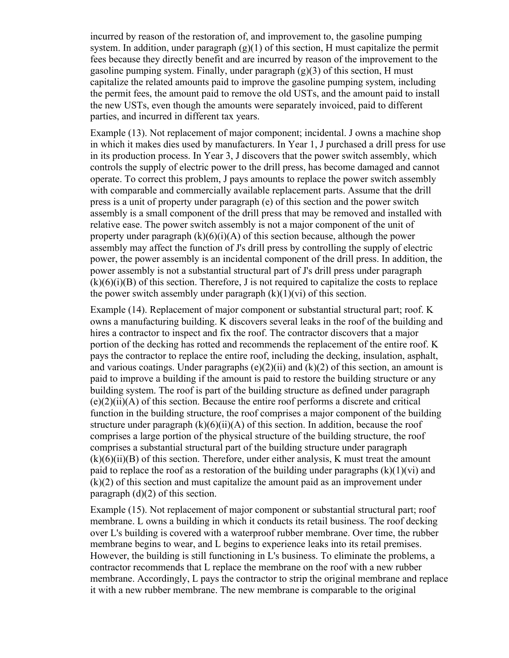incurred by reason of the restoration of, and improvement to, the gasoline pumping system. In addition, under paragraph  $(g)(1)$  of this section, H must capitalize the permit fees because they directly benefit and are incurred by reason of the improvement to the gasoline pumping system. Finally, under paragraph (g)(3) of this section, H must capitalize the related amounts paid to improve the gasoline pumping system, including the permit fees, the amount paid to remove the old USTs, and the amount paid to install the new USTs, even though the amounts were separately invoiced, paid to different parties, and incurred in different tax years.

Example (13). Not replacement of major component; incidental. J owns a machine shop in which it makes dies used by manufacturers. In Year 1, J purchased a drill press for use in its production process. In Year 3, J discovers that the power switch assembly, which controls the supply of electric power to the drill press, has become damaged and cannot operate. To correct this problem, J pays amounts to replace the power switch assembly with comparable and commercially available replacement parts. Assume that the drill press is a unit of property under paragraph (e) of this section and the power switch assembly is a small component of the drill press that may be removed and installed with relative ease. The power switch assembly is not a major component of the unit of property under paragraph  $(k)(6)(i)(A)$  of this section because, although the power assembly may affect the function of J's drill press by controlling the supply of electric power, the power assembly is an incidental component of the drill press. In addition, the power assembly is not a substantial structural part of J's drill press under paragraph  $(k)(6)(i)(B)$  of this section. Therefore, J is not required to capitalize the costs to replace the power switch assembly under paragraph  $(k)(1)(vi)$  of this section.

Example (14). Replacement of major component or substantial structural part; roof. K owns a manufacturing building. K discovers several leaks in the roof of the building and hires a contractor to inspect and fix the roof. The contractor discovers that a major portion of the decking has rotted and recommends the replacement of the entire roof. K pays the contractor to replace the entire roof, including the decking, insulation, asphalt, and various coatings. Under paragraphs  $(e)(2)(ii)$  and  $(k)(2)$  of this section, an amount is paid to improve a building if the amount is paid to restore the building structure or any building system. The roof is part of the building structure as defined under paragraph  $(e)(2)(ii)(A)$  of this section. Because the entire roof performs a discrete and critical function in the building structure, the roof comprises a major component of the building structure under paragraph  $(k)(6)(ii)(A)$  of this section. In addition, because the roof comprises a large portion of the physical structure of the building structure, the roof comprises a substantial structural part of the building structure under paragraph  $(k)(6)(ii)(B)$  of this section. Therefore, under either analysis, K must treat the amount paid to replace the roof as a restoration of the building under paragraphs  $(k)(1)(vi)$  and (k)(2) of this section and must capitalize the amount paid as an improvement under paragraph (d)(2) of this section.

Example (15). Not replacement of major component or substantial structural part; roof membrane. L owns a building in which it conducts its retail business. The roof decking over L's building is covered with a waterproof rubber membrane. Over time, the rubber membrane begins to wear, and L begins to experience leaks into its retail premises. However, the building is still functioning in L's business. To eliminate the problems, a contractor recommends that L replace the membrane on the roof with a new rubber membrane. Accordingly, L pays the contractor to strip the original membrane and replace it with a new rubber membrane. The new membrane is comparable to the original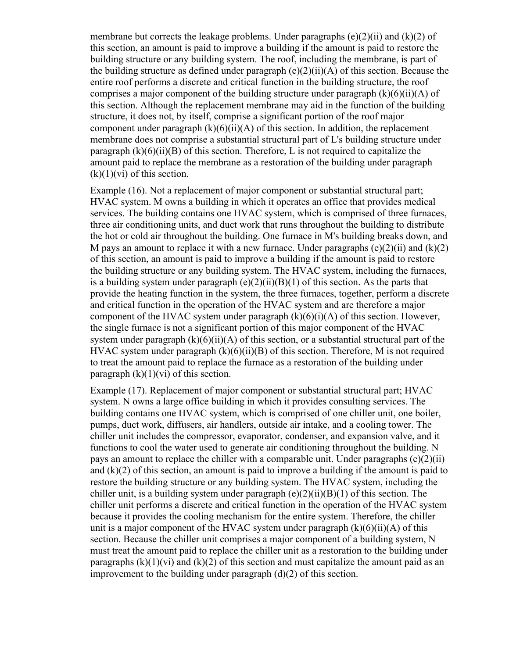membrane but corrects the leakage problems. Under paragraphs  $(e)(2)(ii)$  and  $(k)(2)$  of this section, an amount is paid to improve a building if the amount is paid to restore the building structure or any building system. The roof, including the membrane, is part of the building structure as defined under paragraph  $(e)(2)(ii)(A)$  of this section. Because the entire roof performs a discrete and critical function in the building structure, the roof comprises a major component of the building structure under paragraph  $(k)(6)(ii)(A)$  of this section. Although the replacement membrane may aid in the function of the building structure, it does not, by itself, comprise a significant portion of the roof major component under paragraph  $(k)(6)(ii)(A)$  of this section. In addition, the replacement membrane does not comprise a substantial structural part of L's building structure under paragraph  $(k)(6)(ii)(B)$  of this section. Therefore, L is not required to capitalize the amount paid to replace the membrane as a restoration of the building under paragraph  $(k)(1)(vi)$  of this section.

Example (16). Not a replacement of major component or substantial structural part; HVAC system. M owns a building in which it operates an office that provides medical services. The building contains one HVAC system, which is comprised of three furnaces, three air conditioning units, and duct work that runs throughout the building to distribute the hot or cold air throughout the building. One furnace in M's building breaks down, and M pays an amount to replace it with a new furnace. Under paragraphs  $(e)(2)(ii)$  and  $(k)(2)$ of this section, an amount is paid to improve a building if the amount is paid to restore the building structure or any building system. The HVAC system, including the furnaces, is a building system under paragraph  $(e)(2)(ii)(B)(1)$  of this section. As the parts that provide the heating function in the system, the three furnaces, together, perform a discrete and critical function in the operation of the HVAC system and are therefore a major component of the HVAC system under paragraph  $(k)(6)(i)(A)$  of this section. However, the single furnace is not a significant portion of this major component of the HVAC system under paragraph  $(k)(6)(ii)(A)$  of this section, or a substantial structural part of the HVAC system under paragraph  $(k)(6)(ii)(B)$  of this section. Therefore, M is not required to treat the amount paid to replace the furnace as a restoration of the building under paragraph  $(k)(1)(vi)$  of this section.

Example (17). Replacement of major component or substantial structural part; HVAC system. N owns a large office building in which it provides consulting services. The building contains one HVAC system, which is comprised of one chiller unit, one boiler, pumps, duct work, diffusers, air handlers, outside air intake, and a cooling tower. The chiller unit includes the compressor, evaporator, condenser, and expansion valve, and it functions to cool the water used to generate air conditioning throughout the building. N pays an amount to replace the chiller with a comparable unit. Under paragraphs  $(e)(2)(ii)$ and  $(k)(2)$  of this section, an amount is paid to improve a building if the amount is paid to restore the building structure or any building system. The HVAC system, including the chiller unit, is a building system under paragraph  $(e)(2)(ii)(B)(1)$  of this section. The chiller unit performs a discrete and critical function in the operation of the HVAC system because it provides the cooling mechanism for the entire system. Therefore, the chiller unit is a major component of the HVAC system under paragraph  $(k)(6)(ii)(A)$  of this section. Because the chiller unit comprises a major component of a building system, N must treat the amount paid to replace the chiller unit as a restoration to the building under paragraphs  $(k)(1)(vi)$  and  $(k)(2)$  of this section and must capitalize the amount paid as an improvement to the building under paragraph (d)(2) of this section.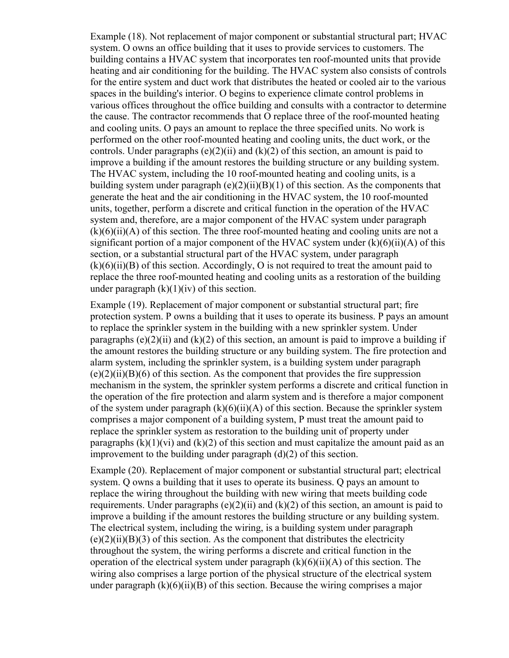Example (18). Not replacement of major component or substantial structural part; HVAC system. O owns an office building that it uses to provide services to customers. The building contains a HVAC system that incorporates ten roof-mounted units that provide heating and air conditioning for the building. The HVAC system also consists of controls for the entire system and duct work that distributes the heated or cooled air to the various spaces in the building's interior. O begins to experience climate control problems in various offices throughout the office building and consults with a contractor to determine the cause. The contractor recommends that O replace three of the roof-mounted heating and cooling units. O pays an amount to replace the three specified units. No work is performed on the other roof-mounted heating and cooling units, the duct work, or the controls. Under paragraphs  $(e)(2)(ii)$  and  $(k)(2)$  of this section, an amount is paid to improve a building if the amount restores the building structure or any building system. The HVAC system, including the 10 roof-mounted heating and cooling units, is a building system under paragraph  $(e)(2)(ii)(B)(1)$  of this section. As the components that generate the heat and the air conditioning in the HVAC system, the 10 roof-mounted units, together, perform a discrete and critical function in the operation of the HVAC system and, therefore, are a major component of the HVAC system under paragraph  $(k)(6)(ii)(A)$  of this section. The three roof-mounted heating and cooling units are not a significant portion of a major component of the HVAC system under  $(k)(6)(ii)(A)$  of this section, or a substantial structural part of the HVAC system, under paragraph  $(k)(6)(ii)(B)$  of this section. Accordingly, O is not required to treat the amount paid to replace the three roof-mounted heating and cooling units as a restoration of the building under paragraph  $(k)(1)(iv)$  of this section.

Example (19). Replacement of major component or substantial structural part; fire protection system. P owns a building that it uses to operate its business. P pays an amount to replace the sprinkler system in the building with a new sprinkler system. Under paragraphs  $(e)(2)(ii)$  and  $(k)(2)$  of this section, an amount is paid to improve a building if the amount restores the building structure or any building system. The fire protection and alarm system, including the sprinkler system, is a building system under paragraph  $(e)(2)(ii)(B)(6)$  of this section. As the component that provides the fire suppression mechanism in the system, the sprinkler system performs a discrete and critical function in the operation of the fire protection and alarm system and is therefore a major component of the system under paragraph  $(k)(6)(ii)(A)$  of this section. Because the sprinkler system comprises a major component of a building system, P must treat the amount paid to replace the sprinkler system as restoration to the building unit of property under paragraphs  $(k)(1)(vi)$  and  $(k)(2)$  of this section and must capitalize the amount paid as an improvement to the building under paragraph (d)(2) of this section.

Example (20). Replacement of major component or substantial structural part; electrical system. Q owns a building that it uses to operate its business. Q pays an amount to replace the wiring throughout the building with new wiring that meets building code requirements. Under paragraphs  $(e)(2)(ii)$  and  $(k)(2)$  of this section, an amount is paid to improve a building if the amount restores the building structure or any building system. The electrical system, including the wiring, is a building system under paragraph  $(e)(2)(ii)(B)(3)$  of this section. As the component that distributes the electricity throughout the system, the wiring performs a discrete and critical function in the operation of the electrical system under paragraph  $(k)(6)(ii)(A)$  of this section. The wiring also comprises a large portion of the physical structure of the electrical system under paragraph  $(k)(6)(ii)(B)$  of this section. Because the wiring comprises a major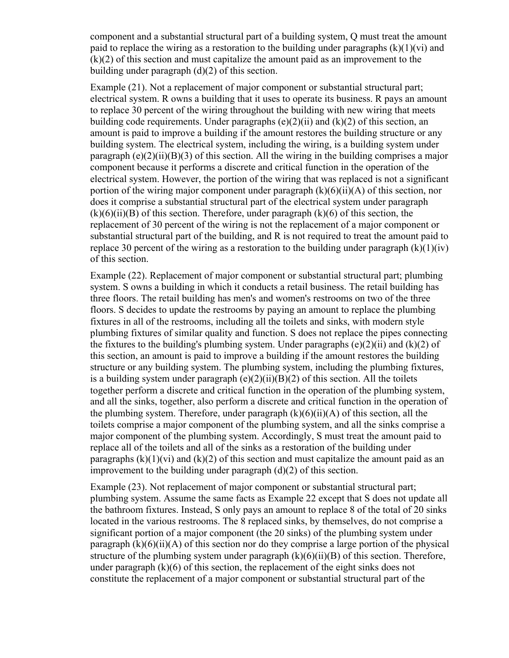component and a substantial structural part of a building system, Q must treat the amount paid to replace the wiring as a restoration to the building under paragraphs  $(k)(1)(vi)$  and (k)(2) of this section and must capitalize the amount paid as an improvement to the building under paragraph  $(d)(2)$  of this section.

Example (21). Not a replacement of major component or substantial structural part; electrical system. R owns a building that it uses to operate its business. R pays an amount to replace 30 percent of the wiring throughout the building with new wiring that meets building code requirements. Under paragraphs (e)(2)(ii) and (k)(2) of this section, an amount is paid to improve a building if the amount restores the building structure or any building system. The electrical system, including the wiring, is a building system under paragraph (e)(2)(ii)(B)(3) of this section. All the wiring in the building comprises a major component because it performs a discrete and critical function in the operation of the electrical system. However, the portion of the wiring that was replaced is not a significant portion of the wiring major component under paragraph  $(k)(6)(ii)(A)$  of this section, nor does it comprise a substantial structural part of the electrical system under paragraph  $(k)(6)(ii)(B)$  of this section. Therefore, under paragraph  $(k)(6)$  of this section, the replacement of 30 percent of the wiring is not the replacement of a major component or substantial structural part of the building, and R is not required to treat the amount paid to replace 30 percent of the wiring as a restoration to the building under paragraph  $(k)(1)(iv)$ of this section.

Example (22). Replacement of major component or substantial structural part; plumbing system. S owns a building in which it conducts a retail business. The retail building has three floors. The retail building has men's and women's restrooms on two of the three floors. S decides to update the restrooms by paying an amount to replace the plumbing fixtures in all of the restrooms, including all the toilets and sinks, with modern style plumbing fixtures of similar quality and function. S does not replace the pipes connecting the fixtures to the building's plumbing system. Under paragraphs  $(e)(2)(ii)$  and  $(k)(2)$  of this section, an amount is paid to improve a building if the amount restores the building structure or any building system. The plumbing system, including the plumbing fixtures, is a building system under paragraph (e)(2)(ii)(B)(2) of this section. All the toilets together perform a discrete and critical function in the operation of the plumbing system, and all the sinks, together, also perform a discrete and critical function in the operation of the plumbing system. Therefore, under paragraph  $(k)(6)(ii)(A)$  of this section, all the toilets comprise a major component of the plumbing system, and all the sinks comprise a major component of the plumbing system. Accordingly, S must treat the amount paid to replace all of the toilets and all of the sinks as a restoration of the building under paragraphs  $(k)(1)(vi)$  and  $(k)(2)$  of this section and must capitalize the amount paid as an improvement to the building under paragraph (d)(2) of this section.

Example (23). Not replacement of major component or substantial structural part; plumbing system. Assume the same facts as Example 22 except that S does not update all the bathroom fixtures. Instead, S only pays an amount to replace 8 of the total of 20 sinks located in the various restrooms. The 8 replaced sinks, by themselves, do not comprise a significant portion of a major component (the 20 sinks) of the plumbing system under paragraph  $(k)(6)(ii)(A)$  of this section nor do they comprise a large portion of the physical structure of the plumbing system under paragraph  $(k)(6)(ii)(B)$  of this section. Therefore, under paragraph  $(k)(6)$  of this section, the replacement of the eight sinks does not constitute the replacement of a major component or substantial structural part of the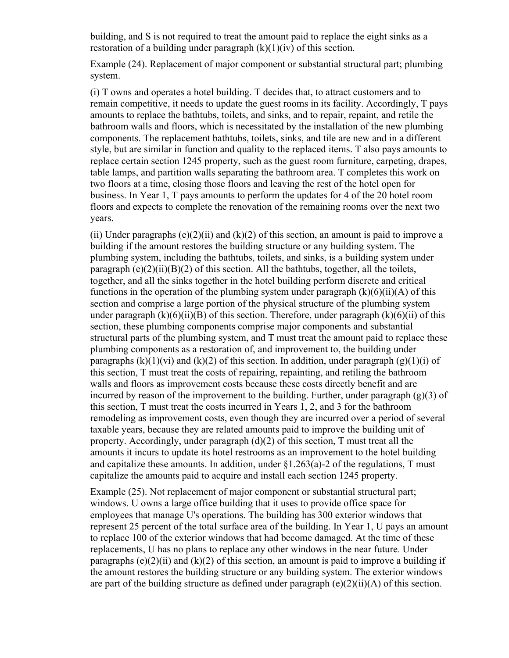building, and S is not required to treat the amount paid to replace the eight sinks as a restoration of a building under paragraph  $(k)(1)(iv)$  of this section.

Example (24). Replacement of major component or substantial structural part; plumbing system.

(i) T owns and operates a hotel building. T decides that, to attract customers and to remain competitive, it needs to update the guest rooms in its facility. Accordingly, T pays amounts to replace the bathtubs, toilets, and sinks, and to repair, repaint, and retile the bathroom walls and floors, which is necessitated by the installation of the new plumbing components. The replacement bathtubs, toilets, sinks, and tile are new and in a different style, but are similar in function and quality to the replaced items. T also pays amounts to replace certain section 1245 property, such as the guest room furniture, carpeting, drapes, table lamps, and partition walls separating the bathroom area. T completes this work on two floors at a time, closing those floors and leaving the rest of the hotel open for business. In Year 1, T pays amounts to perform the updates for 4 of the 20 hotel room floors and expects to complete the renovation of the remaining rooms over the next two years.

(ii) Under paragraphs (e)(2)(ii) and (k)(2) of this section, an amount is paid to improve a building if the amount restores the building structure or any building system. The plumbing system, including the bathtubs, toilets, and sinks, is a building system under paragraph  $(e)(2)(ii)(B)(2)$  of this section. All the bathtubs, together, all the toilets, together, and all the sinks together in the hotel building perform discrete and critical functions in the operation of the plumbing system under paragraph  $(k)(6)(ii)(A)$  of this section and comprise a large portion of the physical structure of the plumbing system under paragraph  $(k)(6)(ii)(B)$  of this section. Therefore, under paragraph  $(k)(6)(ii)$  of this section, these plumbing components comprise major components and substantial structural parts of the plumbing system, and T must treat the amount paid to replace these plumbing components as a restoration of, and improvement to, the building under paragraphs  $(k)(1)(vi)$  and  $(k)(2)$  of this section. In addition, under paragraph  $(g)(1)(i)$  of this section, T must treat the costs of repairing, repainting, and retiling the bathroom walls and floors as improvement costs because these costs directly benefit and are incurred by reason of the improvement to the building. Further, under paragraph  $(g)(3)$  of this section, T must treat the costs incurred in Years 1, 2, and 3 for the bathroom remodeling as improvement costs, even though they are incurred over a period of several taxable years, because they are related amounts paid to improve the building unit of property. Accordingly, under paragraph  $(d)(2)$  of this section, T must treat all the amounts it incurs to update its hotel restrooms as an improvement to the hotel building and capitalize these amounts. In addition, under  $\S1.263(a)$ -2 of the regulations, T must capitalize the amounts paid to acquire and install each section 1245 property.

Example (25). Not replacement of major component or substantial structural part; windows. U owns a large office building that it uses to provide office space for employees that manage U's operations. The building has 300 exterior windows that represent 25 percent of the total surface area of the building. In Year 1, U pays an amount to replace 100 of the exterior windows that had become damaged. At the time of these replacements, U has no plans to replace any other windows in the near future. Under paragraphs  $(e)(2)(ii)$  and  $(k)(2)$  of this section, an amount is paid to improve a building if the amount restores the building structure or any building system. The exterior windows are part of the building structure as defined under paragraph  $(e)(2)(ii)(A)$  of this section.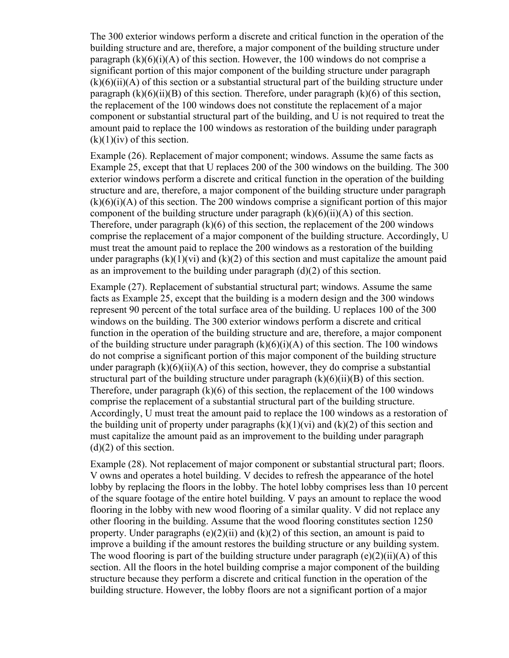The 300 exterior windows perform a discrete and critical function in the operation of the building structure and are, therefore, a major component of the building structure under paragraph  $(k)(6)(i)(A)$  of this section. However, the 100 windows do not comprise a significant portion of this major component of the building structure under paragraph  $(k)(6)(ii)(A)$  of this section or a substantial structural part of the building structure under paragraph  $(k)(6)(ii)(B)$  of this section. Therefore, under paragraph  $(k)(6)$  of this section, the replacement of the 100 windows does not constitute the replacement of a major component or substantial structural part of the building, and U is not required to treat the amount paid to replace the 100 windows as restoration of the building under paragraph  $(k)(1)(iv)$  of this section.

Example (26). Replacement of major component; windows. Assume the same facts as Example 25, except that that U replaces 200 of the 300 windows on the building. The 300 exterior windows perform a discrete and critical function in the operation of the building structure and are, therefore, a major component of the building structure under paragraph  $(k)(6)(i)(A)$  of this section. The 200 windows comprise a significant portion of this major component of the building structure under paragraph  $(k)(6)(ii)(A)$  of this section. Therefore, under paragraph (k)(6) of this section, the replacement of the 200 windows comprise the replacement of a major component of the building structure. Accordingly, U must treat the amount paid to replace the 200 windows as a restoration of the building under paragraphs  $(k)(1)(vi)$  and  $(k)(2)$  of this section and must capitalize the amount paid as an improvement to the building under paragraph (d)(2) of this section.

Example (27). Replacement of substantial structural part; windows. Assume the same facts as Example 25, except that the building is a modern design and the 300 windows represent 90 percent of the total surface area of the building. U replaces 100 of the 300 windows on the building. The 300 exterior windows perform a discrete and critical function in the operation of the building structure and are, therefore, a major component of the building structure under paragraph  $(k)(6)(i)(A)$  of this section. The 100 windows do not comprise a significant portion of this major component of the building structure under paragraph  $(k)(6)(ii)(A)$  of this section, however, they do comprise a substantial structural part of the building structure under paragraph  $(k)(6)(ii)(B)$  of this section. Therefore, under paragraph (k)(6) of this section, the replacement of the 100 windows comprise the replacement of a substantial structural part of the building structure. Accordingly, U must treat the amount paid to replace the 100 windows as a restoration of the building unit of property under paragraphs  $(k)(1)(vi)$  and  $(k)(2)$  of this section and must capitalize the amount paid as an improvement to the building under paragraph (d)(2) of this section.

Example (28). Not replacement of major component or substantial structural part; floors. V owns and operates a hotel building. V decides to refresh the appearance of the hotel lobby by replacing the floors in the lobby. The hotel lobby comprises less than 10 percent of the square footage of the entire hotel building. V pays an amount to replace the wood flooring in the lobby with new wood flooring of a similar quality. V did not replace any other flooring in the building. Assume that the wood flooring constitutes section 1250 property. Under paragraphs  $(e)(2)(ii)$  and  $(k)(2)$  of this section, an amount is paid to improve a building if the amount restores the building structure or any building system. The wood flooring is part of the building structure under paragraph (e)(2)(ii)(A) of this section. All the floors in the hotel building comprise a major component of the building structure because they perform a discrete and critical function in the operation of the building structure. However, the lobby floors are not a significant portion of a major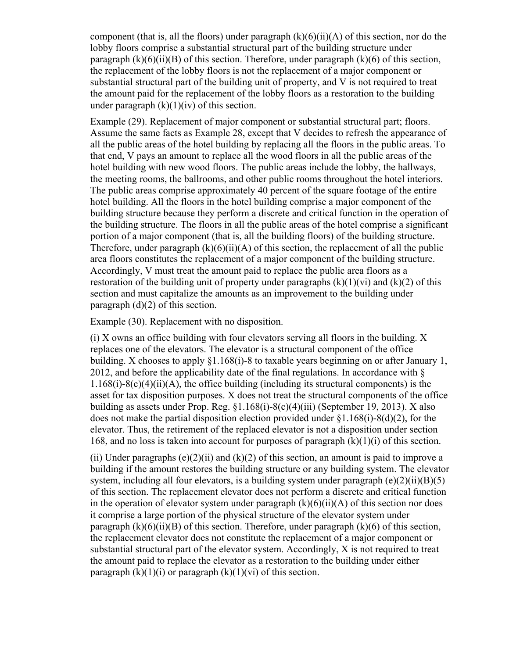component (that is, all the floors) under paragraph  $(k)(6)(ii)(A)$  of this section, nor do the lobby floors comprise a substantial structural part of the building structure under paragraph  $(k)(6)(ii)(B)$  of this section. Therefore, under paragraph  $(k)(6)$  of this section, the replacement of the lobby floors is not the replacement of a major component or substantial structural part of the building unit of property, and V is not required to treat the amount paid for the replacement of the lobby floors as a restoration to the building under paragraph  $(k)(1)(iv)$  of this section.

Example (29). Replacement of major component or substantial structural part; floors. Assume the same facts as Example 28, except that V decides to refresh the appearance of all the public areas of the hotel building by replacing all the floors in the public areas. To that end, V pays an amount to replace all the wood floors in all the public areas of the hotel building with new wood floors. The public areas include the lobby, the hallways, the meeting rooms, the ballrooms, and other public rooms throughout the hotel interiors. The public areas comprise approximately 40 percent of the square footage of the entire hotel building. All the floors in the hotel building comprise a major component of the building structure because they perform a discrete and critical function in the operation of the building structure. The floors in all the public areas of the hotel comprise a significant portion of a major component (that is, all the building floors) of the building structure. Therefore, under paragraph  $(k)(6)(ii)(A)$  of this section, the replacement of all the public area floors constitutes the replacement of a major component of the building structure. Accordingly, V must treat the amount paid to replace the public area floors as a restoration of the building unit of property under paragraphs  $(k)(1)(vi)$  and  $(k)(2)$  of this section and must capitalize the amounts as an improvement to the building under paragraph  $(d)(2)$  of this section.

Example (30). Replacement with no disposition.

(i) X owns an office building with four elevators serving all floors in the building. X replaces one of the elevators. The elevator is a structural component of the office building. X chooses to apply §1.168(i)-8 to taxable years beginning on or after January 1, 2012, and before the applicability date of the final regulations. In accordance with §  $1.168(i) - 8(c)(4)(ii)(A)$ , the office building (including its structural components) is the asset for tax disposition purposes. X does not treat the structural components of the office building as assets under Prop. Reg. §1.168(i)-8(c)(4)(iii) (September 19, 2013). X also does not make the partial disposition election provided under  $\S1.168(i)$ - $\S(1)$  for the elevator. Thus, the retirement of the replaced elevator is not a disposition under section 168, and no loss is taken into account for purposes of paragraph  $(k)(1)(i)$  of this section.

(ii) Under paragraphs  $(e)(2)(ii)$  and  $(k)(2)$  of this section, an amount is paid to improve a building if the amount restores the building structure or any building system. The elevator system, including all four elevators, is a building system under paragraph  $(e)(2)(ii)(B)(5)$ of this section. The replacement elevator does not perform a discrete and critical function in the operation of elevator system under paragraph  $(k)(6)(ii)(A)$  of this section nor does it comprise a large portion of the physical structure of the elevator system under paragraph  $(k)(6)(ii)(B)$  of this section. Therefore, under paragraph  $(k)(6)$  of this section, the replacement elevator does not constitute the replacement of a major component or substantial structural part of the elevator system. Accordingly, X is not required to treat the amount paid to replace the elevator as a restoration to the building under either paragraph  $(k)(1)(i)$  or paragraph  $(k)(1)(vi)$  of this section.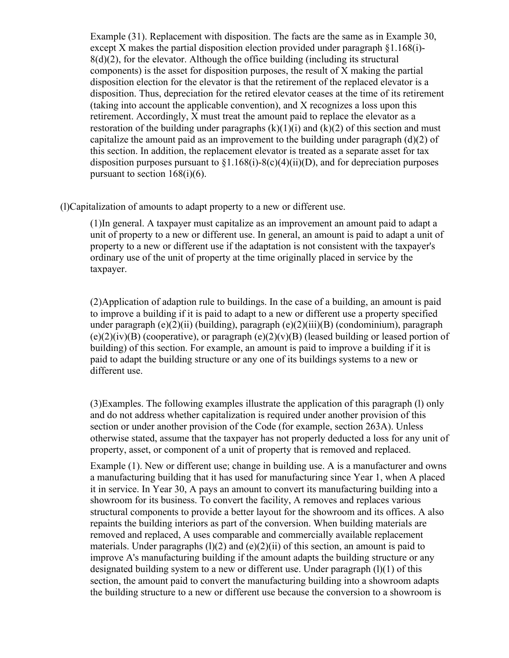Example (31). Replacement with disposition. The facts are the same as in Example 30, except X makes the partial disposition election provided under paragraph §1.168(i)- 8(d)(2), for the elevator. Although the office building (including its structural components) is the asset for disposition purposes, the result of X making the partial disposition election for the elevator is that the retirement of the replaced elevator is a disposition. Thus, depreciation for the retired elevator ceases at the time of its retirement (taking into account the applicable convention), and X recognizes a loss upon this retirement. Accordingly, X must treat the amount paid to replace the elevator as a restoration of the building under paragraphs  $(k)(1)(i)$  and  $(k)(2)$  of this section and must capitalize the amount paid as an improvement to the building under paragraph  $(d)(2)$  of this section. In addition, the replacement elevator is treated as a separate asset for tax disposition purposes pursuant to  $\S1.168(i)$ - $S(c)(4)(ii)(D)$ , and for depreciation purposes pursuant to section  $168(i)(6)$ .

(l)Capitalization of amounts to adapt property to a new or different use.

(1)In general. A taxpayer must capitalize as an improvement an amount paid to adapt a unit of property to a new or different use. In general, an amount is paid to adapt a unit of property to a new or different use if the adaptation is not consistent with the taxpayer's ordinary use of the unit of property at the time originally placed in service by the taxpayer.

(2)Application of adaption rule to buildings. In the case of a building, an amount is paid to improve a building if it is paid to adapt to a new or different use a property specified under paragraph (e)(2)(ii) (building), paragraph (e)(2)(iii)(B) (condominium), paragraph  $(e)(2)(iv)(B)$  (cooperative), or paragraph  $(e)(2)(v)(B)$  (leased building or leased portion of building) of this section. For example, an amount is paid to improve a building if it is paid to adapt the building structure or any one of its buildings systems to a new or different use.

(3)Examples. The following examples illustrate the application of this paragraph (l) only and do not address whether capitalization is required under another provision of this section or under another provision of the Code (for example, section 263A). Unless otherwise stated, assume that the taxpayer has not properly deducted a loss for any unit of property, asset, or component of a unit of property that is removed and replaced.

Example (1). New or different use; change in building use. A is a manufacturer and owns a manufacturing building that it has used for manufacturing since Year 1, when A placed it in service. In Year 30, A pays an amount to convert its manufacturing building into a showroom for its business. To convert the facility, A removes and replaces various structural components to provide a better layout for the showroom and its offices. A also repaints the building interiors as part of the conversion. When building materials are removed and replaced, A uses comparable and commercially available replacement materials. Under paragraphs  $(l)(2)$  and  $(e)(2)(ii)$  of this section, an amount is paid to improve A's manufacturing building if the amount adapts the building structure or any designated building system to a new or different use. Under paragraph (l)(1) of this section, the amount paid to convert the manufacturing building into a showroom adapts the building structure to a new or different use because the conversion to a showroom is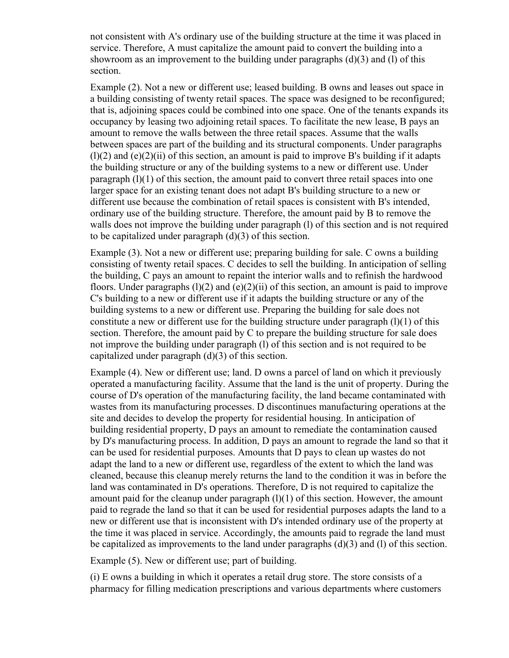not consistent with A's ordinary use of the building structure at the time it was placed in service. Therefore, A must capitalize the amount paid to convert the building into a showroom as an improvement to the building under paragraphs  $(d)(3)$  and  $(l)$  of this section.

Example (2). Not a new or different use; leased building. B owns and leases out space in a building consisting of twenty retail spaces. The space was designed to be reconfigured; that is, adjoining spaces could be combined into one space. One of the tenants expands its occupancy by leasing two adjoining retail spaces. To facilitate the new lease, B pays an amount to remove the walls between the three retail spaces. Assume that the walls between spaces are part of the building and its structural components. Under paragraphs  $(1)(2)$  and  $(e)(2)(ii)$  of this section, an amount is paid to improve B's building if it adapts the building structure or any of the building systems to a new or different use. Under paragraph (l)(1) of this section, the amount paid to convert three retail spaces into one larger space for an existing tenant does not adapt B's building structure to a new or different use because the combination of retail spaces is consistent with B's intended, ordinary use of the building structure. Therefore, the amount paid by B to remove the walls does not improve the building under paragraph (1) of this section and is not required to be capitalized under paragraph  $(d)(3)$  of this section.

Example (3). Not a new or different use; preparing building for sale. C owns a building consisting of twenty retail spaces. C decides to sell the building. In anticipation of selling the building, C pays an amount to repaint the interior walls and to refinish the hardwood floors. Under paragraphs  $(1)(2)$  and  $(e)(2)(ii)$  of this section, an amount is paid to improve C's building to a new or different use if it adapts the building structure or any of the building systems to a new or different use. Preparing the building for sale does not constitute a new or different use for the building structure under paragraph  $(1)(1)$  of this section. Therefore, the amount paid by C to prepare the building structure for sale does not improve the building under paragraph (l) of this section and is not required to be capitalized under paragraph (d)(3) of this section.

Example (4). New or different use; land. D owns a parcel of land on which it previously operated a manufacturing facility. Assume that the land is the unit of property. During the course of D's operation of the manufacturing facility, the land became contaminated with wastes from its manufacturing processes. D discontinues manufacturing operations at the site and decides to develop the property for residential housing. In anticipation of building residential property, D pays an amount to remediate the contamination caused by D's manufacturing process. In addition, D pays an amount to regrade the land so that it can be used for residential purposes. Amounts that D pays to clean up wastes do not adapt the land to a new or different use, regardless of the extent to which the land was cleaned, because this cleanup merely returns the land to the condition it was in before the land was contaminated in D's operations. Therefore, D is not required to capitalize the amount paid for the cleanup under paragraph  $(1)(1)$  of this section. However, the amount paid to regrade the land so that it can be used for residential purposes adapts the land to a new or different use that is inconsistent with D's intended ordinary use of the property at the time it was placed in service. Accordingly, the amounts paid to regrade the land must be capitalized as improvements to the land under paragraphs (d)(3) and (l) of this section.

Example (5). New or different use; part of building.

(i) E owns a building in which it operates a retail drug store. The store consists of a pharmacy for filling medication prescriptions and various departments where customers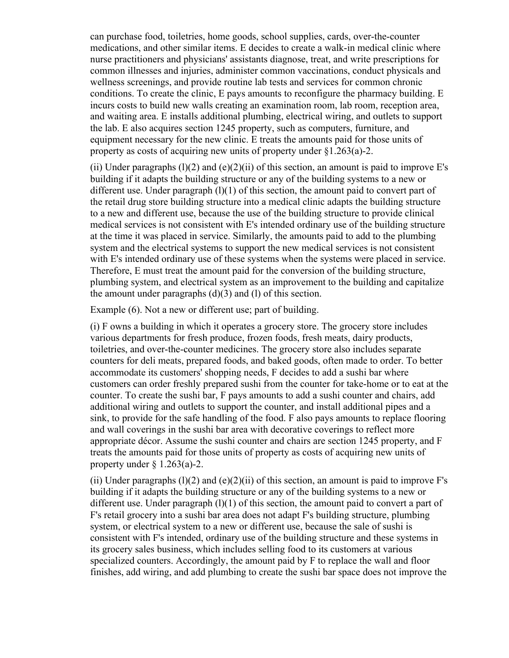can purchase food, toiletries, home goods, school supplies, cards, over-the-counter medications, and other similar items. E decides to create a walk-in medical clinic where nurse practitioners and physicians' assistants diagnose, treat, and write prescriptions for common illnesses and injuries, administer common vaccinations, conduct physicals and wellness screenings, and provide routine lab tests and services for common chronic conditions. To create the clinic, E pays amounts to reconfigure the pharmacy building. E incurs costs to build new walls creating an examination room, lab room, reception area, and waiting area. E installs additional plumbing, electrical wiring, and outlets to support the lab. E also acquires section 1245 property, such as computers, furniture, and equipment necessary for the new clinic. E treats the amounts paid for those units of property as costs of acquiring new units of property under §1.263(a)-2.

(ii) Under paragraphs  $(l)(2)$  and  $(e)(2)(ii)$  of this section, an amount is paid to improve E's building if it adapts the building structure or any of the building systems to a new or different use. Under paragraph  $(l)(1)$  of this section, the amount paid to convert part of the retail drug store building structure into a medical clinic adapts the building structure to a new and different use, because the use of the building structure to provide clinical medical services is not consistent with E's intended ordinary use of the building structure at the time it was placed in service. Similarly, the amounts paid to add to the plumbing system and the electrical systems to support the new medical services is not consistent with E's intended ordinary use of these systems when the systems were placed in service. Therefore, E must treat the amount paid for the conversion of the building structure, plumbing system, and electrical system as an improvement to the building and capitalize the amount under paragraphs (d)(3) and (l) of this section.

Example (6). Not a new or different use; part of building.

(i) F owns a building in which it operates a grocery store. The grocery store includes various departments for fresh produce, frozen foods, fresh meats, dairy products, toiletries, and over-the-counter medicines. The grocery store also includes separate counters for deli meats, prepared foods, and baked goods, often made to order. To better accommodate its customers' shopping needs, F decides to add a sushi bar where customers can order freshly prepared sushi from the counter for take-home or to eat at the counter. To create the sushi bar, F pays amounts to add a sushi counter and chairs, add additional wiring and outlets to support the counter, and install additional pipes and a sink, to provide for the safe handling of the food. F also pays amounts to replace flooring and wall coverings in the sushi bar area with decorative coverings to reflect more appropriate décor. Assume the sushi counter and chairs are section 1245 property, and F treats the amounts paid for those units of property as costs of acquiring new units of property under  $\S$  1.263(a)-2.

(ii) Under paragraphs  $(l)(2)$  and  $(e)(2)(ii)$  of this section, an amount is paid to improve F's building if it adapts the building structure or any of the building systems to a new or different use. Under paragraph  $(1)(1)$  of this section, the amount paid to convert a part of F's retail grocery into a sushi bar area does not adapt F's building structure, plumbing system, or electrical system to a new or different use, because the sale of sushi is consistent with F's intended, ordinary use of the building structure and these systems in its grocery sales business, which includes selling food to its customers at various specialized counters. Accordingly, the amount paid by F to replace the wall and floor finishes, add wiring, and add plumbing to create the sushi bar space does not improve the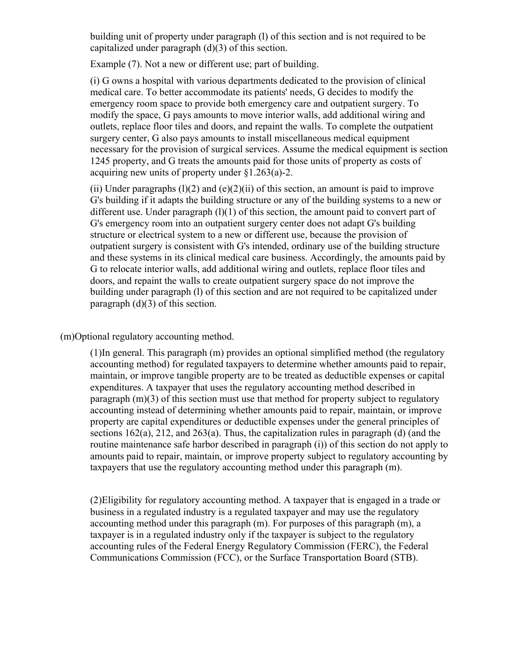building unit of property under paragraph (l) of this section and is not required to be capitalized under paragraph (d)(3) of this section.

Example (7). Not a new or different use; part of building.

(i) G owns a hospital with various departments dedicated to the provision of clinical medical care. To better accommodate its patients' needs, G decides to modify the emergency room space to provide both emergency care and outpatient surgery. To modify the space, G pays amounts to move interior walls, add additional wiring and outlets, replace floor tiles and doors, and repaint the walls. To complete the outpatient surgery center, G also pays amounts to install miscellaneous medical equipment necessary for the provision of surgical services. Assume the medical equipment is section 1245 property, and G treats the amounts paid for those units of property as costs of acquiring new units of property under §1.263(a)-2.

(ii) Under paragraphs  $(1)(2)$  and  $(e)(2)(ii)$  of this section, an amount is paid to improve G's building if it adapts the building structure or any of the building systems to a new or different use. Under paragraph  $(l)(1)$  of this section, the amount paid to convert part of G's emergency room into an outpatient surgery center does not adapt G's building structure or electrical system to a new or different use, because the provision of outpatient surgery is consistent with G's intended, ordinary use of the building structure and these systems in its clinical medical care business. Accordingly, the amounts paid by G to relocate interior walls, add additional wiring and outlets, replace floor tiles and doors, and repaint the walls to create outpatient surgery space do not improve the building under paragraph (l) of this section and are not required to be capitalized under paragraph (d)(3) of this section.

(m)Optional regulatory accounting method.

(1)In general. This paragraph (m) provides an optional simplified method (the regulatory accounting method) for regulated taxpayers to determine whether amounts paid to repair, maintain, or improve tangible property are to be treated as deductible expenses or capital expenditures. A taxpayer that uses the regulatory accounting method described in paragraph (m)(3) of this section must use that method for property subject to regulatory accounting instead of determining whether amounts paid to repair, maintain, or improve property are capital expenditures or deductible expenses under the general principles of sections 162(a), 212, and 263(a). Thus, the capitalization rules in paragraph (d) (and the routine maintenance safe harbor described in paragraph (i)) of this section do not apply to amounts paid to repair, maintain, or improve property subject to regulatory accounting by taxpayers that use the regulatory accounting method under this paragraph (m).

(2)Eligibility for regulatory accounting method. A taxpayer that is engaged in a trade or business in a regulated industry is a regulated taxpayer and may use the regulatory accounting method under this paragraph (m). For purposes of this paragraph (m), a taxpayer is in a regulated industry only if the taxpayer is subject to the regulatory accounting rules of the Federal Energy Regulatory Commission (FERC), the Federal Communications Commission (FCC), or the Surface Transportation Board (STB).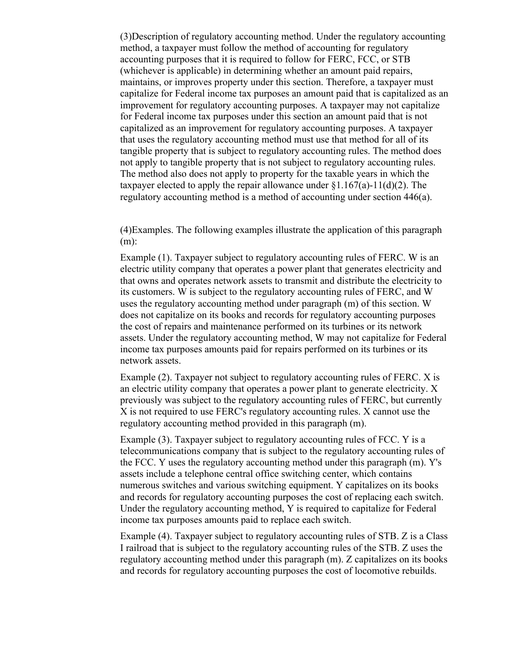(3)Description of regulatory accounting method. Under the regulatory accounting method, a taxpayer must follow the method of accounting for regulatory accounting purposes that it is required to follow for FERC, FCC, or STB (whichever is applicable) in determining whether an amount paid repairs, maintains, or improves property under this section. Therefore, a taxpayer must capitalize for Federal income tax purposes an amount paid that is capitalized as an improvement for regulatory accounting purposes. A taxpayer may not capitalize for Federal income tax purposes under this section an amount paid that is not capitalized as an improvement for regulatory accounting purposes. A taxpayer that uses the regulatory accounting method must use that method for all of its tangible property that is subject to regulatory accounting rules. The method does not apply to tangible property that is not subject to regulatory accounting rules. The method also does not apply to property for the taxable years in which the taxpayer elected to apply the repair allowance under  $\S1.167(a)$ -11(d)(2). The regulatory accounting method is a method of accounting under section 446(a).

(4)Examples. The following examples illustrate the application of this paragraph (m):

Example (1). Taxpayer subject to regulatory accounting rules of FERC. W is an electric utility company that operates a power plant that generates electricity and that owns and operates network assets to transmit and distribute the electricity to its customers. W is subject to the regulatory accounting rules of FERC, and W uses the regulatory accounting method under paragraph (m) of this section. W does not capitalize on its books and records for regulatory accounting purposes the cost of repairs and maintenance performed on its turbines or its network assets. Under the regulatory accounting method, W may not capitalize for Federal income tax purposes amounts paid for repairs performed on its turbines or its network assets.

Example (2). Taxpayer not subject to regulatory accounting rules of FERC. X is an electric utility company that operates a power plant to generate electricity. X previously was subject to the regulatory accounting rules of FERC, but currently X is not required to use FERC's regulatory accounting rules. X cannot use the regulatory accounting method provided in this paragraph (m).

Example (3). Taxpayer subject to regulatory accounting rules of FCC. Y is a telecommunications company that is subject to the regulatory accounting rules of the FCC. Y uses the regulatory accounting method under this paragraph (m). Y's assets include a telephone central office switching center, which contains numerous switches and various switching equipment. Y capitalizes on its books and records for regulatory accounting purposes the cost of replacing each switch. Under the regulatory accounting method, Y is required to capitalize for Federal income tax purposes amounts paid to replace each switch.

Example (4). Taxpayer subject to regulatory accounting rules of STB. Z is a Class I railroad that is subject to the regulatory accounting rules of the STB. Z uses the regulatory accounting method under this paragraph (m). Z capitalizes on its books and records for regulatory accounting purposes the cost of locomotive rebuilds.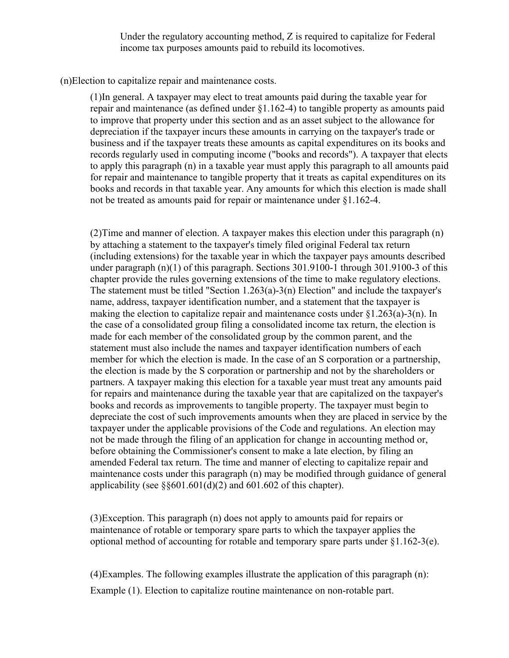Under the regulatory accounting method, Z is required to capitalize for Federal income tax purposes amounts paid to rebuild its locomotives.

(n)Election to capitalize repair and maintenance costs.

(1)In general. A taxpayer may elect to treat amounts paid during the taxable year for repair and maintenance (as defined under §1.162-4) to tangible property as amounts paid to improve that property under this section and as an asset subject to the allowance for depreciation if the taxpayer incurs these amounts in carrying on the taxpayer's trade or business and if the taxpayer treats these amounts as capital expenditures on its books and records regularly used in computing income ("books and records"). A taxpayer that elects to apply this paragraph (n) in a taxable year must apply this paragraph to all amounts paid for repair and maintenance to tangible property that it treats as capital expenditures on its books and records in that taxable year. Any amounts for which this election is made shall not be treated as amounts paid for repair or maintenance under §1.162-4.

(2)Time and manner of election. A taxpayer makes this election under this paragraph (n) by attaching a statement to the taxpayer's timely filed original Federal tax return (including extensions) for the taxable year in which the taxpayer pays amounts described under paragraph (n)(1) of this paragraph. Sections 301.9100-1 through 301.9100-3 of this chapter provide the rules governing extensions of the time to make regulatory elections. The statement must be titled "Section 1.263(a)-3(n) Election" and include the taxpayer's name, address, taxpayer identification number, and a statement that the taxpayer is making the election to capitalize repair and maintenance costs under  $\S1.263(a)-3(n)$ . In the case of a consolidated group filing a consolidated income tax return, the election is made for each member of the consolidated group by the common parent, and the statement must also include the names and taxpayer identification numbers of each member for which the election is made. In the case of an S corporation or a partnership, the election is made by the S corporation or partnership and not by the shareholders or partners. A taxpayer making this election for a taxable year must treat any amounts paid for repairs and maintenance during the taxable year that are capitalized on the taxpayer's books and records as improvements to tangible property. The taxpayer must begin to depreciate the cost of such improvements amounts when they are placed in service by the taxpayer under the applicable provisions of the Code and regulations. An election may not be made through the filing of an application for change in accounting method or, before obtaining the Commissioner's consent to make a late election, by filing an amended Federal tax return. The time and manner of electing to capitalize repair and maintenance costs under this paragraph (n) may be modified through guidance of general applicability (see  $\S 601.601(d)(2)$  and 601.602 of this chapter).

(3)Exception. This paragraph (n) does not apply to amounts paid for repairs or maintenance of rotable or temporary spare parts to which the taxpayer applies the optional method of accounting for rotable and temporary spare parts under §1.162-3(e).

(4)Examples. The following examples illustrate the application of this paragraph (n): Example (1). Election to capitalize routine maintenance on non-rotable part.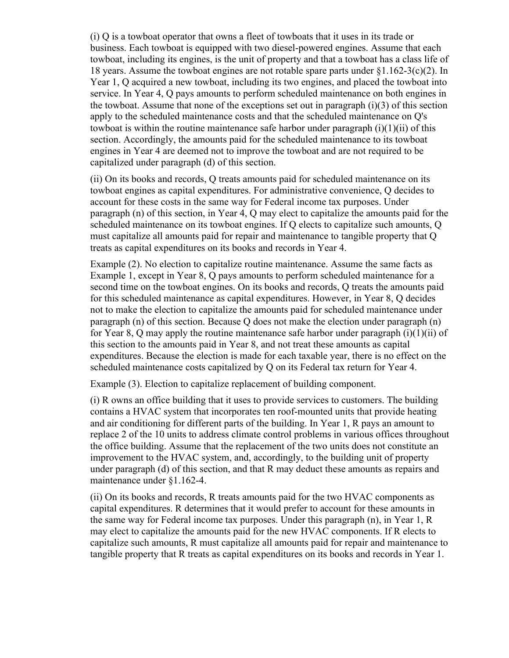(i) Q is a towboat operator that owns a fleet of towboats that it uses in its trade or business. Each towboat is equipped with two diesel-powered engines. Assume that each towboat, including its engines, is the unit of property and that a towboat has a class life of 18 years. Assume the towboat engines are not rotable spare parts under §1.162-3(c)(2). In Year 1, Q acquired a new towboat, including its two engines, and placed the towboat into service. In Year 4, Q pays amounts to perform scheduled maintenance on both engines in the towboat. Assume that none of the exceptions set out in paragraph (i)(3) of this section apply to the scheduled maintenance costs and that the scheduled maintenance on Q's towboat is within the routine maintenance safe harbor under paragraph  $(i)(1)(ii)$  of this section. Accordingly, the amounts paid for the scheduled maintenance to its towboat engines in Year 4 are deemed not to improve the towboat and are not required to be capitalized under paragraph (d) of this section.

(ii) On its books and records, Q treats amounts paid for scheduled maintenance on its towboat engines as capital expenditures. For administrative convenience, Q decides to account for these costs in the same way for Federal income tax purposes. Under paragraph (n) of this section, in Year 4, Q may elect to capitalize the amounts paid for the scheduled maintenance on its towboat engines. If Q elects to capitalize such amounts, Q must capitalize all amounts paid for repair and maintenance to tangible property that Q treats as capital expenditures on its books and records in Year 4.

Example (2). No election to capitalize routine maintenance. Assume the same facts as Example 1, except in Year 8, Q pays amounts to perform scheduled maintenance for a second time on the towboat engines. On its books and records, Q treats the amounts paid for this scheduled maintenance as capital expenditures. However, in Year 8, Q decides not to make the election to capitalize the amounts paid for scheduled maintenance under paragraph (n) of this section. Because Q does not make the election under paragraph (n) for Year 8, Q may apply the routine maintenance safe harbor under paragraph (i)(1)(ii) of this section to the amounts paid in Year 8, and not treat these amounts as capital expenditures. Because the election is made for each taxable year, there is no effect on the scheduled maintenance costs capitalized by Q on its Federal tax return for Year 4.

Example (3). Election to capitalize replacement of building component.

(i) R owns an office building that it uses to provide services to customers. The building contains a HVAC system that incorporates ten roof-mounted units that provide heating and air conditioning for different parts of the building. In Year 1, R pays an amount to replace 2 of the 10 units to address climate control problems in various offices throughout the office building. Assume that the replacement of the two units does not constitute an improvement to the HVAC system, and, accordingly, to the building unit of property under paragraph (d) of this section, and that R may deduct these amounts as repairs and maintenance under §1.162-4.

(ii) On its books and records, R treats amounts paid for the two HVAC components as capital expenditures. R determines that it would prefer to account for these amounts in the same way for Federal income tax purposes. Under this paragraph (n), in Year 1, R may elect to capitalize the amounts paid for the new HVAC components. If R elects to capitalize such amounts, R must capitalize all amounts paid for repair and maintenance to tangible property that R treats as capital expenditures on its books and records in Year 1.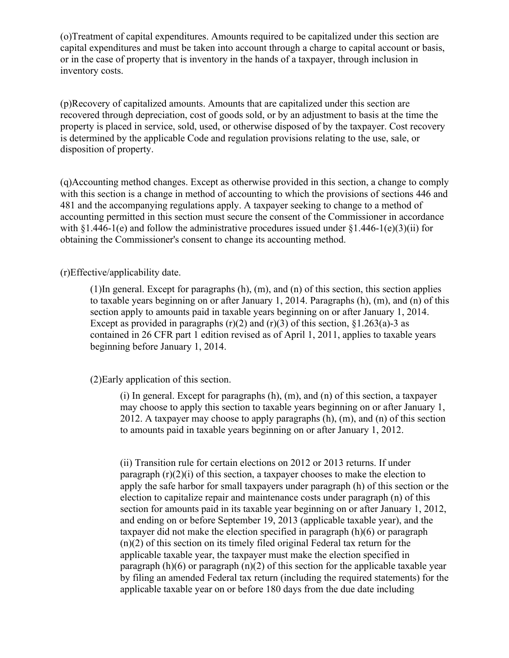(o)Treatment of capital expenditures. Amounts required to be capitalized under this section are capital expenditures and must be taken into account through a charge to capital account or basis, or in the case of property that is inventory in the hands of a taxpayer, through inclusion in inventory costs.

(p)Recovery of capitalized amounts. Amounts that are capitalized under this section are recovered through depreciation, cost of goods sold, or by an adjustment to basis at the time the property is placed in service, sold, used, or otherwise disposed of by the taxpayer. Cost recovery is determined by the applicable Code and regulation provisions relating to the use, sale, or disposition of property.

(q)Accounting method changes. Except as otherwise provided in this section, a change to comply with this section is a change in method of accounting to which the provisions of sections 446 and 481 and the accompanying regulations apply. A taxpayer seeking to change to a method of accounting permitted in this section must secure the consent of the Commissioner in accordance with  $§1.446-1(e)$  and follow the administrative procedures issued under  $§1.446-1(e)(3)(ii)$  for obtaining the Commissioner's consent to change its accounting method.

# (r)Effective/applicability date.

(1)In general. Except for paragraphs (h), (m), and (n) of this section, this section applies to taxable years beginning on or after January 1, 2014. Paragraphs (h), (m), and (n) of this section apply to amounts paid in taxable years beginning on or after January 1, 2014. Except as provided in paragraphs  $(r)(2)$  and  $(r)(3)$  of this section, §1.263(a)-3 as contained in 26 CFR part 1 edition revised as of April 1, 2011, applies to taxable years beginning before January 1, 2014.

# (2)Early application of this section.

 $(i)$  In general. Except for paragraphs  $(h)$ ,  $(m)$ , and  $(n)$  of this section, a taxpayer may choose to apply this section to taxable years beginning on or after January 1, 2012. A taxpayer may choose to apply paragraphs (h), (m), and (n) of this section to amounts paid in taxable years beginning on or after January 1, 2012.

(ii) Transition rule for certain elections on 2012 or 2013 returns. If under paragraph (r)(2)(i) of this section, a taxpayer chooses to make the election to apply the safe harbor for small taxpayers under paragraph (h) of this section or the election to capitalize repair and maintenance costs under paragraph (n) of this section for amounts paid in its taxable year beginning on or after January 1, 2012, and ending on or before September 19, 2013 (applicable taxable year), and the taxpayer did not make the election specified in paragraph (h)(6) or paragraph (n)(2) of this section on its timely filed original Federal tax return for the applicable taxable year, the taxpayer must make the election specified in paragraph  $(h)(6)$  or paragraph  $(n)(2)$  of this section for the applicable taxable year by filing an amended Federal tax return (including the required statements) for the applicable taxable year on or before 180 days from the due date including